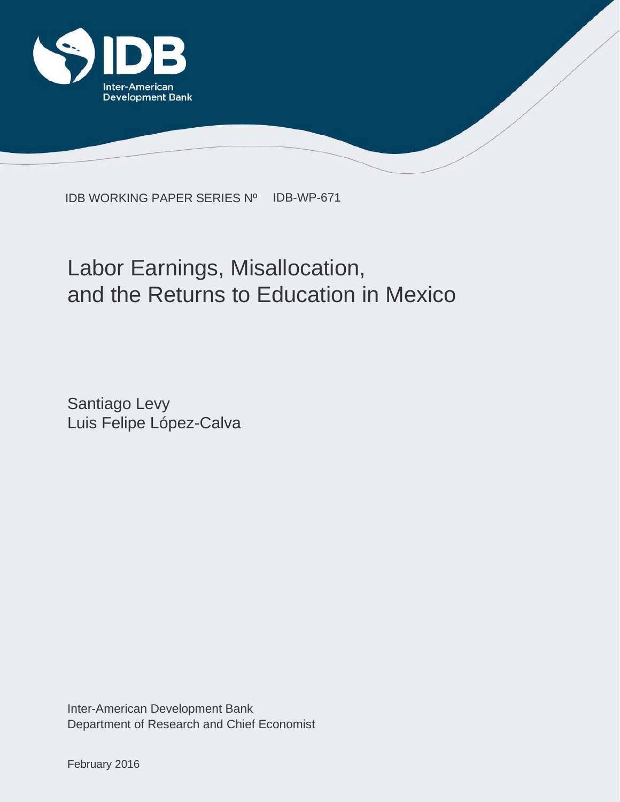

IDB WORKING PAPER SERIES Nº IDB-WP-671

## Labor Earnings, Misallocation, and the Returns to Education in Mexico

Santiago Levy Luis Felipe López-Calva

Department of Research and Chief Economist Inter-American Development Bank

February 2016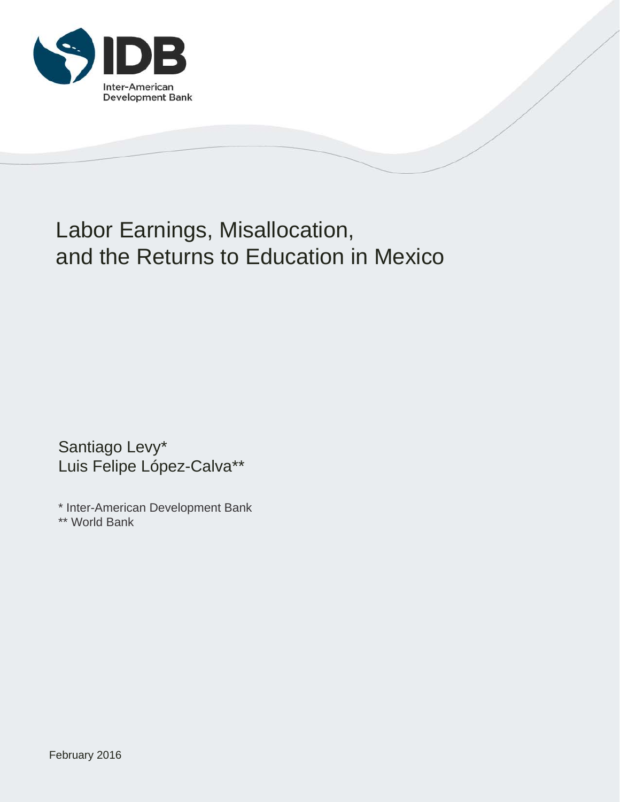

# Labor Earnings, Misallocation, and the Returns to Education in Mexico

Santiago Levy\* Luis Felipe López-Calva\*\*

\* Inter-American Development Bank \*\* World Bank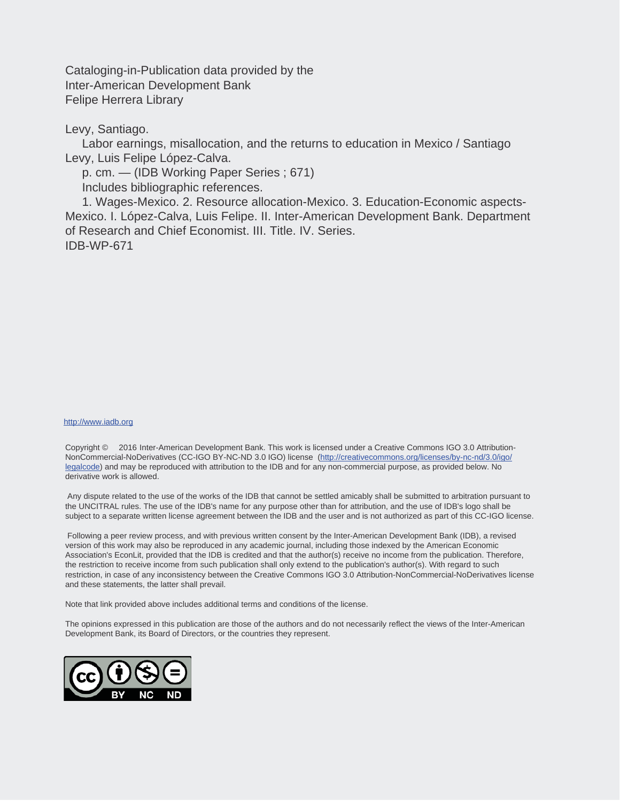Cataloging-in-Publication data provided by the Inter-American Development Bank Felipe Herrera Library

Levy, Santiago.

 Labor earnings, misallocation, and the returns to education in Mexico / Santiago Levy, Luis Felipe López-Calva.

p. cm. — (IDB Working Paper Series ; 671)

Includes bibliographic references.

 1. Wages-Mexico. 2. Resource allocation-Mexico. 3. Education-Economic aspects-Mexico. I. López-Calva, Luis Felipe. II. Inter-American Development Bank. Department of Research and Chief Economist. III. Title. IV. Series. IDB-WP-671

#### http://www.iadb.org

Copyright © 2016 Inter-American Development Bank. This work is licensed under a Creative Commons IGO 3.0 Attribution-NonCommercial-NoDerivatives (CC-IGO BY-NC-ND 3.0 IGO) license (http://creativecommons.org/licenses/by-nc-nd/3.0/igo/ legalcode) and may be reproduced with attribution to the IDB and for any non-commercial purpose, as provided below. No derivative work is allowed.

 Any dispute related to the use of the works of the IDB that cannot be settled amicably shall be submitted to arbitration pursuant to the UNCITRAL rules. The use of the IDB's name for any purpose other than for attribution, and the use of IDB's logo shall be subject to a separate written license agreement between the IDB and the user and is not authorized as part of this CC-IGO license.

 Following a peer review process, and with previous written consent by the Inter-American Development Bank (IDB), a revised version of this work may also be reproduced in any academic journal, including those indexed by the American Economic Association's EconLit, provided that the IDB is credited and that the author(s) receive no income from the publication. Therefore, the restriction to receive income from such publication shall only extend to the publication's author(s). With regard to such restriction, in case of any inconsistency between the Creative Commons IGO 3.0 Attribution-NonCommercial-NoDerivatives license and these statements, the latter shall prevail.

Note that link provided above includes additional terms and conditions of the license.

The opinions expressed in this publication are those of the authors and do not necessarily reflect the views of the Inter-American Development Bank, its Board of Directors, or the countries they represent.

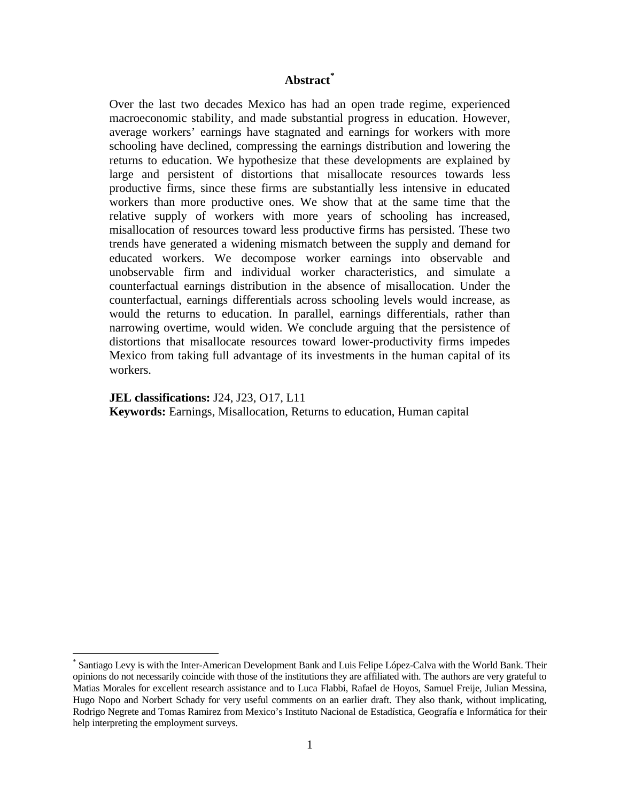## **Abstract[\\*](#page-3-0)**

Over the last two decades Mexico has had an open trade regime, experienced macroeconomic stability, and made substantial progress in education. However, average workers' earnings have stagnated and earnings for workers with more schooling have declined, compressing the earnings distribution and lowering the returns to education. We hypothesize that these developments are explained by large and persistent of distortions that misallocate resources towards less productive firms, since these firms are substantially less intensive in educated workers than more productive ones. We show that at the same time that the relative supply of workers with more years of schooling has increased, misallocation of resources toward less productive firms has persisted. These two trends have generated a widening mismatch between the supply and demand for educated workers. We decompose worker earnings into observable and unobservable firm and individual worker characteristics, and simulate a counterfactual earnings distribution in the absence of misallocation. Under the counterfactual, earnings differentials across schooling levels would increase, as would the returns to education. In parallel, earnings differentials, rather than narrowing overtime, would widen. We conclude arguing that the persistence of distortions that misallocate resources toward lower-productivity firms impedes Mexico from taking full advantage of its investments in the human capital of its workers.

**JEL classifications:** J24, J23, O17, L11

**Keywords:** Earnings, Misallocation, Returns to education, Human capital

<span id="page-3-0"></span>\* Santiago Levy is with the Inter-American Development Bank and Luis Felipe López-Calva with the World Bank. Their opinions do not necessarily coincide with those of the institutions they are affiliated with. The authors are very grateful to Matias Morales for excellent research assistance and to Luca Flabbi, Rafael de Hoyos, Samuel Freije, Julian Messina, Hugo Nopo and Norbert Schady for very useful comments on an earlier draft. They also thank, without implicating, Rodrigo Negrete and Tomas Ramirez from Mexico's Instituto Nacional de Estadística, Geografía e Informática for their help interpreting the employment surveys.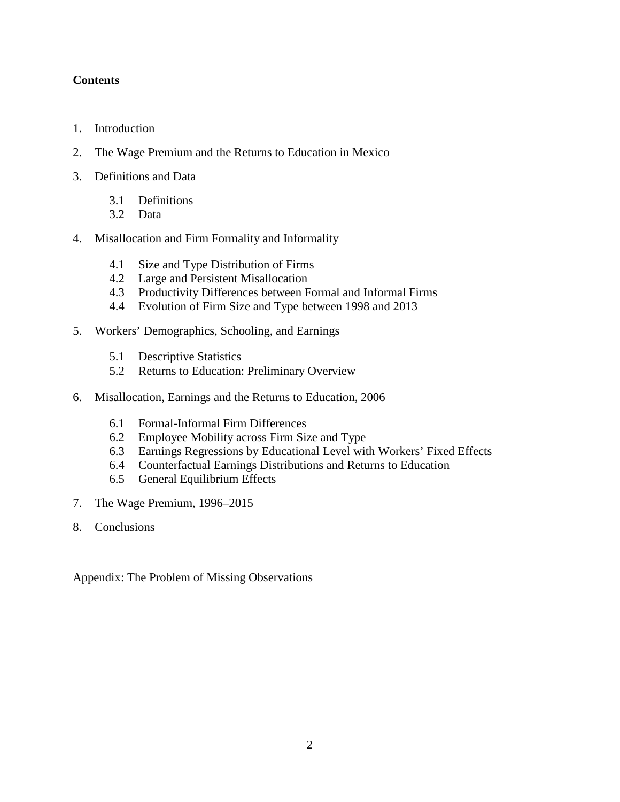## **Contents**

- 1. Introduction
- 2. The Wage Premium and the Returns to Education in Mexico
- 3. Definitions and Data
	- 3.1 Definitions
	- 3.2 Data
- 4. Misallocation and Firm Formality and Informality
	- 4.1 Size and Type Distribution of Firms
	- 4.2 Large and Persistent Misallocation
	- 4.3 Productivity Differences between Formal and Informal Firms
	- 4.4 Evolution of Firm Size and Type between 1998 and 2013
- 5. Workers' Demographics, Schooling, and Earnings
	- 5.1 Descriptive Statistics
	- 5.2 Returns to Education: Preliminary Overview
- 6. Misallocation, Earnings and the Returns to Education, 2006
	- 6.1 Formal-Informal Firm Differences
	- 6.2 Employee Mobility across Firm Size and Type
	- 6.3 Earnings Regressions by Educational Level with Workers' Fixed Effects
	- 6.4 Counterfactual Earnings Distributions and Returns to Education
	- 6.5 General Equilibrium Effects
- 7. The Wage Premium, 1996–2015
- 8. Conclusions

Appendix: The Problem of Missing Observations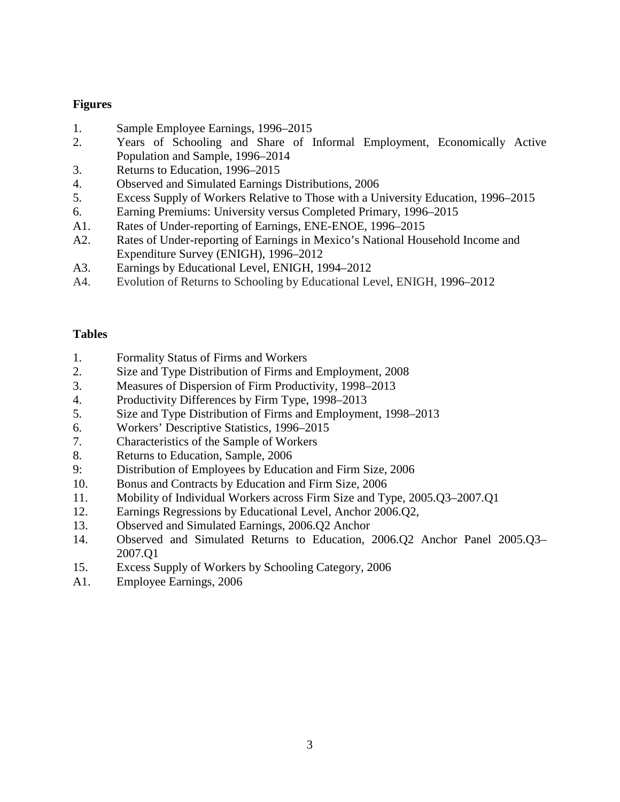## **Figures**

- 1. Sample Employee Earnings, 1996–2015
- 2. Years of Schooling and Share of Informal Employment, Economically Active Population and Sample, 1996–2014
- 3. Returns to Education, 1996–2015
- 4. Observed and Simulated Earnings Distributions, 2006
- 5. Excess Supply of Workers Relative to Those with a University Education, 1996–2015
- 6. Earning Premiums: University versus Completed Primary, 1996–2015
- A1. Rates of Under-reporting of Earnings, ENE-ENOE, 1996–2015
- A2. Rates of Under-reporting of Earnings in Mexico's National Household Income and Expenditure Survey (ENIGH), 1996–2012
- A3. Earnings by Educational Level, ENIGH, 1994–2012
- A4. Evolution of Returns to Schooling by Educational Level, ENIGH, 1996–2012

## **Tables**

- 1. Formality Status of Firms and Workers
- 2. Size and Type Distribution of Firms and Employment, 2008
- 3. Measures of Dispersion of Firm Productivity, 1998–2013
- 4. Productivity Differences by Firm Type, 1998–2013
- 5. Size and Type Distribution of Firms and Employment, 1998–2013
- 6. Workers' Descriptive Statistics, 1996–2015
- 7. Characteristics of the Sample of Workers
- 8. Returns to Education, Sample, 2006
- 9: Distribution of Employees by Education and Firm Size, 2006
- 10. Bonus and Contracts by Education and Firm Size, 2006
- 11. Mobility of Individual Workers across Firm Size and Type, 2005.Q3–2007.Q1
- 12. Earnings Regressions by Educational Level, Anchor 2006.Q2,
- 13. Observed and Simulated Earnings, 2006.Q2 Anchor
- 14. Observed and Simulated Returns to Education, 2006.Q2 Anchor Panel 2005.Q3– 2007.Q1
- 15. Excess Supply of Workers by Schooling Category, 2006
- A1. Employee Earnings, 2006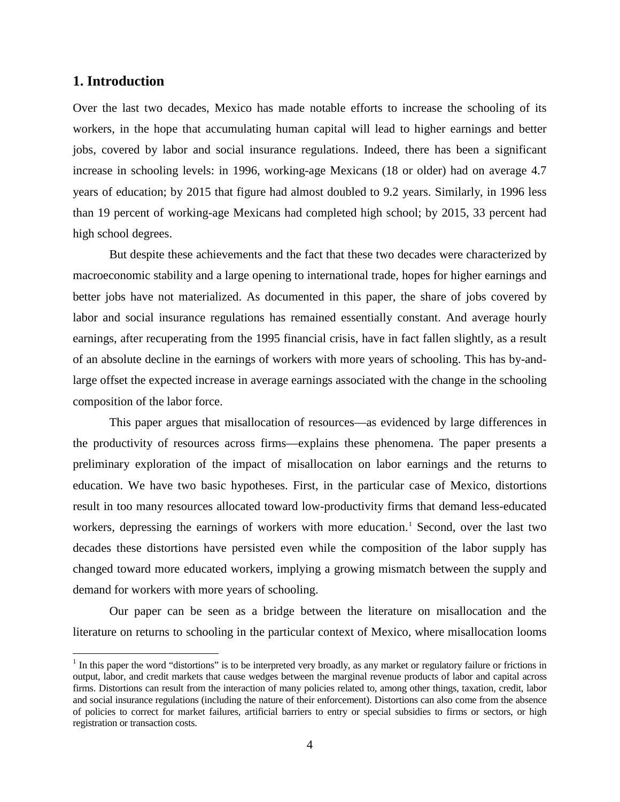## **1. Introduction**

Over the last two decades, Mexico has made notable efforts to increase the schooling of its workers, in the hope that accumulating human capital will lead to higher earnings and better jobs, covered by labor and social insurance regulations. Indeed, there has been a significant increase in schooling levels: in 1996, working-age Mexicans (18 or older) had on average 4.7 years of education; by 2015 that figure had almost doubled to 9.2 years. Similarly, in 1996 less than 19 percent of working-age Mexicans had completed high school; by 2015, 33 percent had high school degrees.

But despite these achievements and the fact that these two decades were characterized by macroeconomic stability and a large opening to international trade, hopes for higher earnings and better jobs have not materialized. As documented in this paper, the share of jobs covered by labor and social insurance regulations has remained essentially constant. And average hourly earnings, after recuperating from the 1995 financial crisis, have in fact fallen slightly, as a result of an absolute decline in the earnings of workers with more years of schooling. This has by-andlarge offset the expected increase in average earnings associated with the change in the schooling composition of the labor force.

This paper argues that misallocation of resources—as evidenced by large differences in the productivity of resources across firms—explains these phenomena. The paper presents a preliminary exploration of the impact of misallocation on labor earnings and the returns to education. We have two basic hypotheses. First, in the particular case of Mexico, distortions result in too many resources allocated toward low-productivity firms that demand less-educated workers, depressing the earnings of workers with more education. [1](#page-6-0) Second, over the last two decades these distortions have persisted even while the composition of the labor supply has changed toward more educated workers, implying a growing mismatch between the supply and demand for workers with more years of schooling.

Our paper can be seen as a bridge between the literature on misallocation and the literature on returns to schooling in the particular context of Mexico, where misallocation looms

<span id="page-6-0"></span> $<sup>1</sup>$  In this paper the word "distortions" is to be interpreted very broadly, as any market or regulatory failure or frictions in</sup> output, labor, and credit markets that cause wedges between the marginal revenue products of labor and capital across firms. Distortions can result from the interaction of many policies related to, among other things, taxation, credit, labor and social insurance regulations (including the nature of their enforcement). Distortions can also come from the absence of policies to correct for market failures, artificial barriers to entry or special subsidies to firms or sectors, or high registration or transaction costs.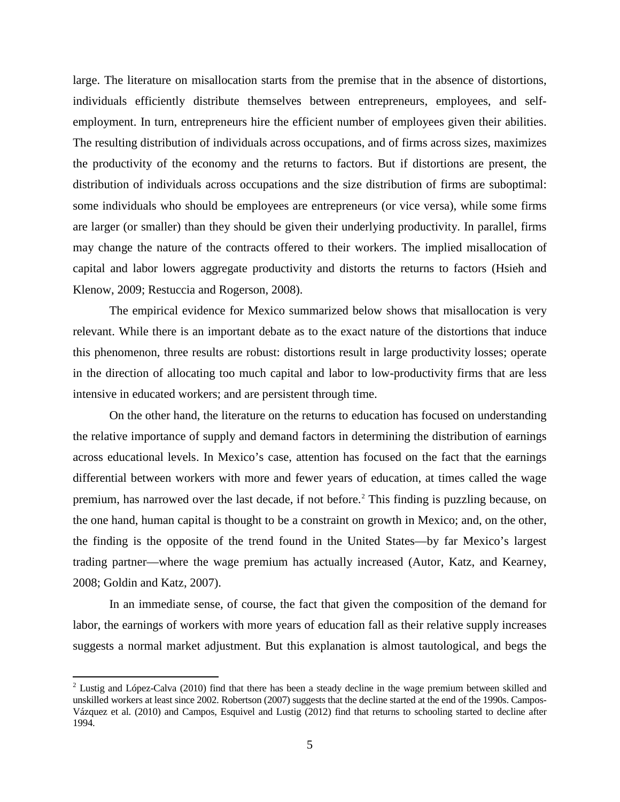large. The literature on misallocation starts from the premise that in the absence of distortions, individuals efficiently distribute themselves between entrepreneurs, employees, and selfemployment. In turn, entrepreneurs hire the efficient number of employees given their abilities. The resulting distribution of individuals across occupations, and of firms across sizes, maximizes the productivity of the economy and the returns to factors. But if distortions are present, the distribution of individuals across occupations and the size distribution of firms are suboptimal: some individuals who should be employees are entrepreneurs (or vice versa), while some firms are larger (or smaller) than they should be given their underlying productivity. In parallel, firms may change the nature of the contracts offered to their workers. The implied misallocation of capital and labor lowers aggregate productivity and distorts the returns to factors (Hsieh and Klenow, 2009; Restuccia and Rogerson, 2008).

The empirical evidence for Mexico summarized below shows that misallocation is very relevant. While there is an important debate as to the exact nature of the distortions that induce this phenomenon, three results are robust: distortions result in large productivity losses; operate in the direction of allocating too much capital and labor to low-productivity firms that are less intensive in educated workers; and are persistent through time.

On the other hand, the literature on the returns to education has focused on understanding the relative importance of supply and demand factors in determining the distribution of earnings across educational levels. In Mexico's case, attention has focused on the fact that the earnings differential between workers with more and fewer years of education, at times called the wage premium, has narrowed over the last decade, if not before.<sup>[2](#page-7-0)</sup> This finding is puzzling because, on the one hand, human capital is thought to be a constraint on growth in Mexico; and, on the other, the finding is the opposite of the trend found in the United States—by far Mexico's largest trading partner—where the wage premium has actually increased (Autor, Katz, and Kearney, 2008; Goldin and Katz, 2007).

In an immediate sense, of course, the fact that given the composition of the demand for labor, the earnings of workers with more years of education fall as their relative supply increases suggests a normal market adjustment. But this explanation is almost tautological, and begs the

<span id="page-7-0"></span> $2$  Lustig and López-Calva (2010) find that there has been a steady decline in the wage premium between skilled and unskilled workers at least since 2002. Robertson (2007) suggests that the decline started at the end of the 1990s. Campos-Vázquez et al. (2010) and Campos, Esquivel and Lustig (2012) find that returns to schooling started to decline after 1994.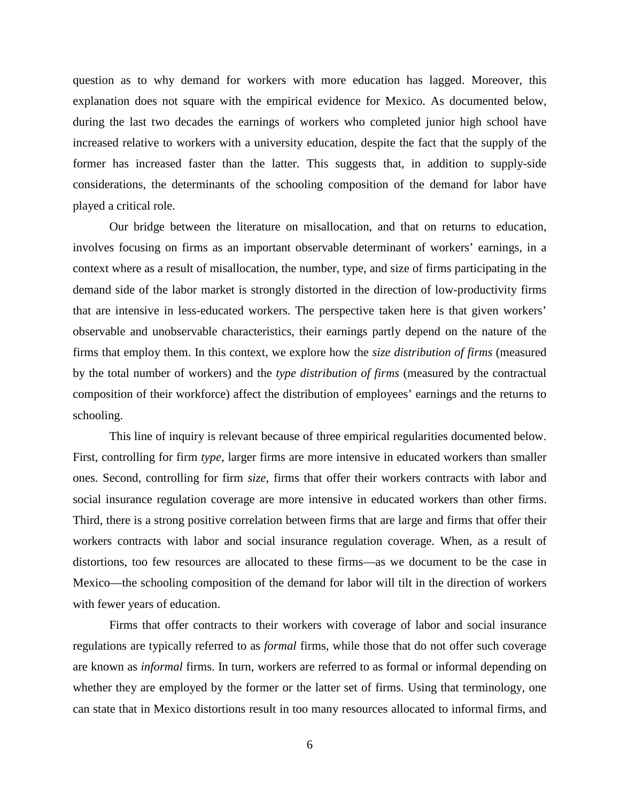question as to why demand for workers with more education has lagged. Moreover, this explanation does not square with the empirical evidence for Mexico. As documented below, during the last two decades the earnings of workers who completed junior high school have increased relative to workers with a university education, despite the fact that the supply of the former has increased faster than the latter. This suggests that, in addition to supply-side considerations, the determinants of the schooling composition of the demand for labor have played a critical role.

Our bridge between the literature on misallocation, and that on returns to education, involves focusing on firms as an important observable determinant of workers' earnings, in a context where as a result of misallocation, the number, type, and size of firms participating in the demand side of the labor market is strongly distorted in the direction of low-productivity firms that are intensive in less-educated workers. The perspective taken here is that given workers' observable and unobservable characteristics, their earnings partly depend on the nature of the firms that employ them. In this context, we explore how the *size distribution of firms* (measured by the total number of workers) and the *type distribution of firms* (measured by the contractual composition of their workforce) affect the distribution of employees' earnings and the returns to schooling.

This line of inquiry is relevant because of three empirical regularities documented below. First, controlling for firm *type*, larger firms are more intensive in educated workers than smaller ones. Second, controlling for firm *size*, firms that offer their workers contracts with labor and social insurance regulation coverage are more intensive in educated workers than other firms. Third, there is a strong positive correlation between firms that are large and firms that offer their workers contracts with labor and social insurance regulation coverage. When, as a result of distortions, too few resources are allocated to these firms—as we document to be the case in Mexico—the schooling composition of the demand for labor will tilt in the direction of workers with fewer years of education.

Firms that offer contracts to their workers with coverage of labor and social insurance regulations are typically referred to as *formal* firms, while those that do not offer such coverage are known as *informal* firms. In turn, workers are referred to as formal or informal depending on whether they are employed by the former or the latter set of firms. Using that terminology, one can state that in Mexico distortions result in too many resources allocated to informal firms, and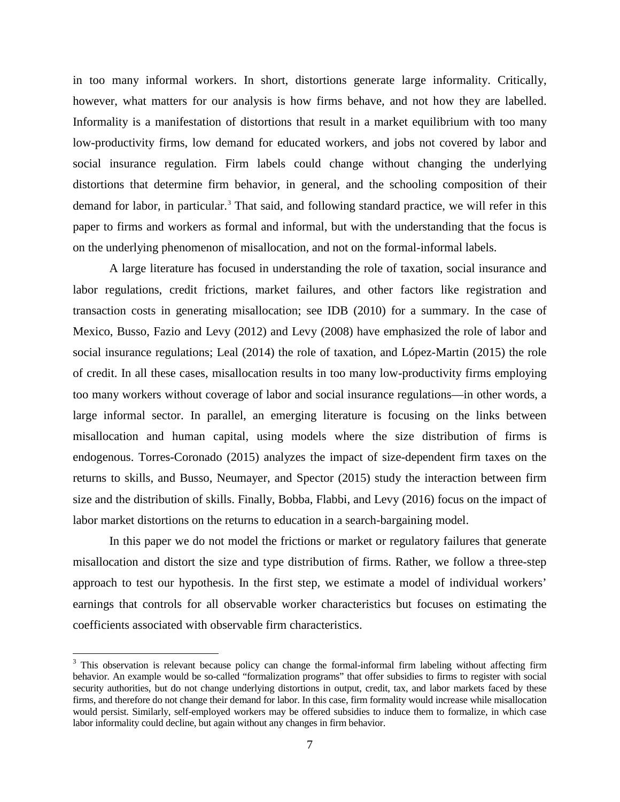in too many informal workers. In short, distortions generate large informality. Critically, however, what matters for our analysis is how firms behave, and not how they are labelled. Informality is a manifestation of distortions that result in a market equilibrium with too many low-productivity firms, low demand for educated workers, and jobs not covered by labor and social insurance regulation. Firm labels could change without changing the underlying distortions that determine firm behavior, in general, and the schooling composition of their demand for labor, in particular.<sup>[3](#page-9-0)</sup> That said, and following standard practice, we will refer in this paper to firms and workers as formal and informal, but with the understanding that the focus is on the underlying phenomenon of misallocation, and not on the formal-informal labels.

A large literature has focused in understanding the role of taxation, social insurance and labor regulations, credit frictions, market failures, and other factors like registration and transaction costs in generating misallocation; see IDB (2010) for a summary. In the case of Mexico, Busso, Fazio and Levy (2012) and Levy (2008) have emphasized the role of labor and social insurance regulations; Leal (2014) the role of taxation, and López-Martin (2015) the role of credit. In all these cases, misallocation results in too many low-productivity firms employing too many workers without coverage of labor and social insurance regulations—in other words, a large informal sector. In parallel, an emerging literature is focusing on the links between misallocation and human capital, using models where the size distribution of firms is endogenous. Torres-Coronado (2015) analyzes the impact of size-dependent firm taxes on the returns to skills, and Busso, Neumayer, and Spector (2015) study the interaction between firm size and the distribution of skills. Finally, Bobba, Flabbi, and Levy (2016) focus on the impact of labor market distortions on the returns to education in a search-bargaining model.

In this paper we do not model the frictions or market or regulatory failures that generate misallocation and distort the size and type distribution of firms. Rather, we follow a three-step approach to test our hypothesis. In the first step, we estimate a model of individual workers' earnings that controls for all observable worker characteristics but focuses on estimating the coefficients associated with observable firm characteristics.

<span id="page-9-0"></span> $3$  This observation is relevant because policy can change the formal-informal firm labeling without affecting firm behavior. An example would be so-called "formalization programs" that offer subsidies to firms to register with social security authorities, but do not change underlying distortions in output, credit, tax, and labor markets faced by these firms, and therefore do not change their demand for labor. In this case, firm formality would increase while misallocation would persist. Similarly, self-employed workers may be offered subsidies to induce them to formalize, in which case labor informality could decline, but again without any changes in firm behavior.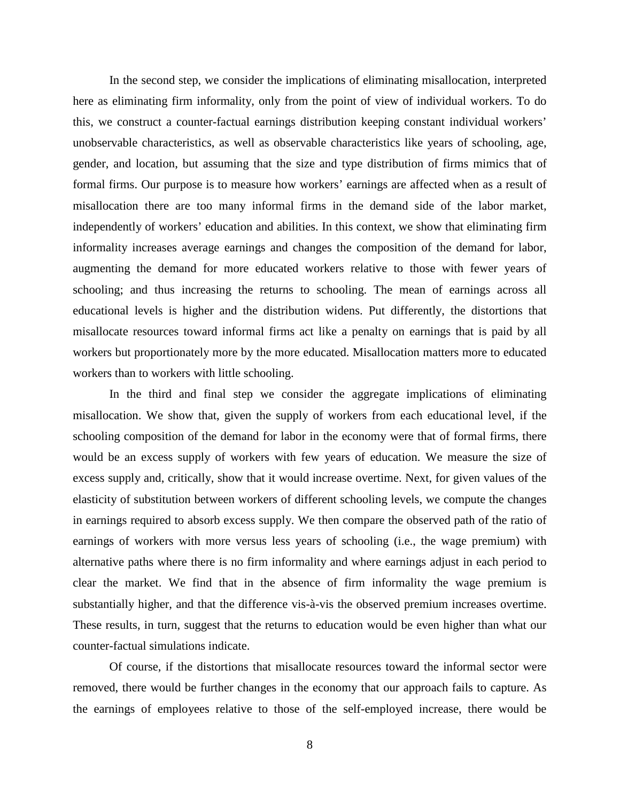In the second step, we consider the implications of eliminating misallocation, interpreted here as eliminating firm informality, only from the point of view of individual workers. To do this, we construct a counter-factual earnings distribution keeping constant individual workers' unobservable characteristics, as well as observable characteristics like years of schooling, age, gender, and location, but assuming that the size and type distribution of firms mimics that of formal firms. Our purpose is to measure how workers' earnings are affected when as a result of misallocation there are too many informal firms in the demand side of the labor market, independently of workers' education and abilities. In this context, we show that eliminating firm informality increases average earnings and changes the composition of the demand for labor, augmenting the demand for more educated workers relative to those with fewer years of schooling; and thus increasing the returns to schooling. The mean of earnings across all educational levels is higher and the distribution widens. Put differently, the distortions that misallocate resources toward informal firms act like a penalty on earnings that is paid by all workers but proportionately more by the more educated. Misallocation matters more to educated workers than to workers with little schooling.

In the third and final step we consider the aggregate implications of eliminating misallocation. We show that, given the supply of workers from each educational level, if the schooling composition of the demand for labor in the economy were that of formal firms, there would be an excess supply of workers with few years of education. We measure the size of excess supply and, critically, show that it would increase overtime. Next, for given values of the elasticity of substitution between workers of different schooling levels, we compute the changes in earnings required to absorb excess supply. We then compare the observed path of the ratio of earnings of workers with more versus less years of schooling (i.e., the wage premium) with alternative paths where there is no firm informality and where earnings adjust in each period to clear the market. We find that in the absence of firm informality the wage premium is substantially higher, and that the difference vis-à-vis the observed premium increases overtime. These results, in turn, suggest that the returns to education would be even higher than what our counter-factual simulations indicate.

Of course, if the distortions that misallocate resources toward the informal sector were removed, there would be further changes in the economy that our approach fails to capture. As the earnings of employees relative to those of the self-employed increase, there would be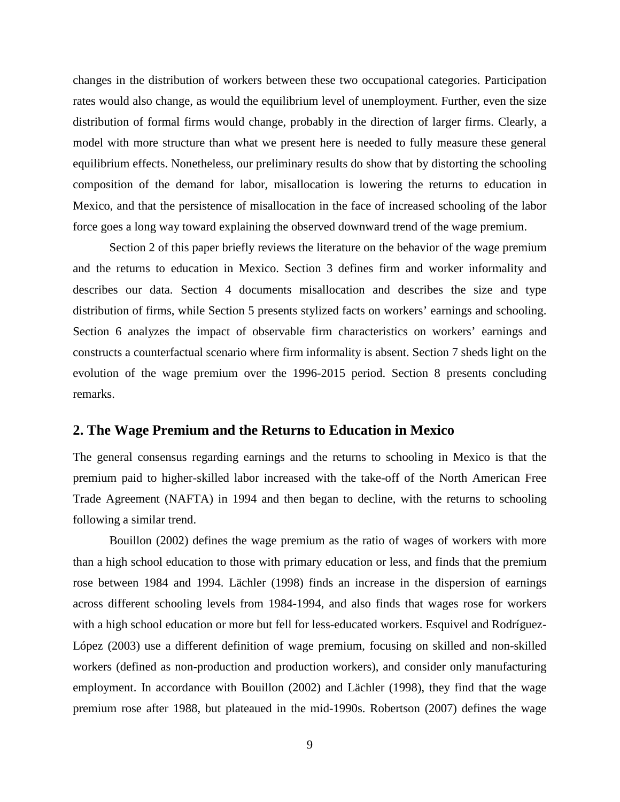changes in the distribution of workers between these two occupational categories. Participation rates would also change, as would the equilibrium level of unemployment. Further, even the size distribution of formal firms would change, probably in the direction of larger firms. Clearly, a model with more structure than what we present here is needed to fully measure these general equilibrium effects. Nonetheless, our preliminary results do show that by distorting the schooling composition of the demand for labor, misallocation is lowering the returns to education in Mexico, and that the persistence of misallocation in the face of increased schooling of the labor force goes a long way toward explaining the observed downward trend of the wage premium.

Section 2 of this paper briefly reviews the literature on the behavior of the wage premium and the returns to education in Mexico. Section 3 defines firm and worker informality and describes our data. Section 4 documents misallocation and describes the size and type distribution of firms, while Section 5 presents stylized facts on workers' earnings and schooling. Section 6 analyzes the impact of observable firm characteristics on workers' earnings and constructs a counterfactual scenario where firm informality is absent. Section 7 sheds light on the evolution of the wage premium over the 1996-2015 period. Section 8 presents concluding remarks.

#### **2. The Wage Premium and the Returns to Education in Mexico**

The general consensus regarding earnings and the returns to schooling in Mexico is that the premium paid to higher-skilled labor increased with the take-off of the North American Free Trade Agreement (NAFTA) in 1994 and then began to decline, with the returns to schooling following a similar trend.

Bouillon (2002) defines the wage premium as the ratio of wages of workers with more than a high school education to those with primary education or less, and finds that the premium rose between 1984 and 1994. Lächler (1998) finds an increase in the dispersion of earnings across different schooling levels from 1984-1994, and also finds that wages rose for workers with a high school education or more but fell for less-educated workers. Esquivel and Rodríguez-López (2003) use a different definition of wage premium, focusing on skilled and non-skilled workers (defined as non-production and production workers), and consider only manufacturing employment. In accordance with Bouillon (2002) and Lächler (1998), they find that the wage premium rose after 1988, but plateaued in the mid-1990s. Robertson (2007) defines the wage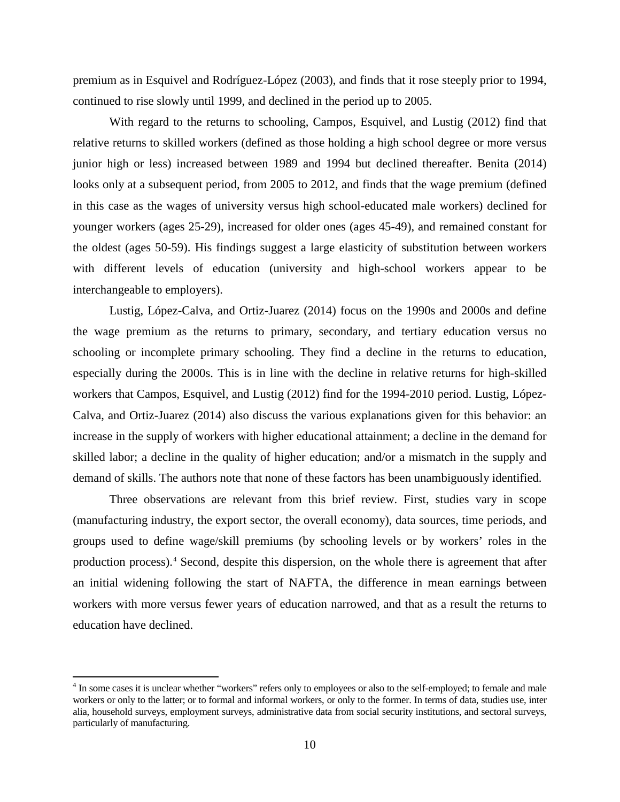premium as in Esquivel and Rodríguez-López (2003), and finds that it rose steeply prior to 1994, continued to rise slowly until 1999, and declined in the period up to 2005.

With regard to the returns to schooling, Campos, Esquivel, and Lustig (2012) find that relative returns to skilled workers (defined as those holding a high school degree or more versus junior high or less) increased between 1989 and 1994 but declined thereafter. Benita (2014) looks only at a subsequent period, from 2005 to 2012, and finds that the wage premium (defined in this case as the wages of university versus high school-educated male workers) declined for younger workers (ages 25-29), increased for older ones (ages 45-49), and remained constant for the oldest (ages 50-59). His findings suggest a large elasticity of substitution between workers with different levels of education (university and high-school workers appear to be interchangeable to employers).

Lustig, López-Calva, and Ortiz-Juarez (2014) focus on the 1990s and 2000s and define the wage premium as the returns to primary, secondary, and tertiary education versus no schooling or incomplete primary schooling. They find a decline in the returns to education, especially during the 2000s. This is in line with the decline in relative returns for high-skilled workers that Campos, Esquivel, and Lustig (2012) find for the 1994-2010 period. Lustig, López-Calva, and Ortiz-Juarez (2014) also discuss the various explanations given for this behavior: an increase in the supply of workers with higher educational attainment; a decline in the demand for skilled labor; a decline in the quality of higher education; and/or a mismatch in the supply and demand of skills. The authors note that none of these factors has been unambiguously identified.

Three observations are relevant from this brief review. First, studies vary in scope (manufacturing industry, the export sector, the overall economy), data sources, time periods, and groups used to define wage/skill premiums (by schooling levels or by workers' roles in the production process). [4](#page-12-0) Second, despite this dispersion, on the whole there is agreement that after an initial widening following the start of NAFTA, the difference in mean earnings between workers with more versus fewer years of education narrowed, and that as a result the returns to education have declined.

<span id="page-12-0"></span><sup>&</sup>lt;sup>4</sup> In some cases it is unclear whether "workers" refers only to employees or also to the self-employed; to female and male workers or only to the latter; or to formal and informal workers, or only to the former. In terms of data, studies use, inter alia, household surveys, employment surveys, administrative data from social security institutions, and sectoral surveys, particularly of manufacturing.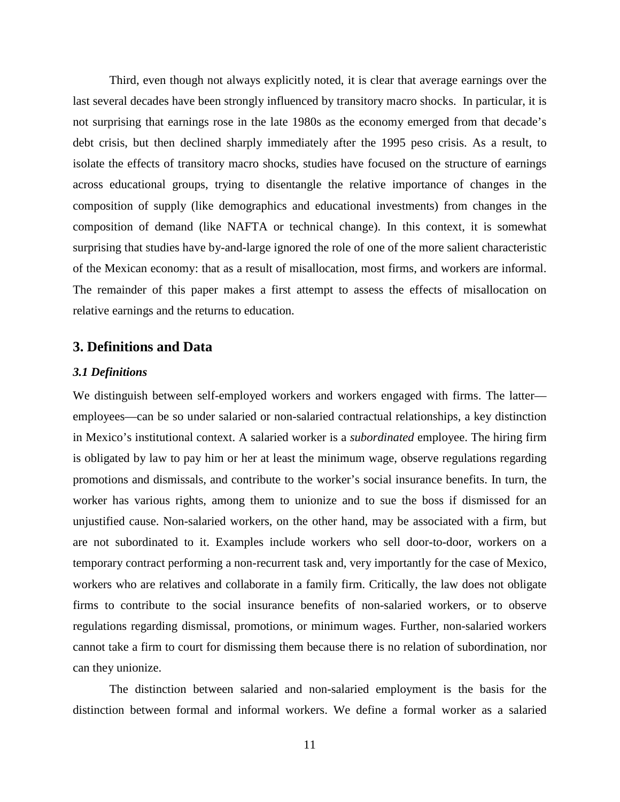Third, even though not always explicitly noted, it is clear that average earnings over the last several decades have been strongly influenced by transitory macro shocks. In particular, it is not surprising that earnings rose in the late 1980s as the economy emerged from that decade's debt crisis, but then declined sharply immediately after the 1995 peso crisis. As a result, to isolate the effects of transitory macro shocks, studies have focused on the structure of earnings across educational groups, trying to disentangle the relative importance of changes in the composition of supply (like demographics and educational investments) from changes in the composition of demand (like NAFTA or technical change). In this context, it is somewhat surprising that studies have by-and-large ignored the role of one of the more salient characteristic of the Mexican economy: that as a result of misallocation, most firms, and workers are informal. The remainder of this paper makes a first attempt to assess the effects of misallocation on relative earnings and the returns to education.

## **3. Definitions and Data**

#### *3.1 Definitions*

We distinguish between self-employed workers and workers engaged with firms. The latter employees—can be so under salaried or non-salaried contractual relationships, a key distinction in Mexico's institutional context. A salaried worker is a *subordinated* employee. The hiring firm is obligated by law to pay him or her at least the minimum wage, observe regulations regarding promotions and dismissals, and contribute to the worker's social insurance benefits. In turn, the worker has various rights, among them to unionize and to sue the boss if dismissed for an unjustified cause. Non-salaried workers, on the other hand, may be associated with a firm, but are not subordinated to it. Examples include workers who sell door-to-door, workers on a temporary contract performing a non-recurrent task and, very importantly for the case of Mexico, workers who are relatives and collaborate in a family firm. Critically, the law does not obligate firms to contribute to the social insurance benefits of non-salaried workers, or to observe regulations regarding dismissal, promotions, or minimum wages. Further, non-salaried workers cannot take a firm to court for dismissing them because there is no relation of subordination, nor can they unionize.

The distinction between salaried and non-salaried employment is the basis for the distinction between formal and informal workers. We define a formal worker as a salaried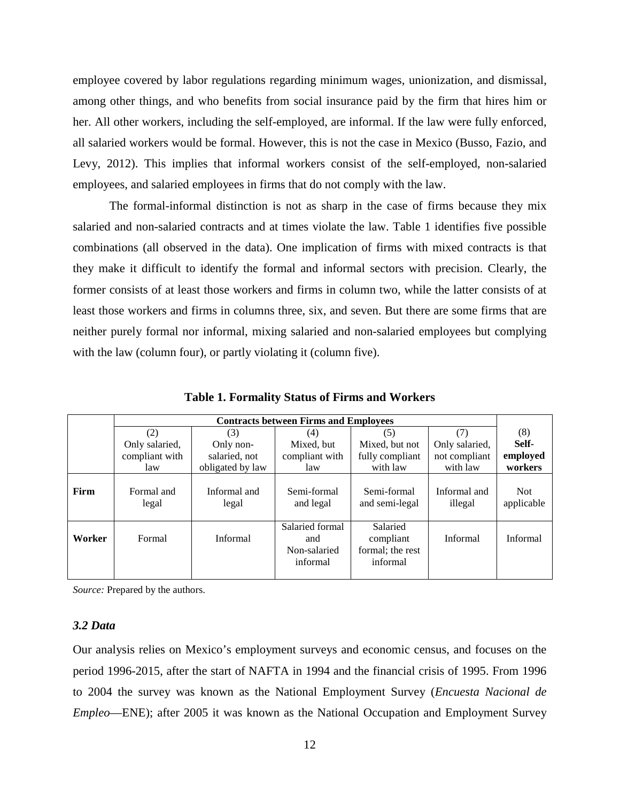employee covered by labor regulations regarding minimum wages, unionization, and dismissal, among other things, and who benefits from social insurance paid by the firm that hires him or her. All other workers, including the self-employed, are informal. If the law were fully enforced, all salaried workers would be formal. However, this is not the case in Mexico (Busso, Fazio, and Levy, 2012). This implies that informal workers consist of the self-employed, non-salaried employees, and salaried employees in firms that do not comply with the law.

The formal-informal distinction is not as sharp in the case of firms because they mix salaried and non-salaried contracts and at times violate the law. Table 1 identifies five possible combinations (all observed in the data). One implication of firms with mixed contracts is that they make it difficult to identify the formal and informal sectors with precision. Clearly, the former consists of at least those workers and firms in column two, while the latter consists of at least those workers and firms in columns three, six, and seven. But there are some firms that are neither purely formal nor informal, mixing salaried and non-salaried employees but complying with the law (column four), or partly violating it (column five).

|        |                     |                       | <b>Contracts between Firms and Employees</b>       |                                                       |                         |                          |
|--------|---------------------|-----------------------|----------------------------------------------------|-------------------------------------------------------|-------------------------|--------------------------|
|        | (2)                 | (3)                   | (4)                                                | (5)                                                   | (7)                     | (8)                      |
|        | Only salaried,      | Only non-             | Mixed, but                                         | Mixed, but not                                        | Only salaried,          | Self-                    |
|        | compliant with      | salaried, not         | compliant with                                     | fully compliant                                       | not compliant           | employed                 |
|        | law                 | obligated by law      | law                                                | with law                                              | with law                | workers                  |
| Firm   | Formal and<br>legal | Informal and<br>legal | Semi-formal<br>and legal                           | Semi-formal<br>and semi-legal                         | Informal and<br>illegal | <b>Not</b><br>applicable |
| Worker | Formal              | <b>Informal</b>       | Salaried formal<br>and<br>Non-salaried<br>informal | Salaried<br>compliant<br>formal; the rest<br>informal | <b>Informal</b>         | Informal                 |

**Table 1. Formality Status of Firms and Workers**

*Source:* Prepared by the authors.

#### *3.2 Data*

Our analysis relies on Mexico's employment surveys and economic census, and focuses on the period 1996-2015, after the start of NAFTA in 1994 and the financial crisis of 1995. From 1996 to 2004 the survey was known as the National Employment Survey (*Encuesta Nacional de Empleo*—ENE); after 2005 it was known as the National Occupation and Employment Survey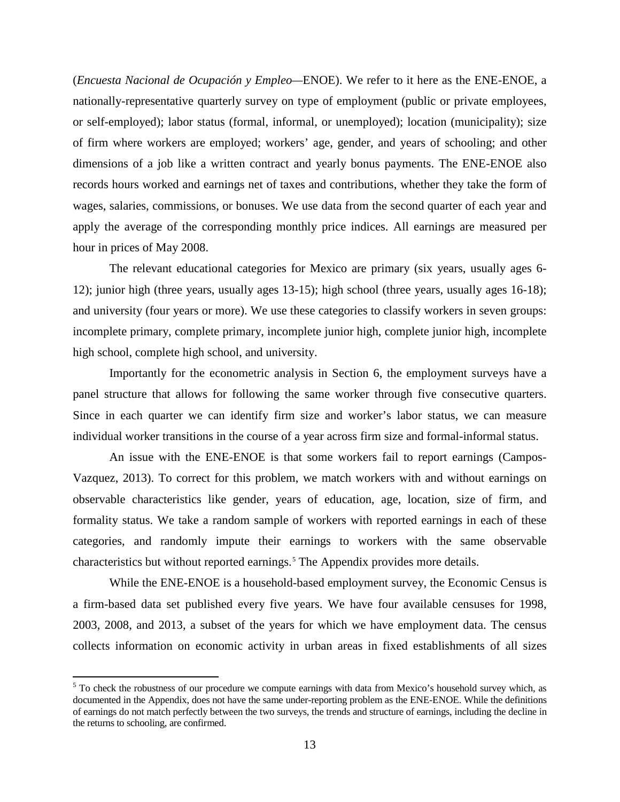(*Encuesta Nacional de Ocupación y Empleo—*ENOE). We refer to it here as the ENE-ENOE, a nationally-representative quarterly survey on type of employment (public or private employees, or self-employed); labor status (formal, informal, or unemployed); location (municipality); size of firm where workers are employed; workers' age, gender, and years of schooling; and other dimensions of a job like a written contract and yearly bonus payments. The ENE-ENOE also records hours worked and earnings net of taxes and contributions, whether they take the form of wages, salaries, commissions, or bonuses. We use data from the second quarter of each year and apply the average of the corresponding monthly price indices. All earnings are measured per hour in prices of May 2008.

The relevant educational categories for Mexico are primary (six years, usually ages 6- 12); junior high (three years, usually ages 13-15); high school (three years, usually ages 16-18); and university (four years or more). We use these categories to classify workers in seven groups: incomplete primary, complete primary, incomplete junior high, complete junior high, incomplete high school, complete high school, and university.

Importantly for the econometric analysis in Section 6, the employment surveys have a panel structure that allows for following the same worker through five consecutive quarters. Since in each quarter we can identify firm size and worker's labor status, we can measure individual worker transitions in the course of a year across firm size and formal-informal status.

An issue with the ENE-ENOE is that some workers fail to report earnings (Campos-Vazquez, 2013). To correct for this problem, we match workers with and without earnings on observable characteristics like gender, years of education, age, location, size of firm, and formality status. We take a random sample of workers with reported earnings in each of these categories, and randomly impute their earnings to workers with the same observable characteristics but without reported earnings. [5](#page-15-0) The Appendix provides more details.

While the ENE-ENOE is a household-based employment survey, the Economic Census is a firm-based data set published every five years. We have four available censuses for 1998, 2003, 2008, and 2013, a subset of the years for which we have employment data. The census collects information on economic activity in urban areas in fixed establishments of all sizes

<span id="page-15-0"></span> $<sup>5</sup>$  To check the robustness of our procedure we compute earnings with data from Mexico's household survey which, as</sup> documented in the Appendix, does not have the same under-reporting problem as the ENE-ENOE. While the definitions of earnings do not match perfectly between the two surveys, the trends and structure of earnings, including the decline in the returns to schooling, are confirmed.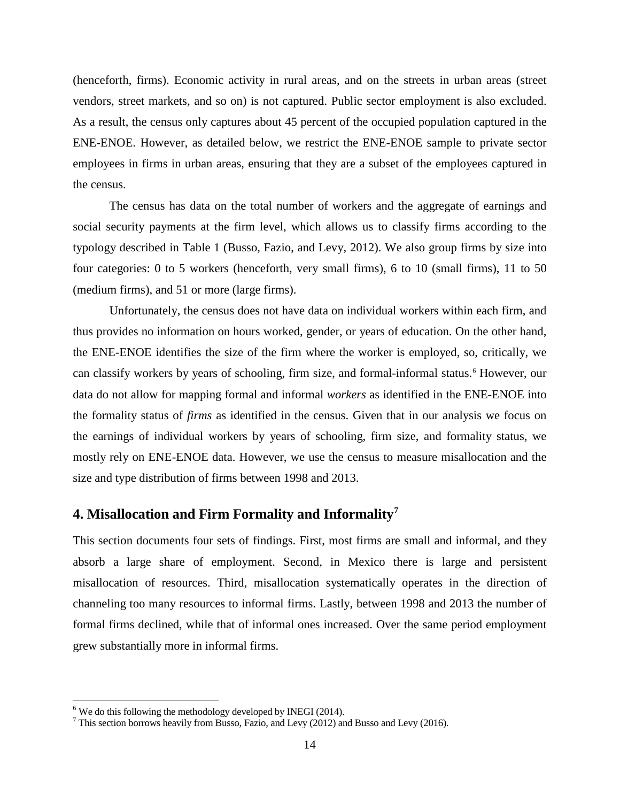(henceforth, firms). Economic activity in rural areas, and on the streets in urban areas (street vendors, street markets, and so on) is not captured. Public sector employment is also excluded. As a result, the census only captures about 45 percent of the occupied population captured in the ENE-ENOE. However, as detailed below, we restrict the ENE-ENOE sample to private sector employees in firms in urban areas, ensuring that they are a subset of the employees captured in the census.

The census has data on the total number of workers and the aggregate of earnings and social security payments at the firm level, which allows us to classify firms according to the typology described in Table 1 (Busso, Fazio, and Levy, 2012). We also group firms by size into four categories: 0 to 5 workers (henceforth, very small firms), 6 to 10 (small firms), 11 to 50 (medium firms), and 51 or more (large firms).

Unfortunately, the census does not have data on individual workers within each firm, and thus provides no information on hours worked, gender, or years of education. On the other hand, the ENE-ENOE identifies the size of the firm where the worker is employed, so, critically, we can classify workers by years of schooling, firm size, and formal-informal status. [6](#page-16-0) However, our data do not allow for mapping formal and informal *workers* as identified in the ENE-ENOE into the formality status of *firms* as identified in the census. Given that in our analysis we focus on the earnings of individual workers by years of schooling, firm size, and formality status, we mostly rely on ENE-ENOE data. However, we use the census to measure misallocation and the size and type distribution of firms between 1998 and 2013.

## **4. Misallocation and Firm Formality and Informality[7](#page-16-1)**

This section documents four sets of findings. First, most firms are small and informal, and they absorb a large share of employment. Second, in Mexico there is large and persistent misallocation of resources. Third, misallocation systematically operates in the direction of channeling too many resources to informal firms. Lastly, between 1998 and 2013 the number of formal firms declined, while that of informal ones increased. Over the same period employment grew substantially more in informal firms.

<span id="page-16-0"></span> $6$  We do this following the methodology developed by INEGI (2014).

<span id="page-16-1"></span> $^7$  This section borrows heavily from Busso, Fazio, and Levy (2012) and Busso and Levy (2016).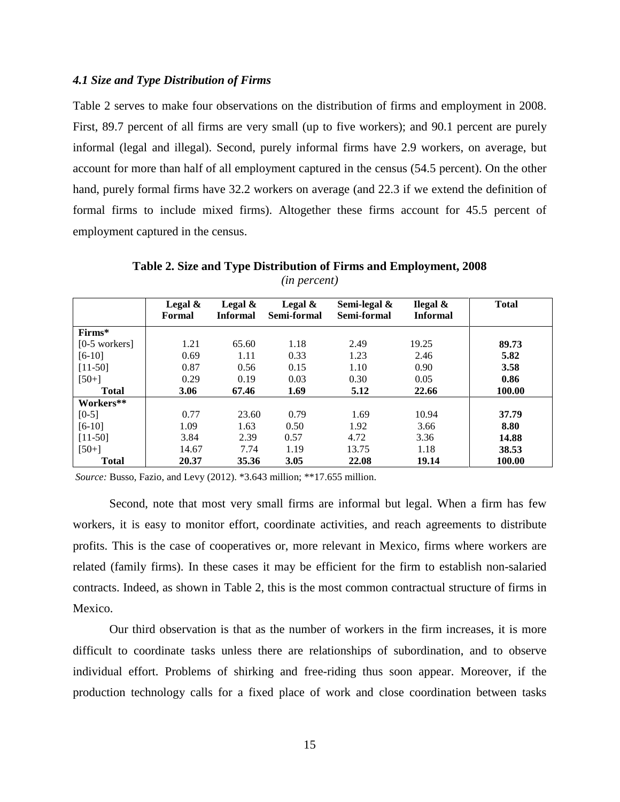#### *4.1 Size and Type Distribution of Firms*

Table 2 serves to make four observations on the distribution of firms and employment in 2008. First, 89.7 percent of all firms are very small (up to five workers); and 90.1 percent are purely informal (legal and illegal). Second, purely informal firms have 2.9 workers, on average, but account for more than half of all employment captured in the census (54.5 percent). On the other hand, purely formal firms have 32.2 workers on average (and 22.3 if we extend the definition of formal firms to include mixed firms). Altogether these firms account for 45.5 percent of employment captured in the census.

|                 | Legal $\&$<br>Formal | Legal $\&$<br><b>Informal</b> | Legal $\&$<br>Semi-formal | Semi-legal $\&$<br>Semi-formal | Ilegal $\&$<br><b>Informal</b> | <b>Total</b> |
|-----------------|----------------------|-------------------------------|---------------------------|--------------------------------|--------------------------------|--------------|
| Firms*          |                      |                               |                           |                                |                                |              |
| $[0-5$ workers] | 1.21                 | 65.60                         | 1.18                      | 2.49                           | 19.25                          | 89.73        |
| $[6-10]$        | 0.69                 | 1.11                          | 0.33                      | 1.23                           | 2.46                           | 5.82         |
| $[11-50]$       | 0.87                 | 0.56                          | 0.15                      | 1.10                           | 0.90 <sub>1</sub>              | 3.58         |
| $[50+]$         | 0.29                 | 0.19                          | 0.03                      | 0.30                           | 0.05                           | 0.86         |
| <b>Total</b>    | 3.06                 | 67.46                         | 1.69                      | 5.12                           | 22.66                          | 100.00       |
| Workers**       |                      |                               |                           |                                |                                |              |
| $[0-5]$         | 0.77                 | 23.60                         | 0.79                      | 1.69                           | 10.94                          | 37.79        |
| $[6-10]$        | 1.09                 | 1.63                          | 0.50                      | 1.92                           | 3.66                           | 8.80         |
| $[11-50]$       | 3.84                 | 2.39                          | 0.57                      | 4.72                           | 3.36                           | 14.88        |
| $[50+]$         | 14.67                | 7.74                          | 1.19                      | 13.75                          | 1.18                           | 38.53        |
| <b>Total</b>    | 20.37                | 35.36                         | 3.05                      | 22.08                          | 19.14                          | 100.00       |

**Table 2. Size and Type Distribution of Firms and Employment, 2008** *(in percent)*

*Source:* Busso, Fazio, and Levy (2012). \*3.643 million; \*\*17.655 million.

Second, note that most very small firms are informal but legal. When a firm has few workers, it is easy to monitor effort, coordinate activities, and reach agreements to distribute profits. This is the case of cooperatives or, more relevant in Mexico, firms where workers are related (family firms). In these cases it may be efficient for the firm to establish non-salaried contracts. Indeed, as shown in Table 2, this is the most common contractual structure of firms in Mexico.

Our third observation is that as the number of workers in the firm increases, it is more difficult to coordinate tasks unless there are relationships of subordination, and to observe individual effort. Problems of shirking and free-riding thus soon appear. Moreover, if the production technology calls for a fixed place of work and close coordination between tasks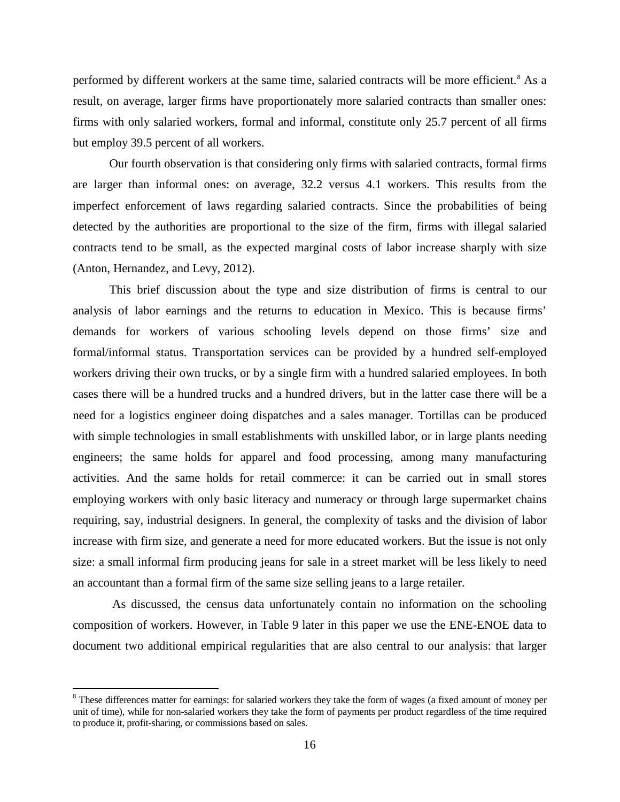performed by different workers at the same time, salaried contracts will be more efficient.<sup>[8](#page-18-0)</sup> As a result, on average, larger firms have proportionately more salaried contracts than smaller ones: firms with only salaried workers, formal and informal, constitute only 25.7 percent of all firms but employ 39.5 percent of all workers.

Our fourth observation is that considering only firms with salaried contracts, formal firms are larger than informal ones: on average, 32.2 versus 4.1 workers. This results from the imperfect enforcement of laws regarding salaried contracts. Since the probabilities of being detected by the authorities are proportional to the size of the firm, firms with illegal salaried contracts tend to be small, as the expected marginal costs of labor increase sharply with size (Anton, Hernandez, and Levy, 2012).

This brief discussion about the type and size distribution of firms is central to our analysis of labor earnings and the returns to education in Mexico. This is because firms' demands for workers of various schooling levels depend on those firms' size and formal/informal status. Transportation services can be provided by a hundred self-employed workers driving their own trucks, or by a single firm with a hundred salaried employees. In both cases there will be a hundred trucks and a hundred drivers, but in the latter case there will be a need for a logistics engineer doing dispatches and a sales manager. Tortillas can be produced with simple technologies in small establishments with unskilled labor, or in large plants needing engineers; the same holds for apparel and food processing, among many manufacturing activities. And the same holds for retail commerce: it can be carried out in small stores employing workers with only basic literacy and numeracy or through large supermarket chains requiring, say, industrial designers. In general, the complexity of tasks and the division of labor increase with firm size, and generate a need for more educated workers. But the issue is not only size: a small informal firm producing jeans for sale in a street market will be less likely to need an accountant than a formal firm of the same size selling jeans to a large retailer.

As discussed, the census data unfortunately contain no information on the schooling composition of workers. However, in Table 9 later in this paper we use the ENE-ENOE data to document two additional empirical regularities that are also central to our analysis: that larger

<span id="page-18-0"></span><sup>&</sup>lt;sup>8</sup> These differences matter for earnings: for salaried workers they take the form of wages (a fixed amount of money per unit of time), while for non-salaried workers they take the form of payments per product regardless of the time required to produce it, profit-sharing, or commissions based on sales.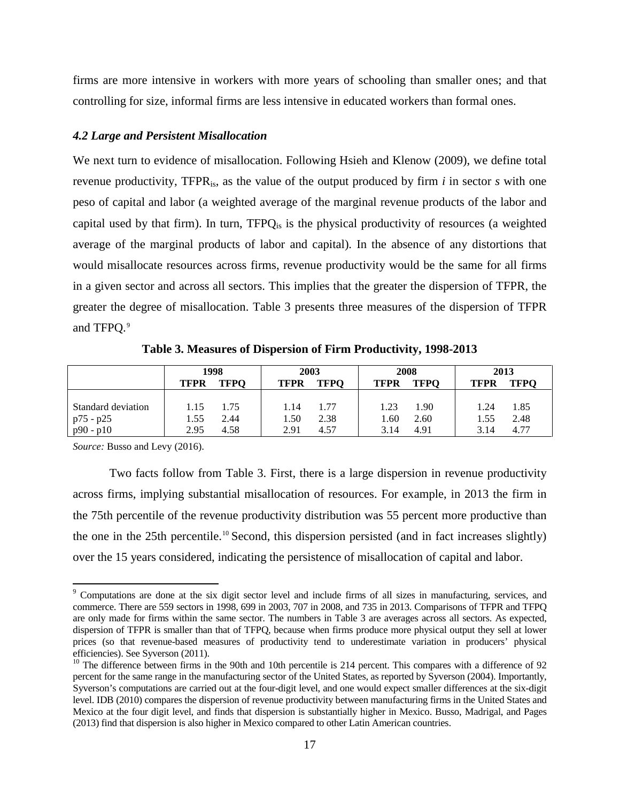firms are more intensive in workers with more years of schooling than smaller ones; and that controlling for size, informal firms are less intensive in educated workers than formal ones.

#### *4.2 Large and Persistent Misallocation*

We next turn to evidence of misallocation. Following Hsieh and Klenow (2009), we define total revenue productivity, TFPRis, as the value of the output produced by firm *i* in sector *s* with one peso of capital and labor (a weighted average of the marginal revenue products of the labor and capital used by that firm). In turn,  $TFPQ<sub>is</sub>$  is the physical productivity of resources (a weighted average of the marginal products of labor and capital). In the absence of any distortions that would misallocate resources across firms, revenue productivity would be the same for all firms in a given sector and across all sectors. This implies that the greater the dispersion of TFPR, the greater the degree of misallocation. Table 3 presents three measures of the dispersion of TFPR and TFPQ. [9](#page-19-0)

|                    | 1998        |             | 2003        |             | 2008        |             | 2013 |             |  |
|--------------------|-------------|-------------|-------------|-------------|-------------|-------------|------|-------------|--|
|                    | <b>TFPR</b> | <b>TFPO</b> | <b>TFPR</b> | <b>TFPO</b> | <b>TFPR</b> | <b>TFPO</b> | TFPR | <b>TFPO</b> |  |
|                    |             |             |             |             |             |             |      |             |  |
| Standard deviation | 1.15        | 1.75        | 1.14        | 1.77        | 1.23        | 1.90        | 1.24 | 1.85        |  |
| p75 - p25          | 1.55        | 2.44        | 1.50        | 2.38        | 1.60        | 2.60        | 1.55 | 2.48        |  |
| $p90 - p10$        | 2.95        | 4.58        | 2.91        | 4.57        | 3.14        | 4.91        | 3.14 | 4.77        |  |

**Table 3. Measures of Dispersion of Firm Productivity, 1998-2013**

*Source:* Busso and Levy (2016).

Two facts follow from Table 3. First, there is a large dispersion in revenue productivity across firms, implying substantial misallocation of resources. For example, in 2013 the firm in the 75th percentile of the revenue productivity distribution was 55 percent more productive than the one in the 25th percentile.<sup>[10](#page-19-1)</sup> Second, this dispersion persisted (and in fact increases slightly) over the 15 years considered, indicating the persistence of misallocation of capital and labor.

<span id="page-19-0"></span><sup>&</sup>lt;sup>9</sup> Computations are done at the six digit sector level and include firms of all sizes in manufacturing, services, and commerce. There are 559 sectors in 1998, 699 in 2003, 707 in 2008, and 735 in 2013. Comparisons of TFPR and TFPQ are only made for firms within the same sector. The numbers in Table 3 are averages across all sectors. As expected, dispersion of TFPR is smaller than that of TFPQ, because when firms produce more physical output they sell at lower prices (so that revenue-based measures of productivity tend to underestimate variation in producers' physical efficiencies). See Syverson (2011).

<span id="page-19-1"></span><sup>&</sup>lt;sup>10</sup> The difference between firms in the 90th and 10th percentile is 214 percent. This compares with a difference of 92 percent for the same range in the manufacturing sector of the United States, as reported by Syverson (2004). Importantly, Syverson's computations are carried out at the four-digit level, and one would expect smaller differences at the six-digit level. IDB (2010) compares the dispersion of revenue productivity between manufacturing firms in the United States and Mexico at the four digit level, and finds that dispersion is substantially higher in Mexico. Busso, Madrigal, and Pages (2013) find that dispersion is also higher in Mexico compared to other Latin American countries.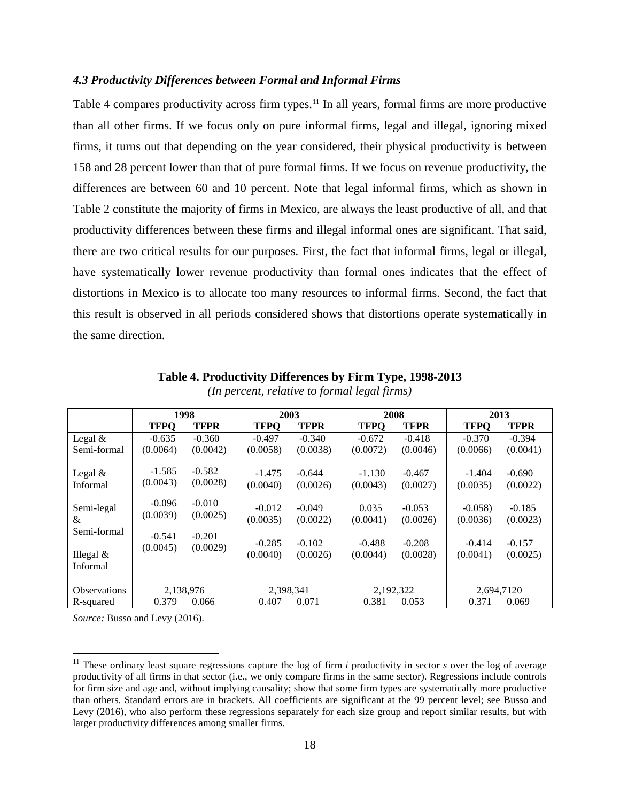#### *4.3 Productivity Differences between Formal and Informal Firms*

Table 4 compares productivity across firm types.<sup>[11](#page-20-0)</sup> In all years, formal firms are more productive than all other firms. If we focus only on pure informal firms, legal and illegal, ignoring mixed firms, it turns out that depending on the year considered, their physical productivity is between 158 and 28 percent lower than that of pure formal firms. If we focus on revenue productivity, the differences are between 60 and 10 percent. Note that legal informal firms, which as shown in Table 2 constitute the majority of firms in Mexico, are always the least productive of all, and that productivity differences between these firms and illegal informal ones are significant. That said, there are two critical results for our purposes. First, the fact that informal firms, legal or illegal, have systematically lower revenue productivity than formal ones indicates that the effect of distortions in Mexico is to allocate too many resources to informal firms. Second, the fact that this result is observed in all periods considered shows that distortions operate systematically in the same direction.

|                                        |                      |                      |                      |                      |                      |                      | 2013                 |                      |  |
|----------------------------------------|----------------------|----------------------|----------------------|----------------------|----------------------|----------------------|----------------------|----------------------|--|
|                                        |                      | 1998                 | 2003                 |                      |                      | 2008                 |                      |                      |  |
|                                        | <b>TFPQ</b>          | <b>TFPR</b>          | <b>TFPQ</b>          | <b>TFPR</b>          | <b>TFPQ</b>          | <b>TFPR</b>          | <b>TFPQ</b>          | <b>TFPR</b>          |  |
| Legal $&$                              | $-0.635$             | $-0.360$             | $-0.497$             | $-0.340$             | $-0.672$             | $-0.418$             | $-0.370$             | $-0.394$             |  |
| Semi-formal                            | (0.0064)             | (0.0042)             | (0.0058)             | (0.0038)             | (0.0072)             | (0.0046)             | (0.0066)             | (0.0041)             |  |
| Legal $\&$<br>Informal                 | $-1.585$<br>(0.0043) | $-0.582$<br>(0.0028) | $-1.475$<br>(0.0040) | $-0.644$<br>(0.0026) | $-1.130$<br>(0.0043) | $-0.467$<br>(0.0027) | $-1.404$<br>(0.0035) | $-0.690$<br>(0.0022) |  |
| Semi-legal<br>&                        | $-0.096$<br>(0.0039) | $-0.010$<br>(0.0025) | $-0.012$<br>(0.0035) | $-0.049$<br>(0.0022) | 0.035<br>(0.0041)    | $-0.053$<br>(0.0026) | $-0.058$<br>(0.0036) | $-0.185$<br>(0.0023) |  |
| Semi-formal<br>Illegal $&$<br>Informal | $-0.541$<br>(0.0045) | $-0.201$<br>(0.0029) | $-0.285$<br>(0.0040) | $-0.102$<br>(0.0026) | $-0.488$<br>(0.0044) | $-0.208$<br>(0.0028) | $-0.414$<br>(0.0041) | $-0.157$<br>(0.0025) |  |
| <b>Observations</b>                    | 2,138,976            |                      | 2,398,341            |                      | 2,192,322            |                      | 2,694,7120           |                      |  |
| R-squared                              | 0.379                | 0.066                | 0.407                | 0.071                | 0.381                | 0.053                | 0.371                | 0.069                |  |

**Table 4. Productivity Differences by Firm Type, 1998-2013** *(In percent, relative to formal legal firms)*

*Source:* Busso and Levy (2016).

<span id="page-20-0"></span><sup>&</sup>lt;sup>11</sup> These ordinary least square regressions capture the log of firm *i* productivity in sector *s* over the log of average productivity of all firms in that sector (i.e., we only compare firms in the same sector). Regressions include controls for firm size and age and, without implying causality; show that some firm types are systematically more productive than others. Standard errors are in brackets. All coefficients are significant at the 99 percent level; see Busso and Levy (2016), who also perform these regressions separately for each size group and report similar results, but with larger productivity differences among smaller firms.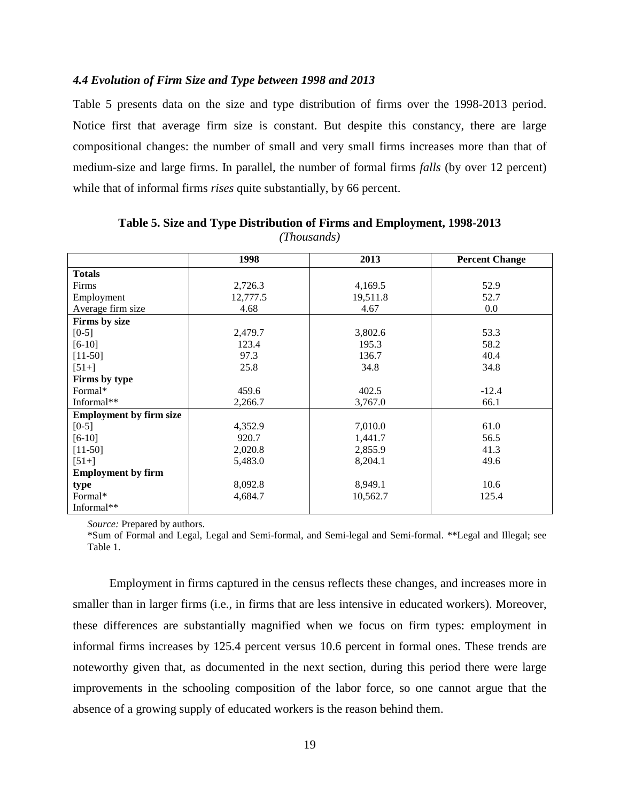#### *4.4 Evolution of Firm Size and Type between 1998 and 2013*

Table 5 presents data on the size and type distribution of firms over the 1998-2013 period. Notice first that average firm size is constant. But despite this constancy, there are large compositional changes: the number of small and very small firms increases more than that of medium-size and large firms. In parallel, the number of formal firms *falls* (by over 12 percent) while that of informal firms *rises* quite substantially, by 66 percent.

|                                | 1998     | 2013     | <b>Percent Change</b> |
|--------------------------------|----------|----------|-----------------------|
| <b>Totals</b>                  |          |          |                       |
| Firms                          | 2,726.3  | 4,169.5  | 52.9                  |
| Employment                     | 12,777.5 | 19,511.8 | 52.7                  |
| Average firm size              | 4.68     | 4.67     | 0.0                   |
| Firms by size                  |          |          |                       |
| $[0-5]$                        | 2,479.7  | 3,802.6  | 53.3                  |
| $[6-10]$                       | 123.4    | 195.3    | 58.2                  |
| $[11-50]$                      | 97.3     | 136.7    | 40.4                  |
| $[51+]$                        | 25.8     | 34.8     | 34.8                  |
| Firms by type                  |          |          |                       |
| Formal*                        | 459.6    | 402.5    | $-12.4$               |
| Informal**                     | 2,266.7  | 3,767.0  | 66.1                  |
| <b>Employment by firm size</b> |          |          |                       |
| $[0-5]$                        | 4,352.9  | 7,010.0  | 61.0                  |
| $[6-10]$                       | 920.7    | 1,441.7  | 56.5                  |
| $[11-50]$                      | 2,020.8  | 2,855.9  | 41.3                  |
| $[51+]$                        | 5,483.0  | 8,204.1  | 49.6                  |
| <b>Employment by firm</b>      |          |          |                       |
| type                           | 8,092.8  | 8,949.1  | 10.6                  |
| Formal*                        | 4,684.7  | 10,562.7 | 125.4                 |
| Informal**                     |          |          |                       |

**Table 5. Size and Type Distribution of Firms and Employment, 1998-2013** *(Thousands)*

*Source:* Prepared by authors.

\*Sum of Formal and Legal, Legal and Semi-formal, and Semi-legal and Semi-formal. \*\*Legal and Illegal; see Table 1.

Employment in firms captured in the census reflects these changes, and increases more in smaller than in larger firms (i.e., in firms that are less intensive in educated workers). Moreover, these differences are substantially magnified when we focus on firm types: employment in informal firms increases by 125.4 percent versus 10.6 percent in formal ones. These trends are noteworthy given that, as documented in the next section, during this period there were large improvements in the schooling composition of the labor force, so one cannot argue that the absence of a growing supply of educated workers is the reason behind them.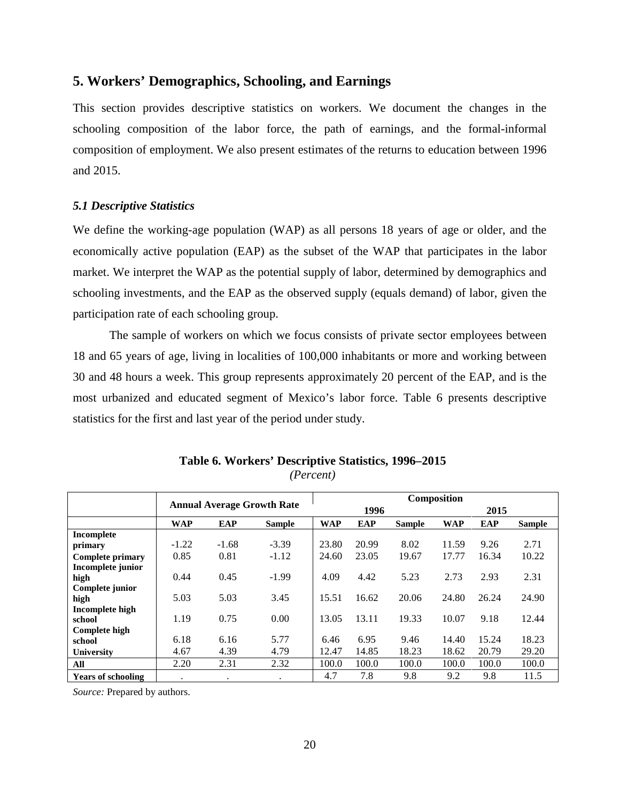## **5. Workers' Demographics, Schooling, and Earnings**

This section provides descriptive statistics on workers. We document the changes in the schooling composition of the labor force, the path of earnings, and the formal-informal composition of employment. We also present estimates of the returns to education between 1996 and 2015.

#### *5.1 Descriptive Statistics*

We define the working-age population (WAP) as all persons 18 years of age or older, and the economically active population (EAP) as the subset of the WAP that participates in the labor market. We interpret the WAP as the potential supply of labor, determined by demographics and schooling investments, and the EAP as the observed supply (equals demand) of labor, given the participation rate of each schooling group.

The sample of workers on which we focus consists of private sector employees between 18 and 65 years of age, living in localities of 100,000 inhabitants or more and working between 30 and 48 hours a week. This group represents approximately 20 percent of the EAP, and is the most urbanized and educated segment of Mexico's labor force. Table 6 presents descriptive statistics for the first and last year of the period under study.

|                           |            |            |                                   |            |            |               | Composition |            |               |
|---------------------------|------------|------------|-----------------------------------|------------|------------|---------------|-------------|------------|---------------|
|                           |            |            | <b>Annual Average Growth Rate</b> | 1996       |            |               | 2015        |            |               |
|                           | <b>WAP</b> | <b>EAP</b> | <b>Sample</b>                     | <b>WAP</b> | <b>EAP</b> | <b>Sample</b> | <b>WAP</b>  | <b>EAP</b> | <b>Sample</b> |
| Incomplete                |            |            |                                   |            |            |               |             |            |               |
| primary                   | $-1.22$    | $-1.68$    | $-3.39$                           | 23.80      | 20.99      | 8.02          | 11.59       | 9.26       | 2.71          |
| Complete primary          | 0.85       | 0.81       | $-1.12$                           | 24.60      | 23.05      | 19.67         | 17.77       | 16.34      | 10.22         |
| Incomplete junior         |            |            |                                   |            |            |               |             |            |               |
| high                      | 0.44       | 0.45       | $-1.99$                           | 4.09       | 4.42       | 5.23          | 2.73        | 2.93       | 2.31          |
| Complete junior           |            |            |                                   |            |            |               |             |            |               |
| high                      | 5.03       | 5.03       | 3.45                              | 15.51      | 16.62      | 20.06         | 24.80       | 26.24      | 24.90         |
| Incomplete high           |            |            |                                   |            |            |               |             |            |               |
| school                    | 1.19       | 0.75       | 0.00                              | 13.05      | 13.11      | 19.33         | 10.07       | 9.18       | 12.44         |
| <b>Complete high</b>      |            |            |                                   |            |            |               |             |            |               |
| school                    | 6.18       | 6.16       | 5.77                              | 6.46       | 6.95       | 9.46          | 14.40       | 15.24      | 18.23         |
| <b>University</b>         | 4.67       | 4.39       | 4.79                              | 12.47      | 14.85      | 18.23         | 18.62       | 20.79      | 29.20         |
| All                       | 2.20       | 2.31       | 2.32                              | 100.0      | 100.0      | 100.0         | 100.0       | 100.0      | 100.0         |
| <b>Years of schooling</b> |            | ٠          | $\bullet$                         | 4.7        | 7.8        | 9.8           | 9.2         | 9.8        | 11.5          |

**Table 6. Workers' Descriptive Statistics, 1996–2015** *(Percent)*

*Source:* Prepared by authors.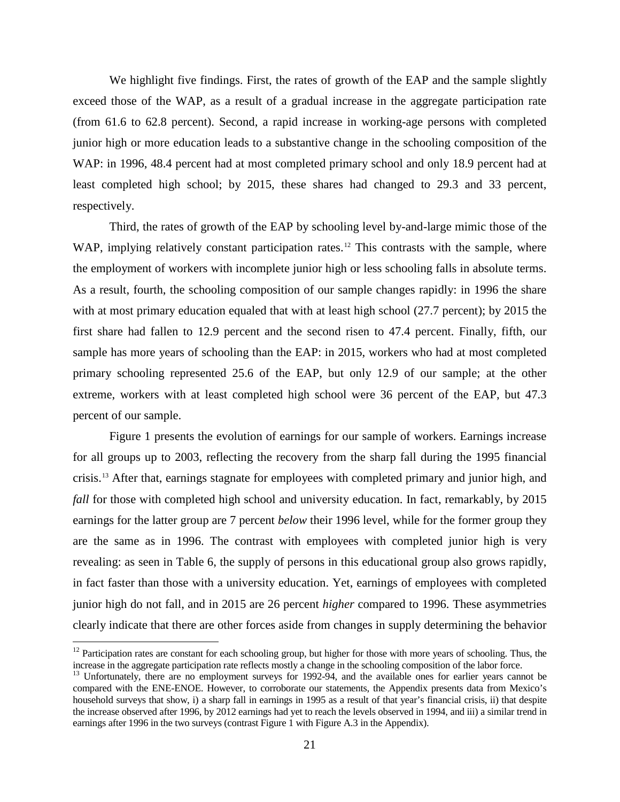We highlight five findings. First, the rates of growth of the EAP and the sample slightly exceed those of the WAP, as a result of a gradual increase in the aggregate participation rate (from 61.6 to 62.8 percent). Second, a rapid increase in working-age persons with completed junior high or more education leads to a substantive change in the schooling composition of the WAP: in 1996, 48.4 percent had at most completed primary school and only 18.9 percent had at least completed high school; by 2015, these shares had changed to 29.3 and 33 percent, respectively.

Third, the rates of growth of the EAP by schooling level by-and-large mimic those of the WAP, implying relatively constant participation rates.<sup>[12](#page-23-0)</sup> This contrasts with the sample, where the employment of workers with incomplete junior high or less schooling falls in absolute terms. As a result, fourth, the schooling composition of our sample changes rapidly: in 1996 the share with at most primary education equaled that with at least high school (27.7 percent); by 2015 the first share had fallen to 12.9 percent and the second risen to 47.4 percent. Finally, fifth, our sample has more years of schooling than the EAP: in 2015, workers who had at most completed primary schooling represented 25.6 of the EAP, but only 12.9 of our sample; at the other extreme, workers with at least completed high school were 36 percent of the EAP, but 47.3 percent of our sample.

Figure 1 presents the evolution of earnings for our sample of workers. Earnings increase for all groups up to 2003, reflecting the recovery from the sharp fall during the 1995 financial crisis. [13](#page-23-1) After that, earnings stagnate for employees with completed primary and junior high, and *fall* for those with completed high school and university education. In fact, remarkably, by 2015 earnings for the latter group are 7 percent *below* their 1996 level, while for the former group they are the same as in 1996. The contrast with employees with completed junior high is very revealing: as seen in Table 6, the supply of persons in this educational group also grows rapidly, in fact faster than those with a university education. Yet, earnings of employees with completed junior high do not fall, and in 2015 are 26 percent *higher* compared to 1996. These asymmetries clearly indicate that there are other forces aside from changes in supply determining the behavior

<span id="page-23-0"></span> $12$  Participation rates are constant for each schooling group, but higher for those with more years of schooling. Thus, the increase in the aggregate participation rate reflects mostly a change in the schooling composition of the labor force.

<span id="page-23-1"></span><sup>&</sup>lt;sup>13</sup> Unfortunately, there are no employment surveys for 1992-94, and the available ones for earlier years cannot be compared with the ENE-ENOE. However, to corroborate our statements, the Appendix presents data from Mexico's household surveys that show, i) a sharp fall in earnings in 1995 as a result of that year's financial crisis, ii) that despite the increase observed after 1996, by 2012 earnings had yet to reach the levels observed in 1994, and iii) a similar trend in earnings after 1996 in the two surveys (contrast Figure 1 with Figure A.3 in the Appendix).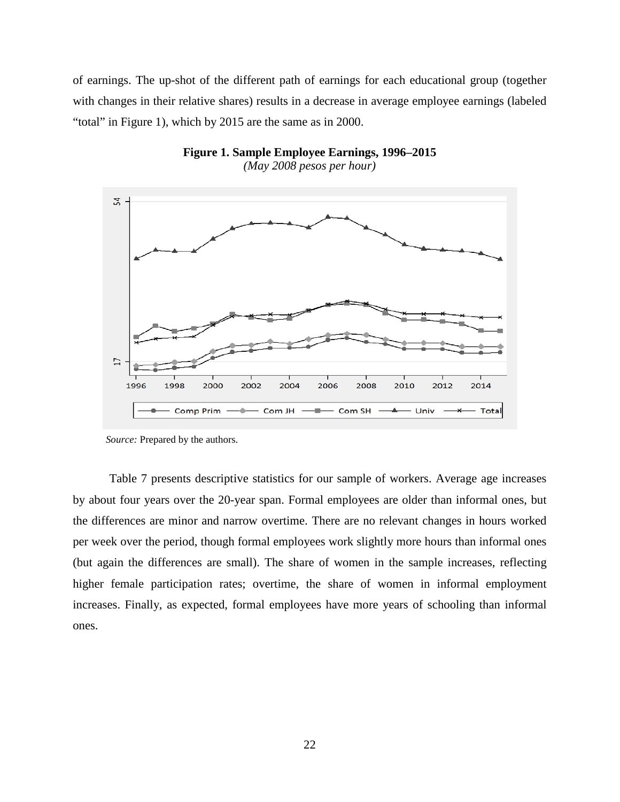of earnings. The up-shot of the different path of earnings for each educational group (together with changes in their relative shares) results in a decrease in average employee earnings (labeled "total" in Figure 1), which by 2015 are the same as in 2000.



**Figure 1. Sample Employee Earnings, 1996–2015** *(May 2008 pesos per hour)*

Table 7 presents descriptive statistics for our sample of workers. Average age increases by about four years over the 20-year span. Formal employees are older than informal ones, but the differences are minor and narrow overtime. There are no relevant changes in hours worked per week over the period, though formal employees work slightly more hours than informal ones (but again the differences are small). The share of women in the sample increases, reflecting higher female participation rates; overtime, the share of women in informal employment increases. Finally, as expected, formal employees have more years of schooling than informal ones.

*Source:* Prepared by the authors.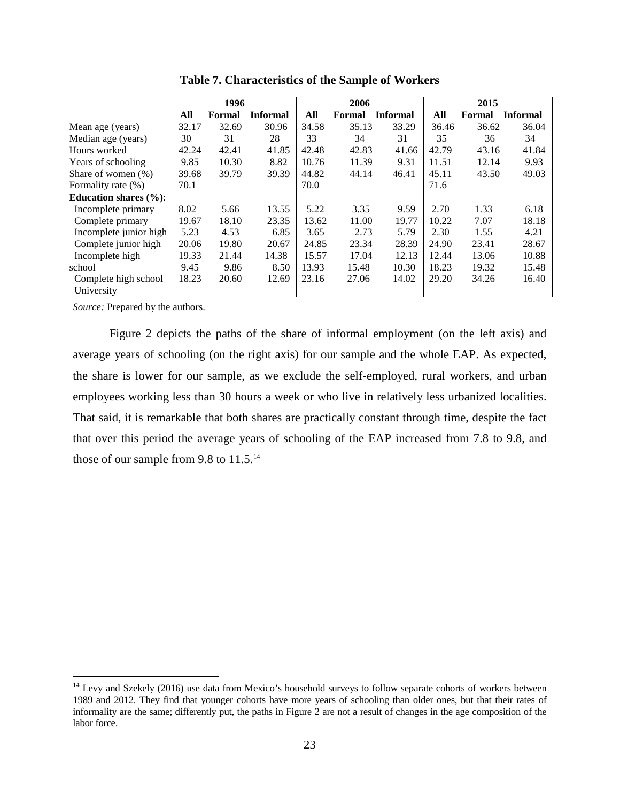|                          |       | 1996   |                 |       | 2006          |                 |       | 2015   |                 |
|--------------------------|-------|--------|-----------------|-------|---------------|-----------------|-------|--------|-----------------|
|                          | All   | Formal | <b>Informal</b> | All   | <b>Formal</b> | <b>Informal</b> | All   | Formal | <b>Informal</b> |
| Mean age (years)         | 32.17 | 32.69  | 30.96           | 34.58 | 35.13         | 33.29           | 36.46 | 36.62  | 36.04           |
| Median age (years)       | 30    | 31     | 28              | 33    | 34            | 31              | 35    | 36     | 34              |
| Hours worked             | 42.24 | 42.41  | 41.85           | 42.48 | 42.83         | 41.66           | 42.79 | 43.16  | 41.84           |
| Years of schooling       | 9.85  | 10.30  | 8.82            | 10.76 | 11.39         | 9.31            | 11.51 | 12.14  | 9.93            |
| Share of women $(\%)$    | 39.68 | 39.79  | 39.39           | 44.82 | 44.14         | 46.41           | 45.11 | 43.50  | 49.03           |
| Formality rate (%)       | 70.1  |        |                 | 70.0  |               |                 | 71.6  |        |                 |
| Education shares $(\%):$ |       |        |                 |       |               |                 |       |        |                 |
| Incomplete primary       | 8.02  | 5.66   | 13.55           | 5.22  | 3.35          | 9.59            | 2.70  | 1.33   | 6.18            |
| Complete primary         | 19.67 | 18.10  | 23.35           | 13.62 | 11.00         | 19.77           | 10.22 | 7.07   | 18.18           |
| Incomplete junior high   | 5.23  | 4.53   | 6.85            | 3.65  | 2.73          | 5.79            | 2.30  | 1.55   | 4.21            |
| Complete junior high     | 20.06 | 19.80  | 20.67           | 24.85 | 23.34         | 28.39           | 24.90 | 23.41  | 28.67           |
| Incomplete high          | 19.33 | 21.44  | 14.38           | 15.57 | 17.04         | 12.13           | 12.44 | 13.06  | 10.88           |
| school                   | 9.45  | 9.86   | 8.50            | 13.93 | 15.48         | 10.30           | 18.23 | 19.32  | 15.48           |
| Complete high school     | 18.23 | 20.60  | 12.69           | 23.16 | 27.06         | 14.02           | 29.20 | 34.26  | 16.40           |
| University               |       |        |                 |       |               |                 |       |        |                 |

**Table 7. Characteristics of the Sample of Workers**

*Source:* Prepared by the authors.

Figure 2 depicts the paths of the share of informal employment (on the left axis) and average years of schooling (on the right axis) for our sample and the whole EAP. As expected, the share is lower for our sample, as we exclude the self-employed, rural workers, and urban employees working less than 30 hours a week or who live in relatively less urbanized localities. That said, it is remarkable that both shares are practically constant through time, despite the fact that over this period the average years of schooling of the EAP increased from 7.8 to 9.8, and those of our sample from 9.8 to 11.5.<sup>14</sup>

<span id="page-25-0"></span><sup>&</sup>lt;sup>14</sup> Levy and Szekely (2016) use data from Mexico's household surveys to follow separate cohorts of workers between 1989 and 2012. They find that younger cohorts have more years of schooling than older ones, but that their rates of informality are the same; differently put, the paths in Figure 2 are not a result of changes in the age composition of the labor force.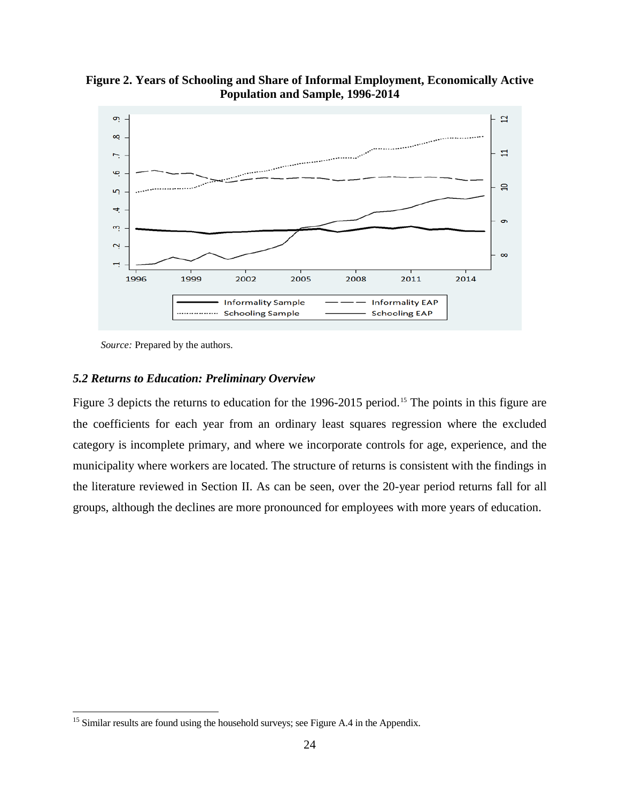

**Figure 2. Years of Schooling and Share of Informal Employment, Economically Active Population and Sample, 1996-2014**

*Source:* Prepared by the authors.

#### *5.2 Returns to Education: Preliminary Overview*

Figure 3 depicts the returns to education for the 1996-20[15](#page-26-0) period.<sup>15</sup> The points in this figure are the coefficients for each year from an ordinary least squares regression where the excluded category is incomplete primary, and where we incorporate controls for age, experience, and the municipality where workers are located. The structure of returns is consistent with the findings in the literature reviewed in Section II. As can be seen, over the 20-year period returns fall for all groups, although the declines are more pronounced for employees with more years of education.

<span id="page-26-0"></span><sup>&</sup>lt;sup>15</sup> Similar results are found using the household surveys; see Figure A.4 in the Appendix.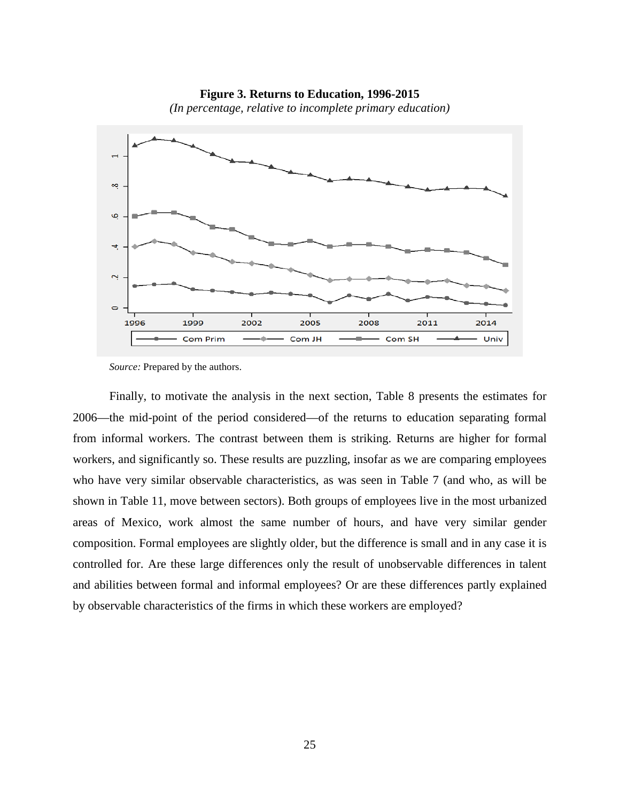

**Figure 3. Returns to Education, 1996-2015** *(In percentage, relative to incomplete primary education)*

*Source:* Prepared by the authors.

Finally, to motivate the analysis in the next section, Table 8 presents the estimates for 2006—the mid-point of the period considered—of the returns to education separating formal from informal workers. The contrast between them is striking. Returns are higher for formal workers, and significantly so. These results are puzzling, insofar as we are comparing employees who have very similar observable characteristics, as was seen in Table 7 (and who, as will be shown in Table 11, move between sectors). Both groups of employees live in the most urbanized areas of Mexico, work almost the same number of hours, and have very similar gender composition. Formal employees are slightly older, but the difference is small and in any case it is controlled for. Are these large differences only the result of unobservable differences in talent and abilities between formal and informal employees? Or are these differences partly explained by observable characteristics of the firms in which these workers are employed?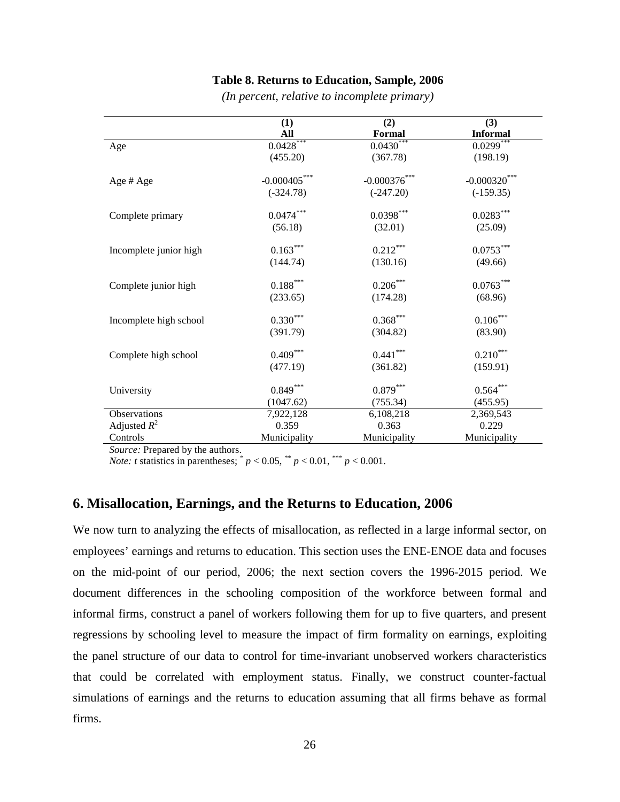#### **Table 8. Returns to Education, Sample, 2006**

|                        | (1)                     | (2)                    | (3)                        |
|------------------------|-------------------------|------------------------|----------------------------|
|                        | All                     | Formal                 | <b>Informal</b>            |
| Age                    | $0.0428***$             | $0.0430***$            | $0.0299***$                |
|                        | (455.20)                | (367.78)               | (198.19)                   |
| Age # Age              | $-0.000405***$          | $-0.000376***$         | $-0.000320***$             |
|                        | $(-324.78)$             | $(-247.20)$            | $(-159.35)$                |
| Complete primary       | $0.0474^{\ast\ast\ast}$ | $0.0398***$            | $0.0283***$                |
|                        | (56.18)                 | (32.01)                | (25.09)                    |
| Incomplete junior high | $0.163***$              | $0.212***$             | $0.0753***$                |
|                        | (144.74)                | (130.16)               | (49.66)                    |
| Complete junior high   | $0.188^{\ast\ast\ast}$  | $0.206***$             | $0.0763***$                |
|                        | (233.65)                | (174.28)               | (68.96)                    |
| Incomplete high school | $0.330***$              | $0.368***$             | $0.106\sp{*}{^\ast\sp{*}}$ |
|                        | (391.79)                | (304.82)               | (83.90)                    |
| Complete high school   | $0.409***$              | $0.441^{\ast\ast\ast}$ | $0.210^\ast$               |
|                        | (477.19)                | (361.82)               | (159.91)                   |
| University             | $0.849***$              | $0.879***$             | $0.564^{***}\,$            |
|                        | (1047.62)               | (755.34)               | (455.95)                   |
| Observations           | 7,922,128               | 6,108,218              | 2,369,543                  |
| Adjusted $R^2$         | 0.359                   | 0.363                  | 0.229                      |
| Controls               | Municipality            | Municipality           | Municipality               |

*(In percent, relative to incomplete primary)*

*Source:* Prepared by the authors.

*Note: t* statistics in parentheses;  $p < 0.05$ ,  $p < 0.01$ ,  $p < 0.001$ .

## **6. Misallocation, Earnings, and the Returns to Education, 2006**

We now turn to analyzing the effects of misallocation, as reflected in a large informal sector, on employees' earnings and returns to education. This section uses the ENE-ENOE data and focuses on the mid-point of our period, 2006; the next section covers the 1996-2015 period. We document differences in the schooling composition of the workforce between formal and informal firms, construct a panel of workers following them for up to five quarters, and present regressions by schooling level to measure the impact of firm formality on earnings, exploiting the panel structure of our data to control for time-invariant unobserved workers characteristics that could be correlated with employment status. Finally, we construct counter-factual simulations of earnings and the returns to education assuming that all firms behave as formal firms.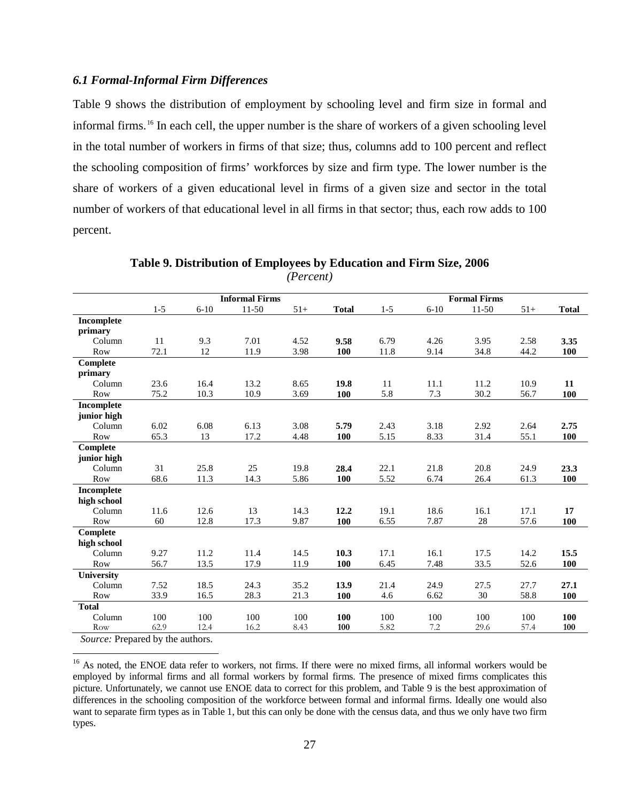#### *6.1 Formal-Informal Firm Differences*

Table 9 shows the distribution of employment by schooling level and firm size in formal and informal firms. [16](#page-29-0) In each cell, the upper number is the share of workers of a given schooling level in the total number of workers in firms of that size; thus, columns add to 100 percent and reflect the schooling composition of firms' workforces by size and firm type. The lower number is the share of workers of a given educational level in firms of a given size and sector in the total number of workers of that educational level in all firms in that sector; thus, each row adds to 100 percent.

|                   |       |          | <b>Informal Firms</b> |       | <b>Formal Firms</b> |         |        |           |       |              |
|-------------------|-------|----------|-----------------------|-------|---------------------|---------|--------|-----------|-------|--------------|
|                   | $1-5$ | $6 - 10$ | $11 - 50$             | $51+$ | <b>Total</b>        | $1 - 5$ | $6-10$ | $11 - 50$ | $51+$ | <b>Total</b> |
| Incomplete        |       |          |                       |       |                     |         |        |           |       |              |
| primary           |       |          |                       |       |                     |         |        |           |       |              |
| Column            | 11    | 9.3      | 7.01                  | 4.52  | 9.58                | 6.79    | 4.26   | 3.95      | 2.58  | 3.35         |
| Row               | 72.1  | 12       | 11.9                  | 3.98  | 100                 | 11.8    | 9.14   | 34.8      | 44.2  | 100          |
| <b>Complete</b>   |       |          |                       |       |                     |         |        |           |       |              |
| primary           |       |          |                       |       |                     |         |        |           |       |              |
| Column            | 23.6  | 16.4     | 13.2                  | 8.65  | 19.8                | 11      | 11.1   | 11.2      | 10.9  | 11           |
| Row               | 75.2  | 10.3     | 10.9                  | 3.69  | 100                 | 5.8     | 7.3    | 30.2      | 56.7  | 100          |
| Incomplete        |       |          |                       |       |                     |         |        |           |       |              |
| junior high       |       |          |                       |       |                     |         |        |           |       |              |
| Column            | 6.02  | 6.08     | 6.13                  | 3.08  | 5.79                | 2.43    | 3.18   | 2.92      | 2.64  | 2.75         |
| Row               | 65.3  | 13       | 17.2                  | 4.48  | 100                 | 5.15    | 8.33   | 31.4      | 55.1  | 100          |
| <b>Complete</b>   |       |          |                       |       |                     |         |        |           |       |              |
| junior high       |       |          |                       |       |                     |         |        |           |       |              |
| Column            | 31    | 25.8     | 25                    | 19.8  | 28.4                | 22.1    | 21.8   | 20.8      | 24.9  | 23.3         |
| Row               | 68.6  | 11.3     | 14.3                  | 5.86  | 100                 | 5.52    | 6.74   | 26.4      | 61.3  | <b>100</b>   |
| Incomplete        |       |          |                       |       |                     |         |        |           |       |              |
| high school       |       |          |                       |       |                     |         |        |           |       |              |
| Column            | 11.6  | 12.6     | 13                    | 14.3  | 12.2                | 19.1    | 18.6   | 16.1      | 17.1  | 17           |
| Row               | 60    | 12.8     | 17.3                  | 9.87  | 100                 | 6.55    | 7.87   | 28        | 57.6  | 100          |
| Complete          |       |          |                       |       |                     |         |        |           |       |              |
| high school       |       |          |                       |       |                     |         |        |           |       |              |
| Column            | 9.27  | 11.2     | 11.4                  | 14.5  | 10.3                | 17.1    | 16.1   | 17.5      | 14.2  | 15.5         |
| Row               | 56.7  | 13.5     | 17.9                  | 11.9  | 100                 | 6.45    | 7.48   | 33.5      | 52.6  | 100          |
| <b>University</b> |       |          |                       |       |                     |         |        |           |       |              |
| Column            | 7.52  | 18.5     | 24.3                  | 35.2  | 13.9                | 21.4    | 24.9   | 27.5      | 27.7  | 27.1         |
| Row               | 33.9  | 16.5     | 28.3                  | 21.3  | 100                 | 4.6     | 6.62   | 30        | 58.8  | 100          |
| <b>Total</b>      |       |          |                       |       |                     |         |        |           |       |              |
| Column            | 100   | 100      | 100                   | 100   | <b>100</b>          | 100     | 100    | 100       | 100   | 100          |
| Row               | 62.9  | 12.4     | 16.2                  | 8.43  | 100                 | 5.82    | 7.2    | 29.6      | 57.4  | 100          |

**Table 9. Distribution of Employees by Education and Firm Size, 2006** *(Percent)*

 *Source:* Prepared by the authors.

<span id="page-29-0"></span><sup>&</sup>lt;sup>16</sup> As noted, the ENOE data refer to workers, not firms. If there were no mixed firms, all informal workers would be employed by informal firms and all formal workers by formal firms. The presence of mixed firms complicates this picture. Unfortunately, we cannot use ENOE data to correct for this problem, and Table 9 is the best approximation of differences in the schooling composition of the workforce between formal and informal firms. Ideally one would also want to separate firm types as in Table 1, but this can only be done with the census data, and thus we only have two firm types.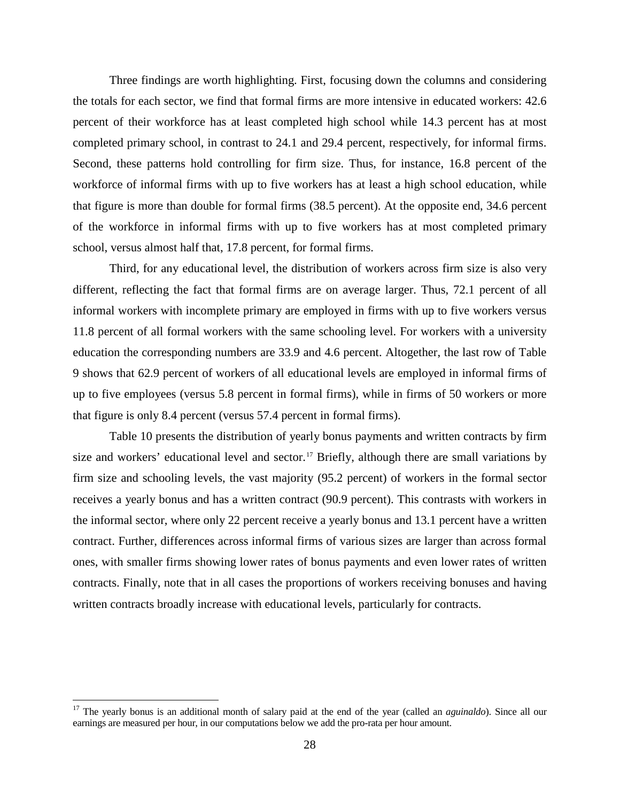Three findings are worth highlighting. First, focusing down the columns and considering the totals for each sector, we find that formal firms are more intensive in educated workers: 42.6 percent of their workforce has at least completed high school while 14.3 percent has at most completed primary school, in contrast to 24.1 and 29.4 percent, respectively, for informal firms. Second, these patterns hold controlling for firm size. Thus, for instance, 16.8 percent of the workforce of informal firms with up to five workers has at least a high school education, while that figure is more than double for formal firms (38.5 percent). At the opposite end, 34.6 percent of the workforce in informal firms with up to five workers has at most completed primary school, versus almost half that, 17.8 percent, for formal firms.

Third, for any educational level, the distribution of workers across firm size is also very different, reflecting the fact that formal firms are on average larger. Thus, 72.1 percent of all informal workers with incomplete primary are employed in firms with up to five workers versus 11.8 percent of all formal workers with the same schooling level. For workers with a university education the corresponding numbers are 33.9 and 4.6 percent. Altogether, the last row of Table 9 shows that 62.9 percent of workers of all educational levels are employed in informal firms of up to five employees (versus 5.8 percent in formal firms), while in firms of 50 workers or more that figure is only 8.4 percent (versus 57.4 percent in formal firms).

Table 10 presents the distribution of yearly bonus payments and written contracts by firm size and workers' educational level and sector.<sup>[17](#page-30-0)</sup> Briefly, although there are small variations by firm size and schooling levels, the vast majority (95.2 percent) of workers in the formal sector receives a yearly bonus and has a written contract (90.9 percent). This contrasts with workers in the informal sector, where only 22 percent receive a yearly bonus and 13.1 percent have a written contract. Further, differences across informal firms of various sizes are larger than across formal ones, with smaller firms showing lower rates of bonus payments and even lower rates of written contracts. Finally, note that in all cases the proportions of workers receiving bonuses and having written contracts broadly increase with educational levels, particularly for contracts.

<span id="page-30-0"></span><sup>&</sup>lt;sup>17</sup> The vearly bonus is an additional month of salary paid at the end of the year (called an *aguinaldo*). Since all our earnings are measured per hour, in our computations below we add the pro-rata per hour amount.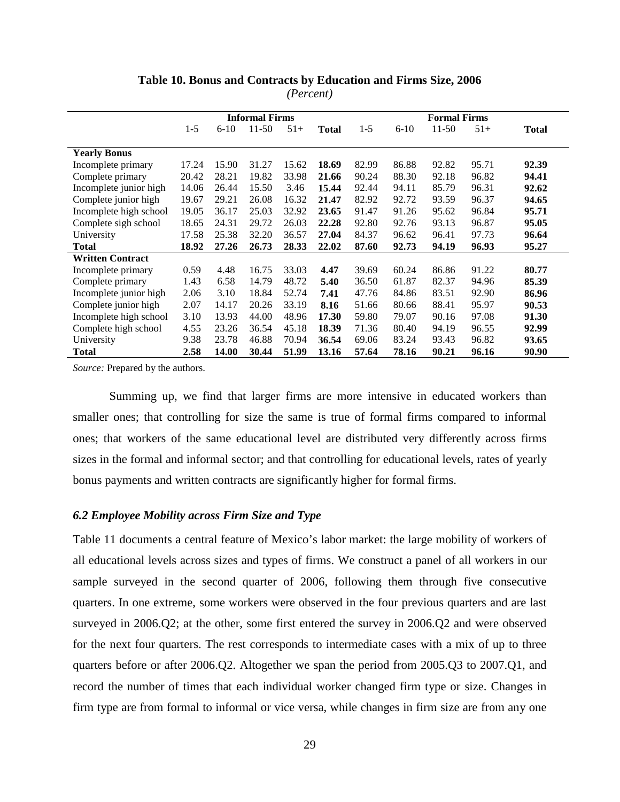*(Percent)*

|                         |       | <b>Informal Firms</b> |           |       |              |         |          | <b>Formal Firms</b> |       |              |  |  |
|-------------------------|-------|-----------------------|-----------|-------|--------------|---------|----------|---------------------|-------|--------------|--|--|
|                         | $1-5$ | $6 - 10$              | $11 - 50$ | $51+$ | <b>Total</b> | $1 - 5$ | $6 - 10$ | $11 - 50$           | $51+$ | <b>Total</b> |  |  |
|                         |       |                       |           |       |              |         |          |                     |       |              |  |  |
| <b>Yearly Bonus</b>     |       |                       |           |       |              |         |          |                     |       |              |  |  |
| Incomplete primary      | 17.24 | 15.90                 | 31.27     | 15.62 | 18.69        | 82.99   | 86.88    | 92.82               | 95.71 | 92.39        |  |  |
| Complete primary        | 20.42 | 28.21                 | 19.82     | 33.98 | 21.66        | 90.24   | 88.30    | 92.18               | 96.82 | 94.41        |  |  |
| Incomplete junior high  | 14.06 | 26.44                 | 15.50     | 3.46  | 15.44        | 92.44   | 94.11    | 85.79               | 96.31 | 92.62        |  |  |
| Complete junior high    | 19.67 | 29.21                 | 26.08     | 16.32 | 21.47        | 82.92   | 92.72    | 93.59               | 96.37 | 94.65        |  |  |
| Incomplete high school  | 19.05 | 36.17                 | 25.03     | 32.92 | 23.65        | 91.47   | 91.26    | 95.62               | 96.84 | 95.71        |  |  |
| Complete sigh school    | 18.65 | 24.31                 | 29.72     | 26.03 | 22.28        | 92.80   | 92.76    | 93.13               | 96.87 | 95.05        |  |  |
| University              | 17.58 | 25.38                 | 32.20     | 36.57 | 27.04        | 84.37   | 96.62    | 96.41               | 97.73 | 96.64        |  |  |
| <b>Total</b>            | 18.92 | 27.26                 | 26.73     | 28.33 | 22.02        | 87.60   | 92.73    | 94.19               | 96.93 | 95.27        |  |  |
| <b>Written Contract</b> |       |                       |           |       |              |         |          |                     |       |              |  |  |
| Incomplete primary      | 0.59  | 4.48                  | 16.75     | 33.03 | 4.47         | 39.69   | 60.24    | 86.86               | 91.22 | 80.77        |  |  |
| Complete primary        | 1.43  | 6.58                  | 14.79     | 48.72 | 5.40         | 36.50   | 61.87    | 82.37               | 94.96 | 85.39        |  |  |
| Incomplete junior high  | 2.06  | 3.10                  | 18.84     | 52.74 | 7.41         | 47.76   | 84.86    | 83.51               | 92.90 | 86.96        |  |  |
| Complete junior high    | 2.07  | 14.17                 | 20.26     | 33.19 | 8.16         | 51.66   | 80.66    | 88.41               | 95.97 | 90.53        |  |  |
| Incomplete high school  | 3.10  | 13.93                 | 44.00     | 48.96 | 17.30        | 59.80   | 79.07    | 90.16               | 97.08 | 91.30        |  |  |
| Complete high school    | 4.55  | 23.26                 | 36.54     | 45.18 | 18.39        | 71.36   | 80.40    | 94.19               | 96.55 | 92.99        |  |  |
| University              | 9.38  | 23.78                 | 46.88     | 70.94 | 36.54        | 69.06   | 83.24    | 93.43               | 96.82 | 93.65        |  |  |
| <b>Total</b>            | 2.58  | 14.00                 | 30.44     | 51.99 | 13.16        | 57.64   | 78.16    | 90.21               | 96.16 | 90.90        |  |  |

*Source:* Prepared by the authors.

Summing up, we find that larger firms are more intensive in educated workers than smaller ones; that controlling for size the same is true of formal firms compared to informal ones; that workers of the same educational level are distributed very differently across firms sizes in the formal and informal sector; and that controlling for educational levels, rates of yearly bonus payments and written contracts are significantly higher for formal firms.

#### *6.2 Employee Mobility across Firm Size and Type*

Table 11 documents a central feature of Mexico's labor market: the large mobility of workers of all educational levels across sizes and types of firms. We construct a panel of all workers in our sample surveyed in the second quarter of 2006, following them through five consecutive quarters. In one extreme, some workers were observed in the four previous quarters and are last surveyed in 2006.Q2; at the other, some first entered the survey in 2006.Q2 and were observed for the next four quarters. The rest corresponds to intermediate cases with a mix of up to three quarters before or after 2006.Q2. Altogether we span the period from 2005.Q3 to 2007.Q1, and record the number of times that each individual worker changed firm type or size. Changes in firm type are from formal to informal or vice versa, while changes in firm size are from any one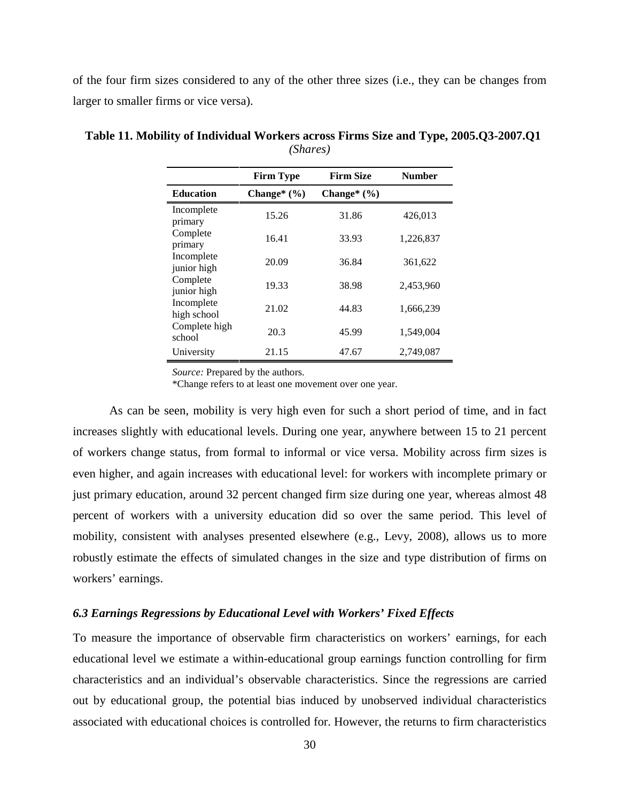of the four firm sizes considered to any of the other three sizes (i.e., they can be changes from larger to smaller firms or vice versa).

|                           | <b>Firm Type</b> | <b>Firm Size</b> | <b>Number</b> |
|---------------------------|------------------|------------------|---------------|
| <b>Education</b>          | Change* $(\% )$  | Change* $(\% )$  |               |
| Incomplete<br>primary     | 15.26            | 31.86            | 426,013       |
| Complete<br>primary       | 16.41            | 33.93            | 1,226,837     |
| Incomplete<br>junior high | 20.09            | 36.84            | 361,622       |
| Complete<br>junior high   | 19.33            | 38.98            | 2,453,960     |
| Incomplete<br>high school | 21.02            | 44.83            | 1,666,239     |
| Complete high<br>school   | 20.3             | 45.99            | 1,549,004     |
| University                | 21.15            | 47.67            | 2.749.087     |

 **Table 11. Mobility of Individual Workers across Firms Size and Type, 2005.Q3-2007.Q1** *(Shares)*

*Source:* Prepared by the authors.

\*Change refers to at least one movement over one year.

As can be seen, mobility is very high even for such a short period of time, and in fact increases slightly with educational levels. During one year, anywhere between 15 to 21 percent of workers change status, from formal to informal or vice versa. Mobility across firm sizes is even higher, and again increases with educational level: for workers with incomplete primary or just primary education, around 32 percent changed firm size during one year, whereas almost 48 percent of workers with a university education did so over the same period. This level of mobility, consistent with analyses presented elsewhere (e.g., Levy, 2008), allows us to more robustly estimate the effects of simulated changes in the size and type distribution of firms on workers' earnings.

#### *6.3 Earnings Regressions by Educational Level with Workers' Fixed Effects*

To measure the importance of observable firm characteristics on workers' earnings, for each educational level we estimate a within-educational group earnings function controlling for firm characteristics and an individual's observable characteristics. Since the regressions are carried out by educational group, the potential bias induced by unobserved individual characteristics associated with educational choices is controlled for. However, the returns to firm characteristics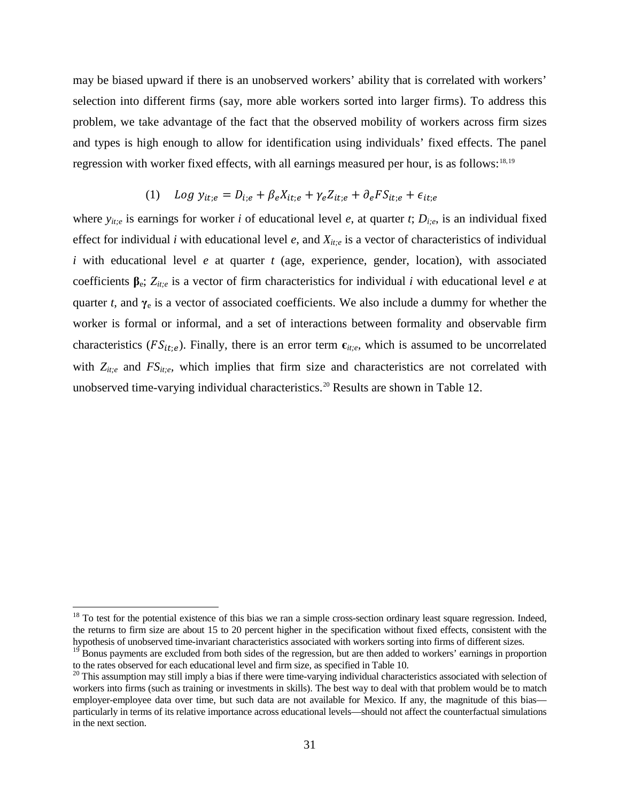may be biased upward if there is an unobserved workers' ability that is correlated with workers' selection into different firms (say, more able workers sorted into larger firms). To address this problem, we take advantage of the fact that the observed mobility of workers across firm sizes and types is high enough to allow for identification using individuals' fixed effects. The panel regression with worker fixed effects, with all earnings measured per hour, is as follows:<sup>[18,](#page-33-0)[19](#page-33-1)</sup>

$$
(1) \quad Log \ y_{it;e} = D_{i;e} + \beta_e X_{it;e} + \gamma_e Z_{it;e} + \partial_e F S_{it;e} + \epsilon_{it;e}
$$

where  $y_{it;e}$  is earnings for worker *i* of educational level *e*, at quarter *t*;  $D_{i;e}$ , is an individual fixed effect for individual *i* with educational level  $e$ , and  $X_{it;e}$  is a vector of characteristics of individual *i* with educational level *e* at quarter *t* (age, experience, gender, location), with associated coefficients **β**e; *Zit;e* is a vector of firm characteristics for individual *i* with educational level *e* at quarter *t,* and **γ**<sup>e</sup> is a vector of associated coefficients. We also include a dummy for whether the worker is formal or informal, and a set of interactions between formality and observable firm characteristics ( $FS_{it,e}$ ). Finally, there is an error term  $\epsilon_{it,e}$ , which is assumed to be uncorrelated with  $Z_{it;e}$  and  $FS_{it;e}$ , which implies that firm size and characteristics are not correlated with unobserved time-varying individual characteristics.<sup>[20](#page-33-2)</sup> Results are shown in Table 12.

<span id="page-33-0"></span> $18$  To test for the potential existence of this bias we ran a simple cross-section ordinary least square regression. Indeed, the returns to firm size are about 15 to 20 percent higher in the specification without fixed effects, consistent with the hypothesis of unobserved time-invariant characteristics associated with workers sorting into firms of different sizes.

<span id="page-33-1"></span> $19$  Bonus payments are excluded from both sides of the regression, but are then added to workers' earnings in proportion to the rates observed for each educational level and firm size, as specified in Table 10.

<span id="page-33-2"></span> $20$  This assumption may still imply a bias if there were time-varying individual characteristics associated with selection of workers into firms (such as training or investments in skills). The best way to deal with that problem would be to match employer-employee data over time, but such data are not available for Mexico. If any, the magnitude of this bias particularly in terms of its relative importance across educational levels—should not affect the counterfactual simulations in the next section.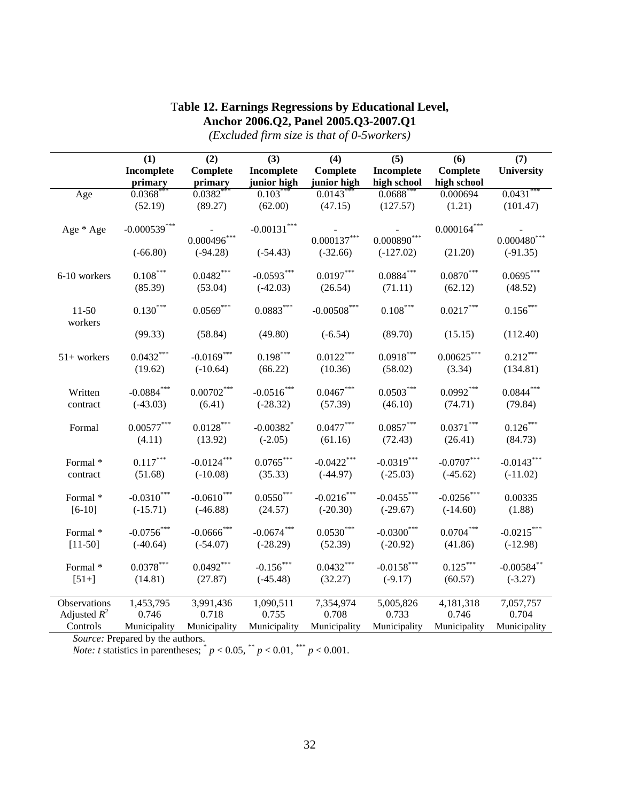## T**able 12. Earnings Regressions by Educational Level, Anchor 2006.Q2, Panel 2005.Q3-2007.Q1**

|                                | (1)                     | (2)                        | (3)                       | (4)                            | (5)                       | (6)                     | (7)                |
|--------------------------------|-------------------------|----------------------------|---------------------------|--------------------------------|---------------------------|-------------------------|--------------------|
|                                | Incomplete<br>primary   | <b>Complete</b><br>primary | Incomplete<br>junior high | <b>Complete</b><br>junior high | Incomplete<br>high school | Complete<br>high school | <b>University</b>  |
| Age                            | 0.0368                  | $0.0382^{^{\circ}}$        | $0.103^{\degree}$         | 0.0143                         | $0.0688$ <sup>*</sup>     | 0.000694                | 0.0431             |
|                                | (52.19)                 | (89.27)                    | (62.00)                   | (47.15)                        | (127.57)                  | (1.21)                  | (101.47)           |
| Age * Age                      | $-0.000539***$          |                            | $-0.00131***$             |                                |                           | $0.000164***$           |                    |
|                                |                         | $0.000496***$              |                           | $0.000137^{***}\,$             | $0.000890***$             |                         | $0.000480***$      |
|                                | $(-66.80)$              | $(-94.28)$                 | $(-54.43)$                | $(-32.66)$                     | $(-127.02)$               | (21.20)                 | $(-91.35)$         |
| 6-10 workers                   | $0.108***$              | $0.0482***$                | $-0.0593***$              | $0.0197***$                    | $0.0884***$               | $0.0870***$             | $0.0695***$        |
|                                | (85.39)                 | (53.04)                    | $(-42.03)$                | (26.54)                        | (71.11)                   | (62.12)                 | (48.52)            |
| $11-50$<br>workers             | $0.130***$              | $0.0569***$                | $0.0883^{\ast\ast\ast}$   | $-0.00508***$                  | $0.108^{\ast\ast\ast}$    | $0.0217***$             | $0.156***$         |
|                                | (99.33)                 | (58.84)                    | (49.80)                   | $(-6.54)$                      | (89.70)                   | (15.15)                 | (112.40)           |
| $51+$ workers                  | $0.0432***$             | $-0.0169***$               | $0.198***$                | $0.0122***$                    | $0.0918***$               | $0.00625***$            | $0.212***$         |
|                                | (19.62)                 | $(-10.64)$                 | (66.22)                   | (10.36)                        | (58.02)                   | (3.34)                  | (134.81)           |
| Written                        | $-0.0884***$            | $0.00702***$               | $-0.0516***$              | $0.0467***$                    | $0.0503***$               | $0.0992***$             | $0.0844***$        |
| contract                       | $(-43.03)$              | (6.41)                     | $(-28.32)$                | (57.39)                        | (46.10)                   | (74.71)                 | (79.84)            |
| Formal                         | $0.00577***$            | $0.0128***$                | $-0.00382$ <sup>*</sup>   | $0.0477***$                    | $0.0857***$               | $0.0371***$             | $0.126***$         |
|                                | (4.11)                  | (13.92)                    | $(-2.05)$                 | (61.16)                        | (72.43)                   | (26.41)                 | (84.73)            |
| Formal *                       | $0.117^{\ast\ast\ast}$  | $-0.0124***$               | $0.0765^{\ast\ast\ast}$   | $-0.0422$ ***                  | $-0.0319***$              | $-0.0707***$            | $-0.0143***$       |
| contract                       | (51.68)                 | $(-10.08)$                 | (35.33)                   | $(-44.97)$                     | $(-25.03)$                | $(-45.62)$              | $(-11.02)$         |
| Formal *                       | $-0.0310***$            | $-0.0610***$               | $0.0550***$               | $-0.0216***$                   | $-0.0455***$              | $-0.0256***$            | 0.00335            |
| $[6-10]$                       | $(-15.71)$              | $(-46.88)$                 | (24.57)                   | $(-20.30)$                     | $(-29.67)$                | $(-14.60)$              | (1.88)             |
| Formal *                       | $-0.0756$ ***           | $-0.0666$ <sup>***</sup>   | $-0.0674***$              | $0.0530^\mathrm{***}$          | $-0.0300$ ***             | $0.0704***$             | $-0.0215***$       |
| $[11-50]$                      | $(-40.64)$              | $(-54.07)$                 | $(-28.29)$                | (52.39)                        | $(-20.92)$                | (41.86)                 | $(-12.98)$         |
| Formal *                       | $0.0378^{\ast\ast\ast}$ | $0.0492***$                | $-0.156***$               | $0.0432***$                    | $-0.0158***$              | $0.125***$              | $-0.00584$ **      |
| $[51+]$                        | (14.81)                 | (27.87)                    | $(-45.48)$                | (32.27)                        | $(-9.17)$                 | (60.57)                 | $(-3.27)$          |
|                                |                         |                            |                           |                                |                           |                         |                    |
| Observations<br>Adjusted $R^2$ | 1,453,795<br>0.746      | 3,991,436<br>0.718         | 1,090,511<br>0.755        | 7,354,974<br>0.708             | 5,005,826<br>0.733        | 4,181,318<br>0.746      | 7,057,757<br>0.704 |
| Controls                       | Municipality            | Municipality               | Municipality              | Municipality                   | Municipality              | Municipality            | Municipality       |
|                                |                         |                            |                           |                                |                           |                         |                    |

*(Excluded firm size is that of 0-5workers)*

*Source:* Prepared by the authors.

*Note: t* statistics in parentheses;  $p < 0.05$ ,  $p < 0.01$ ,  $p < 0.001$ .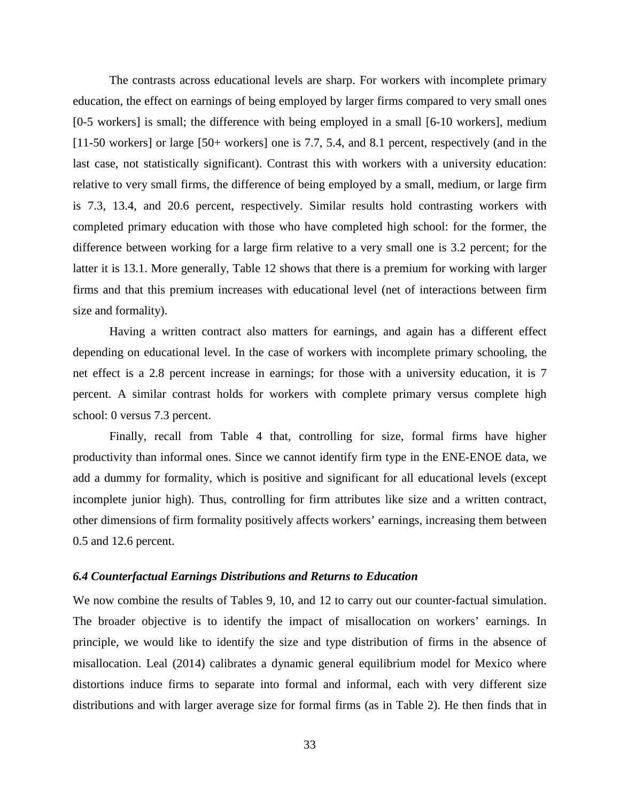The contrasts across educational levels are sharp. For workers with incomplete primary education, the effect on earnings of being employed by larger firms compared to very small ones [0-5 workers] is small; the difference with being employed in a small [6-10 workers], medium [11-50 workers] or large [50+ workers] one is 7.7, 5.4, and 8.1 percent, respectively (and in the last case, not statistically significant). Contrast this with workers with a university education: relative to very small firms, the difference of being employed by a small, medium, or large firm is 7.3, 13.4, and 20.6 percent, respectively. Similar results hold contrasting workers with completed primary education with those who have completed high school: for the former, the difference between working for a large firm relative to a very small one is 3.2 percent; for the latter it is 13.1. More generally, Table 12 shows that there is a premium for working with larger firms and that this premium increases with educational level (net of interactions between firm size and formality).

Having a written contract also matters for earnings, and again has a different effect depending on educational level. In the case of workers with incomplete primary schooling, the net effect is a 2.8 percent increase in earnings; for those with a university education, it is 7 percent. A similar contrast holds for workers with complete primary versus complete high school: 0 versus 7.3 percent.

Finally, recall from Table 4 that, controlling for size, formal firms have higher productivity than informal ones. Since we cannot identify firm type in the ENE-ENOE data, we add a dummy for formality, which is positive and significant for all educational levels (except incomplete junior high). Thus, controlling for firm attributes like size and a written contract, other dimensions of firm formality positively affects workers' earnings, increasing them between 0.5 and 12.6 percent.

#### *6.4 Counterfactual Earnings Distributions and Returns to Education*

We now combine the results of Tables 9, 10, and 12 to carry out our counter-factual simulation. The broader objective is to identify the impact of misallocation on workers' earnings. In principle, we would like to identify the size and type distribution of firms in the absence of misallocation. Leal (2014) calibrates a dynamic general equilibrium model for Mexico where distortions induce firms to separate into formal and informal, each with very different size distributions and with larger average size for formal firms (as in Table 2). He then finds that in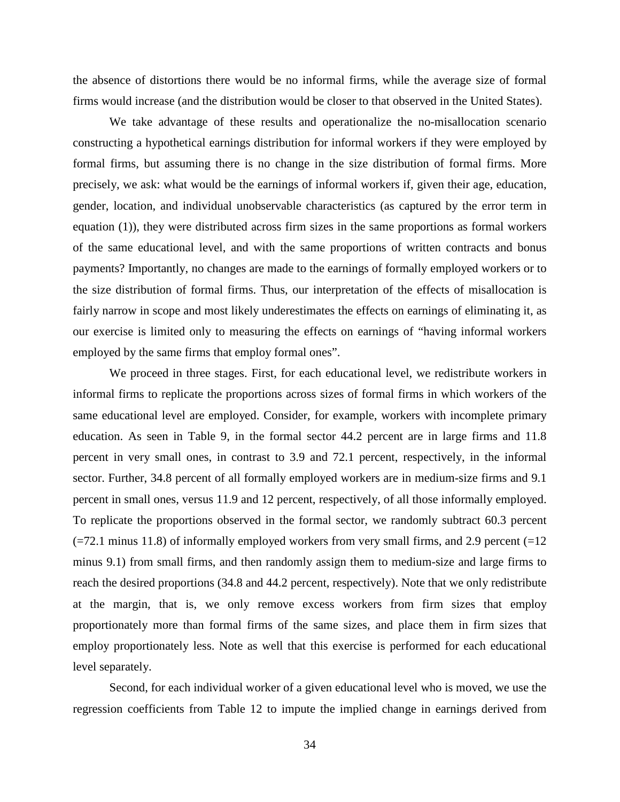the absence of distortions there would be no informal firms, while the average size of formal firms would increase (and the distribution would be closer to that observed in the United States).

We take advantage of these results and operationalize the no-misallocation scenario constructing a hypothetical earnings distribution for informal workers if they were employed by formal firms, but assuming there is no change in the size distribution of formal firms. More precisely, we ask: what would be the earnings of informal workers if, given their age, education, gender, location, and individual unobservable characteristics (as captured by the error term in equation (1)), they were distributed across firm sizes in the same proportions as formal workers of the same educational level, and with the same proportions of written contracts and bonus payments? Importantly, no changes are made to the earnings of formally employed workers or to the size distribution of formal firms. Thus, our interpretation of the effects of misallocation is fairly narrow in scope and most likely underestimates the effects on earnings of eliminating it, as our exercise is limited only to measuring the effects on earnings of "having informal workers employed by the same firms that employ formal ones".

We proceed in three stages. First, for each educational level, we redistribute workers in informal firms to replicate the proportions across sizes of formal firms in which workers of the same educational level are employed. Consider, for example, workers with incomplete primary education. As seen in Table 9, in the formal sector 44.2 percent are in large firms and 11.8 percent in very small ones, in contrast to 3.9 and 72.1 percent, respectively, in the informal sector. Further, 34.8 percent of all formally employed workers are in medium-size firms and 9.1 percent in small ones, versus 11.9 and 12 percent, respectively, of all those informally employed. To replicate the proportions observed in the formal sector, we randomly subtract 60.3 percent  $(=72.1 \text{ minus } 11.8)$  of informally employed workers from very small firms, and 2.9 percent  $(=12$ minus 9.1) from small firms, and then randomly assign them to medium-size and large firms to reach the desired proportions (34.8 and 44.2 percent, respectively). Note that we only redistribute at the margin, that is, we only remove excess workers from firm sizes that employ proportionately more than formal firms of the same sizes, and place them in firm sizes that employ proportionately less. Note as well that this exercise is performed for each educational level separately.

Second, for each individual worker of a given educational level who is moved, we use the regression coefficients from Table 12 to impute the implied change in earnings derived from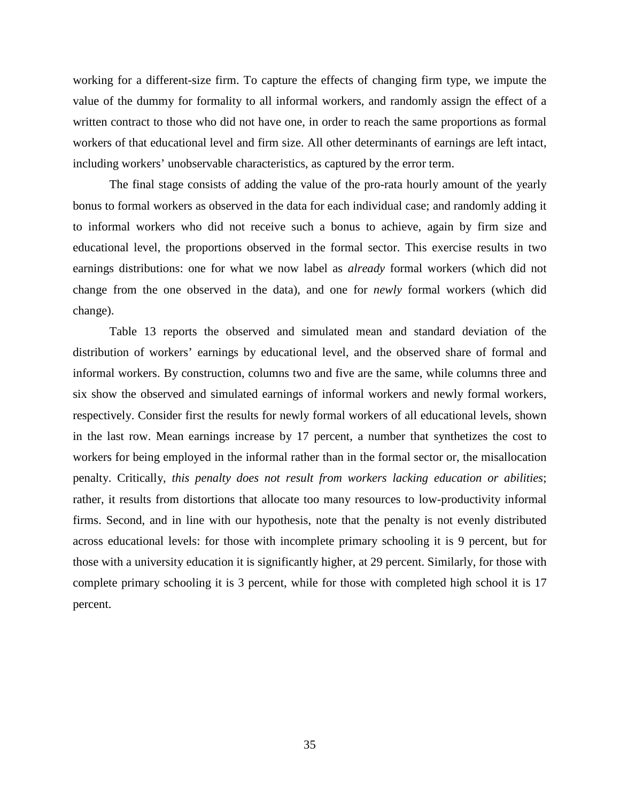working for a different-size firm. To capture the effects of changing firm type, we impute the value of the dummy for formality to all informal workers, and randomly assign the effect of a written contract to those who did not have one, in order to reach the same proportions as formal workers of that educational level and firm size. All other determinants of earnings are left intact, including workers' unobservable characteristics, as captured by the error term.

The final stage consists of adding the value of the pro-rata hourly amount of the yearly bonus to formal workers as observed in the data for each individual case; and randomly adding it to informal workers who did not receive such a bonus to achieve, again by firm size and educational level, the proportions observed in the formal sector. This exercise results in two earnings distributions: one for what we now label as *already* formal workers (which did not change from the one observed in the data), and one for *newly* formal workers (which did change).

Table 13 reports the observed and simulated mean and standard deviation of the distribution of workers' earnings by educational level, and the observed share of formal and informal workers. By construction, columns two and five are the same, while columns three and six show the observed and simulated earnings of informal workers and newly formal workers, respectively. Consider first the results for newly formal workers of all educational levels, shown in the last row. Mean earnings increase by 17 percent, a number that synthetizes the cost to workers for being employed in the informal rather than in the formal sector or, the misallocation penalty. Critically, *this penalty does not result from workers lacking education or abilities*; rather, it results from distortions that allocate too many resources to low-productivity informal firms. Second, and in line with our hypothesis, note that the penalty is not evenly distributed across educational levels: for those with incomplete primary schooling it is 9 percent, but for those with a university education it is significantly higher, at 29 percent. Similarly, for those with complete primary schooling it is 3 percent, while for those with completed high school it is 17 percent.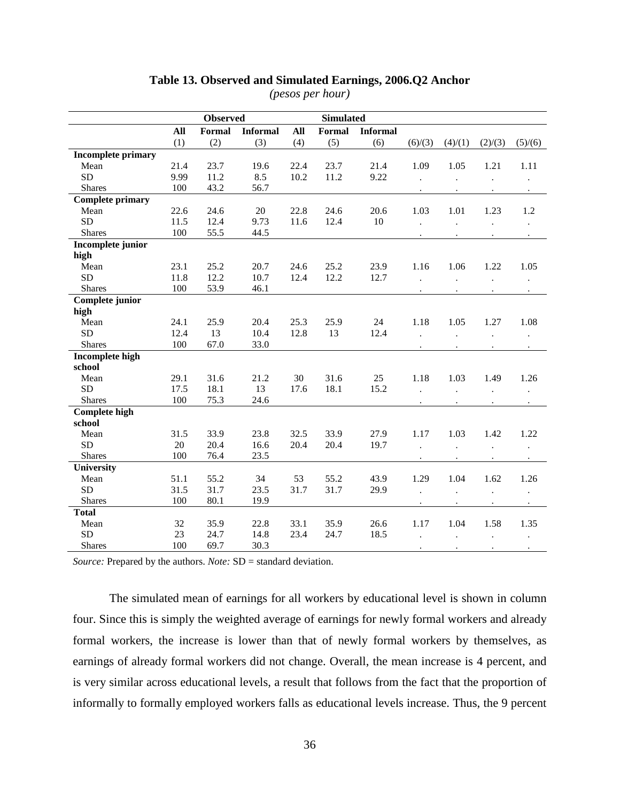|                                | <b>Observed</b> |        |                 |      | <b>Simulated</b> |                 |                      |                      |                      |                      |
|--------------------------------|-----------------|--------|-----------------|------|------------------|-----------------|----------------------|----------------------|----------------------|----------------------|
|                                | All             | Formal | <b>Informal</b> | All  | Formal           | <b>Informal</b> |                      |                      |                      |                      |
|                                | (1)             | (2)    | (3)             | (4)  | (5)              | (6)             | (6)/(3)              | (4)/(1)              | (2)/(3)              | (5)/(6)              |
| <b>Incomplete primary</b>      |                 |        |                 |      |                  |                 |                      |                      |                      |                      |
| Mean                           | 21.4            | 23.7   | 19.6            | 22.4 | 23.7             | 21.4            | 1.09                 | 1.05                 | 1.21                 | 1.11                 |
| <b>SD</b>                      | 9.99            | 11.2   | 8.5             | 10.2 | 11.2             | 9.22            | $\ddot{\phantom{a}}$ | $\overline{a}$       |                      | $\ddot{\phantom{0}}$ |
| <b>Shares</b>                  | 100             | 43.2   | 56.7            |      |                  |                 |                      |                      |                      | $\cdot$              |
| <b>Complete primary</b>        |                 |        |                 |      |                  |                 |                      |                      |                      |                      |
| Mean                           | 22.6            | 24.6   | 20              | 22.8 | 24.6             | 20.6            | 1.03                 | 1.01                 | 1.23                 | 1.2                  |
| <b>SD</b>                      | 11.5            | 12.4   | 9.73            | 11.6 | 12.4             | 10              | $\ddot{\phantom{0}}$ | $\ddot{\phantom{a}}$ |                      | $\ddot{\phantom{0}}$ |
| <b>Shares</b>                  | 100             | 55.5   | 44.5            |      |                  |                 |                      |                      | $\cdot$              | $\ddot{\phantom{0}}$ |
| Incomplete junior              |                 |        |                 |      |                  |                 |                      |                      |                      |                      |
| high                           |                 |        |                 |      |                  |                 |                      |                      |                      |                      |
| Mean                           | 23.1            | 25.2   | 20.7            | 24.6 | 25.2             | 23.9            | 1.16                 | 1.06                 | 1.22                 | 1.05                 |
| <b>SD</b>                      | 11.8            | 12.2   | 10.7            | 12.4 | 12.2             | 12.7            | $\ddot{\phantom{a}}$ | $\ddot{\phantom{a}}$ | $\ddot{\phantom{0}}$ | $\ddot{\phantom{a}}$ |
| <b>Shares</b>                  | 100             | 53.9   | 46.1            |      |                  |                 |                      | $\ddot{\phantom{a}}$ | $\ddot{\phantom{a}}$ | $\cdot$              |
| Complete junior                |                 |        |                 |      |                  |                 |                      |                      |                      |                      |
| high                           |                 |        |                 |      |                  |                 |                      |                      |                      |                      |
| Mean                           | 24.1            | 25.9   | 20.4            | 25.3 | 25.9             | 24              | 1.18                 | 1.05                 | 1.27                 | 1.08                 |
| <b>SD</b>                      | 12.4            | 13     | 10.4            | 12.8 | 13               | 12.4            | $\ddot{\phantom{0}}$ | $\ddot{\phantom{0}}$ | $\ddot{\phantom{0}}$ |                      |
| <b>Shares</b>                  | 100             | 67.0   | 33.0            |      |                  |                 |                      |                      |                      |                      |
| <b>Incomplete high</b>         |                 |        |                 |      |                  |                 |                      |                      |                      |                      |
| school                         |                 |        |                 |      |                  |                 |                      |                      |                      |                      |
| Mean                           | 29.1            | 31.6   | 21.2            | 30   | 31.6             | 25              | 1.18                 | 1.03                 | 1.49                 | 1.26                 |
| <b>SD</b>                      | 17.5            | 18.1   | 13              | 17.6 | 18.1             | 15.2            | $\ddot{\phantom{0}}$ | $\ddot{\phantom{a}}$ | $\ddot{\phantom{0}}$ | $\cdot$              |
| <b>Shares</b>                  | 100             | 75.3   | 24.6            |      |                  |                 | $\blacksquare$       | $\bullet$            | $\bullet$            | $\ddot{\phantom{a}}$ |
| <b>Complete high</b><br>school |                 |        |                 |      |                  |                 |                      |                      |                      |                      |
| Mean                           | 31.5            | 33.9   | 23.8            | 32.5 | 33.9             | 27.9            | 1.17                 | 1.03                 | 1.42                 | 1.22                 |
| <b>SD</b>                      | 20              | 20.4   | 16.6            | 20.4 | 20.4             | 19.7            |                      |                      |                      |                      |
| <b>Shares</b>                  | 100             | 76.4   | 23.5            |      |                  |                 |                      | $\overline{a}$       |                      | $\ddot{\phantom{0}}$ |
| <b>University</b>              |                 |        |                 |      |                  |                 |                      |                      |                      |                      |
| Mean                           | 51.1            | 55.2   | 34              | 53   | 55.2             | 43.9            | 1.29                 | 1.04                 | 1.62                 | 1.26                 |
| <b>SD</b>                      | 31.5            | 31.7   | 23.5            | 31.7 | 31.7             | 29.9            | $\ddot{\phantom{0}}$ | $\ddot{\phantom{0}}$ | $\ddot{\phantom{a}}$ | $\cdot$              |
| <b>Shares</b>                  | 100             | 80.1   | 19.9            |      |                  |                 | $\ddot{\phantom{a}}$ | $\ddot{\phantom{a}}$ | $\blacksquare$       | $\bullet$            |
| <b>Total</b>                   |                 |        |                 |      |                  |                 |                      |                      |                      |                      |
| Mean                           | 32              | 35.9   | 22.8            | 33.1 | 35.9             | 26.6            | 1.17                 | 1.04                 | 1.58                 | 1.35                 |
| <b>SD</b>                      | 23              | 24.7   | 14.8            | 23.4 | 24.7             | 18.5            |                      |                      |                      |                      |
| <b>Shares</b>                  | 100             | 69.7   | 30.3            |      |                  |                 |                      |                      |                      |                      |

#### **Table 13. Observed and Simulated Earnings, 2006.Q2 Anchor**

*(pesos per hour)*

*Source:* Prepared by the authors. *Note:* SD = standard deviation.

The simulated mean of earnings for all workers by educational level is shown in column four. Since this is simply the weighted average of earnings for newly formal workers and already formal workers, the increase is lower than that of newly formal workers by themselves, as earnings of already formal workers did not change. Overall, the mean increase is 4 percent, and is very similar across educational levels, a result that follows from the fact that the proportion of informally to formally employed workers falls as educational levels increase. Thus, the 9 percent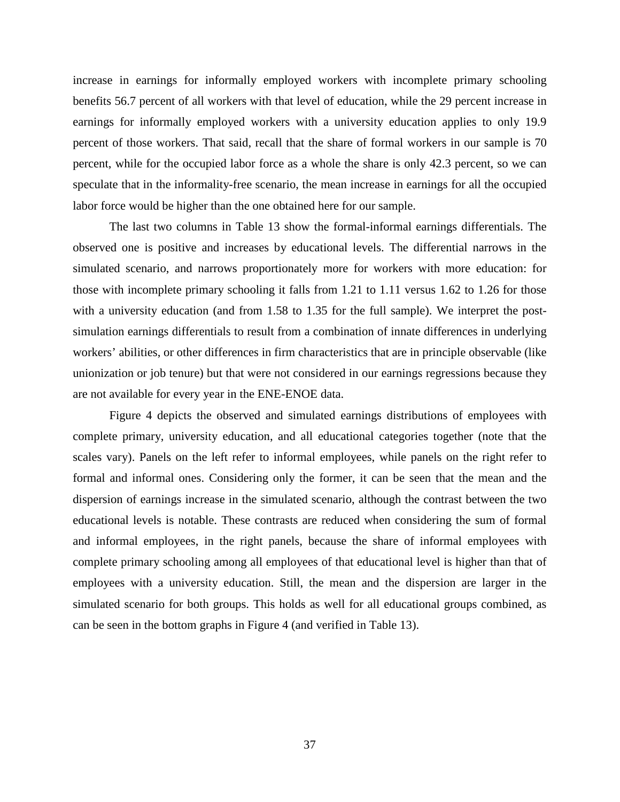increase in earnings for informally employed workers with incomplete primary schooling benefits 56.7 percent of all workers with that level of education, while the 29 percent increase in earnings for informally employed workers with a university education applies to only 19.9 percent of those workers. That said, recall that the share of formal workers in our sample is 70 percent, while for the occupied labor force as a whole the share is only 42.3 percent, so we can speculate that in the informality-free scenario, the mean increase in earnings for all the occupied labor force would be higher than the one obtained here for our sample.

The last two columns in Table 13 show the formal-informal earnings differentials. The observed one is positive and increases by educational levels. The differential narrows in the simulated scenario, and narrows proportionately more for workers with more education: for those with incomplete primary schooling it falls from 1.21 to 1.11 versus 1.62 to 1.26 for those with a university education (and from 1.58 to 1.35 for the full sample). We interpret the postsimulation earnings differentials to result from a combination of innate differences in underlying workers' abilities, or other differences in firm characteristics that are in principle observable (like unionization or job tenure) but that were not considered in our earnings regressions because they are not available for every year in the ENE-ENOE data.

Figure 4 depicts the observed and simulated earnings distributions of employees with complete primary, university education, and all educational categories together (note that the scales vary). Panels on the left refer to informal employees, while panels on the right refer to formal and informal ones. Considering only the former, it can be seen that the mean and the dispersion of earnings increase in the simulated scenario, although the contrast between the two educational levels is notable. These contrasts are reduced when considering the sum of formal and informal employees, in the right panels, because the share of informal employees with complete primary schooling among all employees of that educational level is higher than that of employees with a university education. Still, the mean and the dispersion are larger in the simulated scenario for both groups. This holds as well for all educational groups combined, as can be seen in the bottom graphs in Figure 4 (and verified in Table 13).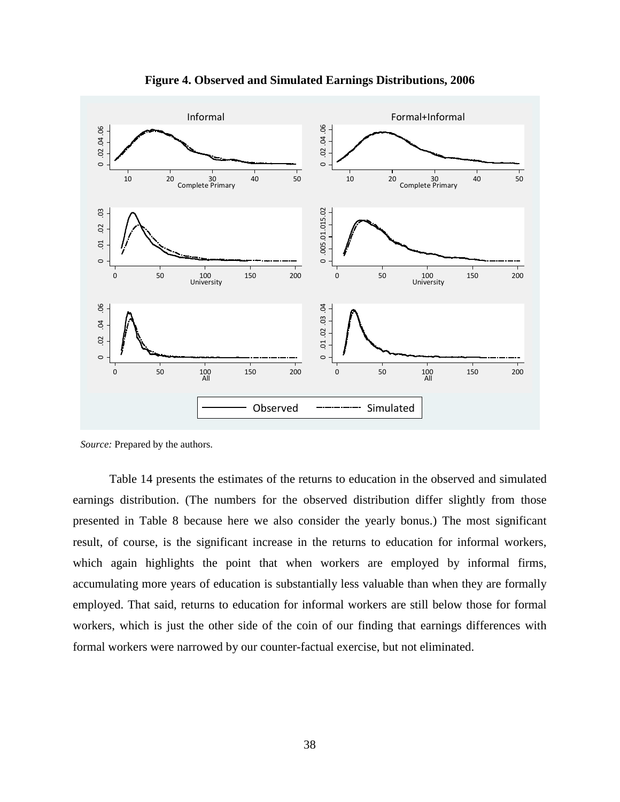

**Figure 4. Observed and Simulated Earnings Distributions, 2006**

*Source:* Prepared by the authors.

Table 14 presents the estimates of the returns to education in the observed and simulated earnings distribution. (The numbers for the observed distribution differ slightly from those presented in Table 8 because here we also consider the yearly bonus.) The most significant result, of course, is the significant increase in the returns to education for informal workers, which again highlights the point that when workers are employed by informal firms, accumulating more years of education is substantially less valuable than when they are formally employed. That said, returns to education for informal workers are still below those for formal workers, which is just the other side of the coin of our finding that earnings differences with formal workers were narrowed by our counter-factual exercise, but not eliminated.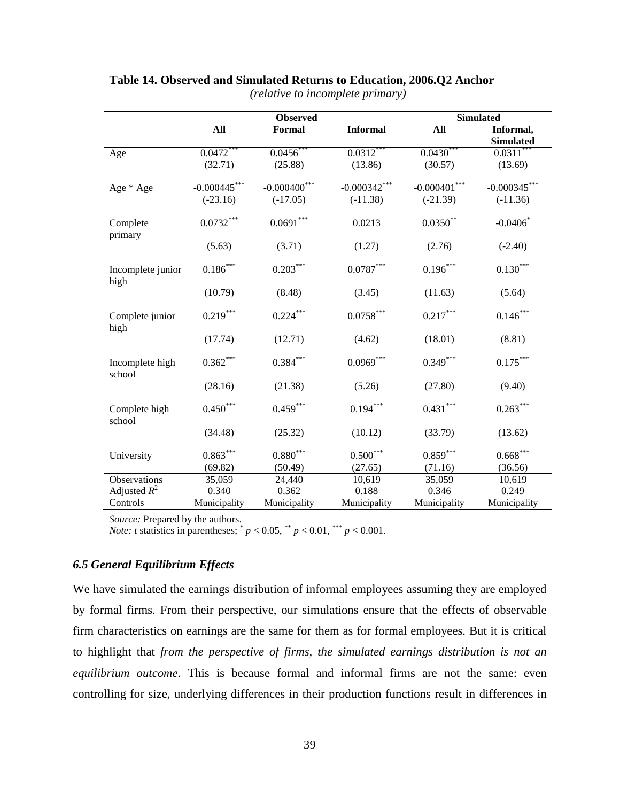|                           |                                   | <b>Observed</b>                   |                                   | <b>Simulated</b>                  |                                   |  |  |
|---------------------------|-----------------------------------|-----------------------------------|-----------------------------------|-----------------------------------|-----------------------------------|--|--|
|                           | All                               | Formal                            | <b>Informal</b>                   | All                               | Informal,<br><b>Simulated</b>     |  |  |
| Age                       | $0.0472***$                       | $0.0456$ ***                      | $0.0312***$                       | $0.0430***$                       | $0.0311***$                       |  |  |
|                           | (32.71)                           | (25.88)                           | (13.86)                           | (30.57)                           | (13.69)                           |  |  |
| Age * Age                 | $-0.000445^{***}\,$<br>$(-23.16)$ | $-0.000400^{***}\,$<br>$(-17.05)$ | $-0.000342***$<br>$(-11.38)$      | $-0.000401^{***}\,$<br>$(-21.39)$ | $-0.000345***$<br>$(-11.36)$      |  |  |
| Complete<br>primary       | $0.0732***$                       | ${0.0691}^{\ast\ast\ast}$         | 0.0213                            | $0.0350**$                        | $-0.0406$ *                       |  |  |
|                           | (5.63)                            | (3.71)                            | (1.27)                            | (2.76)                            | $(-2.40)$                         |  |  |
| Incomplete junior<br>high | $0.186^{\ast\ast\ast}$            | $0.203***$                        | $0.0787^{\ast\ast\ast}$           | $0.196***$                        | $0.130^\ast{}^{\ast}{}^{\ast}$    |  |  |
|                           | (10.79)                           | (8.48)                            | (3.45)                            | (11.63)                           | (5.64)                            |  |  |
| Complete junior<br>high   | $0.219***$                        | $0.224\sp{***}$                   | $0.0758^{\ast\ast\ast}$           | $0.217^{\ast\ast\ast}$            | $0.146^{\ast\ast\ast}$            |  |  |
|                           | (17.74)                           | (12.71)                           | (4.62)                            | (18.01)                           | (8.81)                            |  |  |
| Incomplete high<br>school | $0.362\sp{*}{^\ast\sp{*}}$        | $0.384^{\ast\ast\ast}$            | $0.0969***$                       | $0.349***$                        | $0.175^{\ast\ast\ast}$            |  |  |
|                           | (28.16)                           | (21.38)                           | (5.26)                            | (27.80)                           | (9.40)                            |  |  |
| Complete high<br>school   | $0.450^\ast{}^{\ast}{}^{\ast}$    | $0.459***$                        | $0.194***$                        | $0.431***$                        | $0.263***$                        |  |  |
|                           | (34.48)                           | (25.32)                           | (10.12)                           | (33.79)                           | (13.62)                           |  |  |
| University                | $0.863***$<br>(69.82)             | $0.880^{\ast\ast\ast}$<br>(50.49) | $0.500^{\ast\ast\ast}$<br>(27.65) | $0.859***$<br>(71.16)             | $0.668^{\ast\ast\ast}$<br>(36.56) |  |  |
| Observations              | 35,059                            | 24,440                            | 10,619                            | 35,059                            | 10,619                            |  |  |
| Adjusted $R^2$            | 0.340                             | 0.362                             | 0.188                             | 0.346                             | 0.249                             |  |  |
| Controls                  | Municipality                      | Municipality                      | Municipality                      | Municipality                      | Municipality                      |  |  |

## **Table 14. Observed and Simulated Returns to Education, 2006.Q2 Anchor**

*(relative to incomplete primary)*

*Source:* Prepared by the authors.

*Note: t* statistics in parentheses;  $^{*} p < 0.05$ ,  $^{*} p < 0.01$ ,  $^{***} p < 0.001$ .

#### *6.5 General Equilibrium Effects*

We have simulated the earnings distribution of informal employees assuming they are employed by formal firms. From their perspective, our simulations ensure that the effects of observable firm characteristics on earnings are the same for them as for formal employees. But it is critical to highlight that *from the perspective of firms, the simulated earnings distribution is not an equilibrium outcome*. This is because formal and informal firms are not the same: even controlling for size, underlying differences in their production functions result in differences in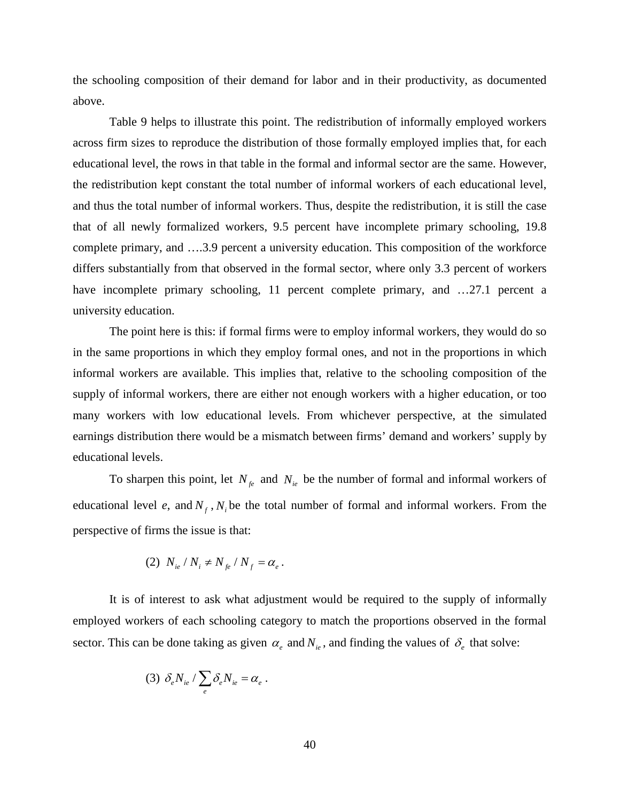the schooling composition of their demand for labor and in their productivity, as documented above.

Table 9 helps to illustrate this point. The redistribution of informally employed workers across firm sizes to reproduce the distribution of those formally employed implies that, for each educational level, the rows in that table in the formal and informal sector are the same. However, the redistribution kept constant the total number of informal workers of each educational level, and thus the total number of informal workers. Thus, despite the redistribution, it is still the case that of all newly formalized workers, 9.5 percent have incomplete primary schooling, 19.8 complete primary, and ….3.9 percent a university education. This composition of the workforce differs substantially from that observed in the formal sector, where only 3.3 percent of workers have incomplete primary schooling, 11 percent complete primary, and ...27.1 percent a university education.

The point here is this: if formal firms were to employ informal workers, they would do so in the same proportions in which they employ formal ones, and not in the proportions in which informal workers are available. This implies that, relative to the schooling composition of the supply of informal workers, there are either not enough workers with a higher education, or too many workers with low educational levels. From whichever perspective, at the simulated earnings distribution there would be a mismatch between firms' demand and workers' supply by educational levels.

To sharpen this point, let  $N_{fe}$  and  $N_{ie}$  be the number of formal and informal workers of educational level *e*, and  $N_f$ ,  $N_i$  be the total number of formal and informal workers. From the perspective of firms the issue is that:

(2) 
$$
N_{ie} / N_i \neq N_{fe} / N_f = \alpha_e
$$
.

It is of interest to ask what adjustment would be required to the supply of informally employed workers of each schooling category to match the proportions observed in the formal sector. This can be done taking as given  $\alpha_e$  and  $N_{ie}$ , and finding the values of  $\delta_e$  that solve:

$$
(3) \ \delta_e N_{ie} / \sum_e \delta_e N_{ie} = \alpha_e \ .
$$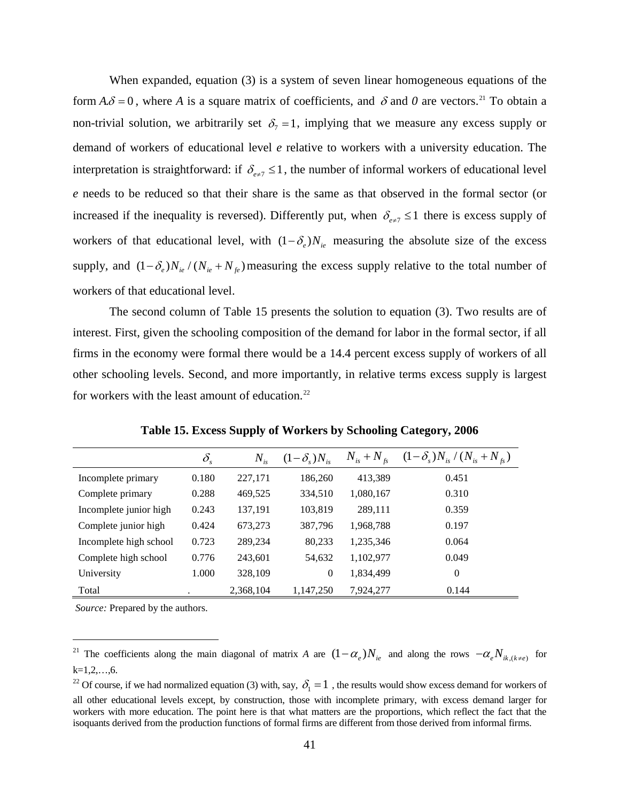When expanded, equation (3) is a system of seven linear homogeneous equations of the form  $A.\delta = 0$ , where *A* is a square matrix of coefficients, and  $\delta$  and *0* are vectors.<sup>[21](#page-43-0)</sup> To obtain a non-trivial solution, we arbitrarily set  $\delta_7 = 1$ , implying that we measure any excess supply or demand of workers of educational level *e* relative to workers with a university education. The interpretation is straightforward: if  $\delta_{\ell \neq 7} \leq 1$ , the number of informal workers of educational level *e* needs to be reduced so that their share is the same as that observed in the formal sector (or increased if the inequality is reversed). Differently put, when  $\delta_{e\neq 1} \leq 1$  there is excess supply of workers of that educational level, with  $(1 - \delta_e) N_{ie}$  measuring the absolute size of the excess supply, and  $(1 - \delta_e) N_{ie} / (N_{ie} + N_{fe})$  measuring the excess supply relative to the total number of workers of that educational level.

The second column of Table 15 presents the solution to equation (3). Two results are of interest. First, given the schooling composition of the demand for labor in the formal sector, if all firms in the economy were formal there would be a 14.4 percent excess supply of workers of all other schooling levels. Second, and more importantly, in relative terms excess supply is largest for workers with the least amount of education.<sup>[22](#page-43-1)</sup>

|                        | $\delta_{\scriptscriptstyle s}$ | $N_{is}$  | $(1-\delta_s)N_{is}$ | $N_{is}$ + $N_{fs}$ | $(1-\delta_{s})N_{is}/(N_{is}+N_{fs})$ |
|------------------------|---------------------------------|-----------|----------------------|---------------------|----------------------------------------|
| Incomplete primary     | 0.180                           | 227,171   | 186,260              | 413,389             | 0.451                                  |
| Complete primary       | 0.288                           | 469,525   | 334,510              | 1,080,167           | 0.310                                  |
| Incomplete junior high | 0.243                           | 137,191   | 103,819              | 289,111             | 0.359                                  |
| Complete junior high   | 0.424                           | 673,273   | 387,796              | 1,968,788           | 0.197                                  |
| Incomplete high school | 0.723                           | 289,234   | 80,233               | 1,235,346           | 0.064                                  |
| Complete high school   | 0.776                           | 243,601   | 54,632               | 1,102,977           | 0.049                                  |
| University             | 1.000                           | 328,109   | $\theta$             | 1,834,499           | $\theta$                               |
| Total                  |                                 | 2,368,104 | 1,147,250            | 7,924,277           | 0.144                                  |

**Table 15. Excess Supply of Workers by Schooling Category, 2006**

*Source:* Prepared by the authors.

 $\overline{\phantom{a}}$ 

<span id="page-43-0"></span><sup>&</sup>lt;sup>21</sup> The coefficients along the main diagonal of matrix *A* are  $(1 - \alpha_e) N_{ie}$  and along the rows  $-\alpha_e N_{ik,(k \neq e)}$  for  $k=1,2,...,6$ .

<span id="page-43-1"></span><sup>&</sup>lt;sup>22</sup> Of course, if we had normalized equation (3) with, say,  $\delta_1 = 1$ , the results would show excess demand for workers of all other educational levels except, by construction, those with incomplete primary, with excess demand larger for workers with more education. The point here is that what matters are the proportions, which reflect the fact that the isoquants derived from the production functions of formal firms are different from those derived from informal firms.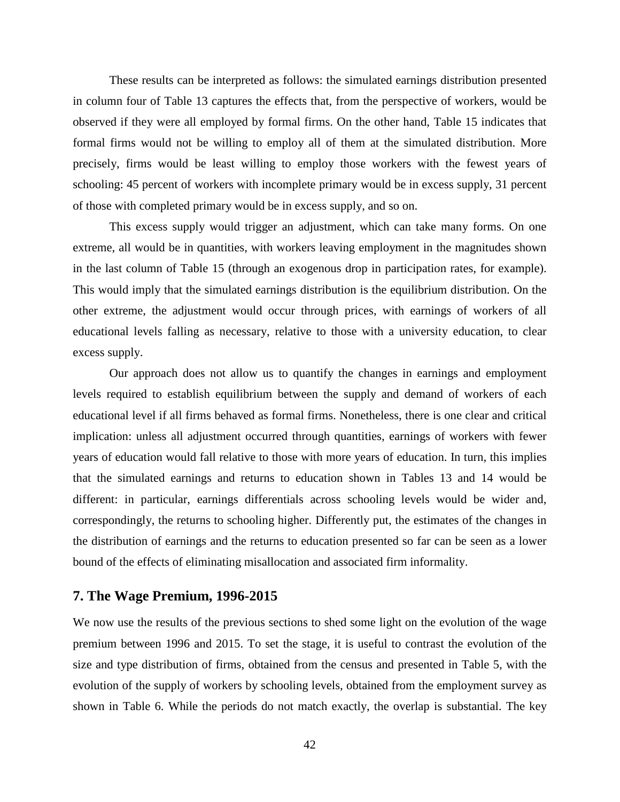These results can be interpreted as follows: the simulated earnings distribution presented in column four of Table 13 captures the effects that, from the perspective of workers, would be observed if they were all employed by formal firms. On the other hand, Table 15 indicates that formal firms would not be willing to employ all of them at the simulated distribution. More precisely, firms would be least willing to employ those workers with the fewest years of schooling: 45 percent of workers with incomplete primary would be in excess supply, 31 percent of those with completed primary would be in excess supply, and so on.

This excess supply would trigger an adjustment, which can take many forms. On one extreme, all would be in quantities, with workers leaving employment in the magnitudes shown in the last column of Table 15 (through an exogenous drop in participation rates, for example). This would imply that the simulated earnings distribution is the equilibrium distribution. On the other extreme, the adjustment would occur through prices, with earnings of workers of all educational levels falling as necessary, relative to those with a university education, to clear excess supply.

Our approach does not allow us to quantify the changes in earnings and employment levels required to establish equilibrium between the supply and demand of workers of each educational level if all firms behaved as formal firms. Nonetheless, there is one clear and critical implication: unless all adjustment occurred through quantities, earnings of workers with fewer years of education would fall relative to those with more years of education. In turn, this implies that the simulated earnings and returns to education shown in Tables 13 and 14 would be different: in particular, earnings differentials across schooling levels would be wider and, correspondingly, the returns to schooling higher. Differently put, the estimates of the changes in the distribution of earnings and the returns to education presented so far can be seen as a lower bound of the effects of eliminating misallocation and associated firm informality.

## **7. The Wage Premium, 1996-2015**

We now use the results of the previous sections to shed some light on the evolution of the wage premium between 1996 and 2015. To set the stage, it is useful to contrast the evolution of the size and type distribution of firms, obtained from the census and presented in Table 5, with the evolution of the supply of workers by schooling levels, obtained from the employment survey as shown in Table 6. While the periods do not match exactly, the overlap is substantial. The key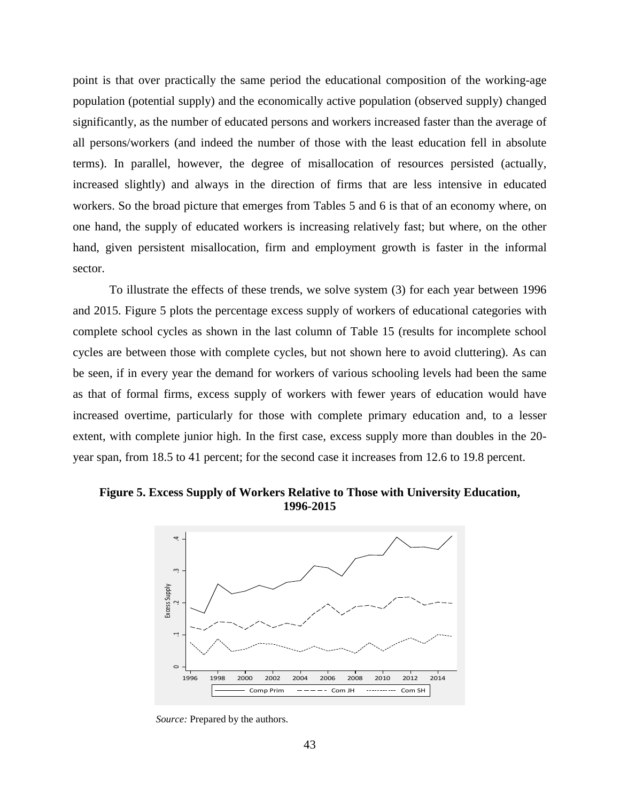point is that over practically the same period the educational composition of the working-age population (potential supply) and the economically active population (observed supply) changed significantly, as the number of educated persons and workers increased faster than the average of all persons/workers (and indeed the number of those with the least education fell in absolute terms). In parallel, however, the degree of misallocation of resources persisted (actually, increased slightly) and always in the direction of firms that are less intensive in educated workers. So the broad picture that emerges from Tables 5 and 6 is that of an economy where, on one hand, the supply of educated workers is increasing relatively fast; but where, on the other hand, given persistent misallocation, firm and employment growth is faster in the informal sector.

To illustrate the effects of these trends, we solve system (3) for each year between 1996 and 2015. Figure 5 plots the percentage excess supply of workers of educational categories with complete school cycles as shown in the last column of Table 15 (results for incomplete school cycles are between those with complete cycles, but not shown here to avoid cluttering). As can be seen, if in every year the demand for workers of various schooling levels had been the same as that of formal firms, excess supply of workers with fewer years of education would have increased overtime, particularly for those with complete primary education and, to a lesser extent, with complete junior high. In the first case, excess supply more than doubles in the 20 year span, from 18.5 to 41 percent; for the second case it increases from 12.6 to 19.8 percent.

**Figure 5. Excess Supply of Workers Relative to Those with University Education, 1996-2015**



 *Source:* Prepared by the authors.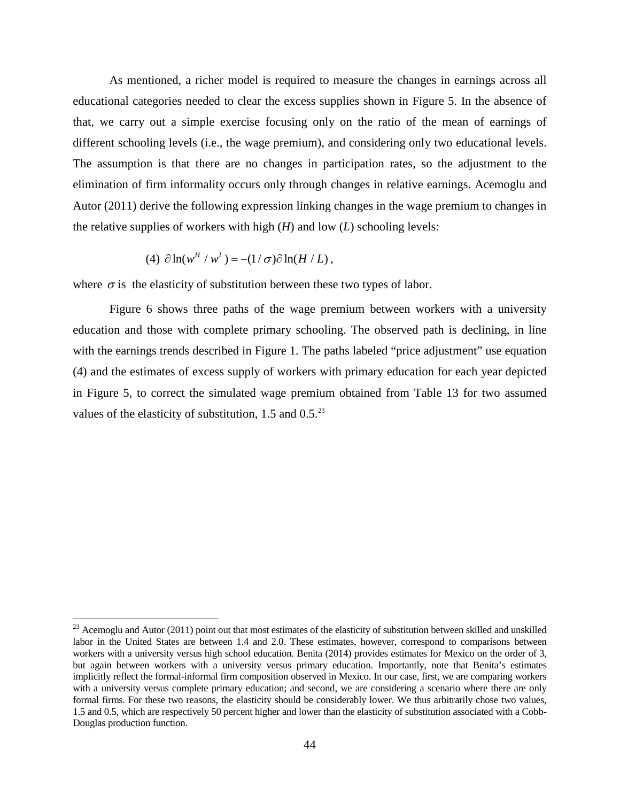As mentioned, a richer model is required to measure the changes in earnings across all educational categories needed to clear the excess supplies shown in Figure 5. In the absence of that, we carry out a simple exercise focusing only on the ratio of the mean of earnings of different schooling levels (i.e., the wage premium), and considering only two educational levels. The assumption is that there are no changes in participation rates, so the adjustment to the elimination of firm informality occurs only through changes in relative earnings. Acemoglu and Autor (2011) derive the following expression linking changes in the wage premium to changes in the relative supplies of workers with high (*H*) and low (*L*) schooling levels:

(4) 
$$
\partial \ln(w^H/w^L) = -(1/\sigma)\partial \ln(H/L)
$$
,

where  $\sigma$  is the elasticity of substitution between these two types of labor.

Figure 6 shows three paths of the wage premium between workers with a university education and those with complete primary schooling. The observed path is declining, in line with the earnings trends described in Figure 1. The paths labeled "price adjustment" use equation (4) and the estimates of excess supply of workers with primary education for each year depicted in Figure 5, to correct the simulated wage premium obtained from Table 13 for two assumed values of the elasticity of substitution, 1.5 and  $0.5$ .<sup>[23](#page-46-0)</sup>

<span id="page-46-0"></span> $23$  Acemoglu and Autor (2011) point out that most estimates of the elasticity of substitution between skilled and unskilled labor in the United States are between 1.4 and 2.0. These estimates, however, correspond to comparisons between workers with a university versus high school education. Benita (2014) provides estimates for Mexico on the order of 3, but again between workers with a university versus primary education. Importantly, note that Benita's estimates implicitly reflect the formal-informal firm composition observed in Mexico. In our case, first, we are comparing workers with a university versus complete primary education; and second, we are considering a scenario where there are only formal firms. For these two reasons, the elasticity should be considerably lower. We thus arbitrarily chose two values, 1.5 and 0.5, which are respectively 50 percent higher and lower than the elasticity of substitution associated with a Cobb-Douglas production function.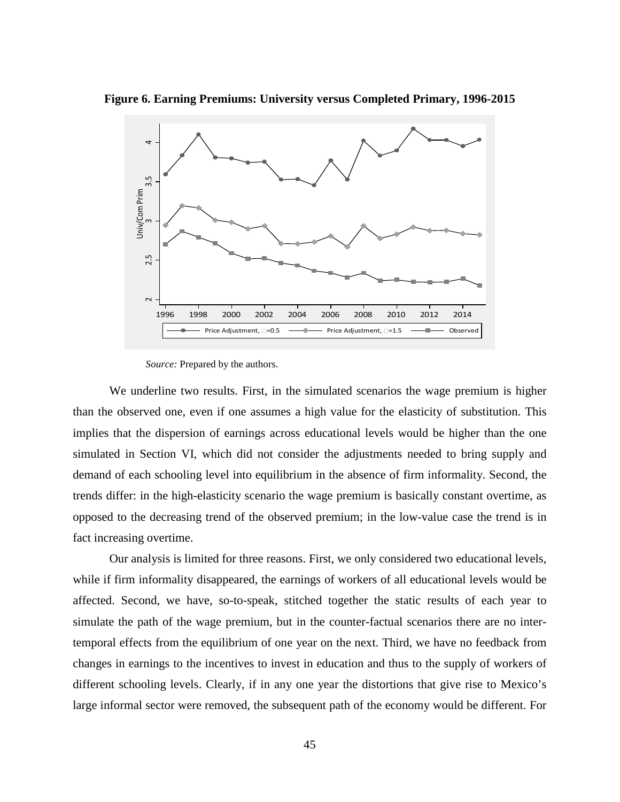**Figure 6. Earning Premiums: University versus Completed Primary, 1996-2015**



*Source:* Prepared by the authors.

We underline two results. First, in the simulated scenarios the wage premium is higher than the observed one, even if one assumes a high value for the elasticity of substitution. This implies that the dispersion of earnings across educational levels would be higher than the one simulated in Section VI, which did not consider the adjustments needed to bring supply and demand of each schooling level into equilibrium in the absence of firm informality. Second, the trends differ: in the high-elasticity scenario the wage premium is basically constant overtime, as opposed to the decreasing trend of the observed premium; in the low-value case the trend is in fact increasing overtime.

Our analysis is limited for three reasons. First, we only considered two educational levels, while if firm informality disappeared, the earnings of workers of all educational levels would be affected. Second, we have, so-to-speak, stitched together the static results of each year to simulate the path of the wage premium, but in the counter-factual scenarios there are no intertemporal effects from the equilibrium of one year on the next. Third, we have no feedback from changes in earnings to the incentives to invest in education and thus to the supply of workers of different schooling levels. Clearly, if in any one year the distortions that give rise to Mexico's large informal sector were removed, the subsequent path of the economy would be different. For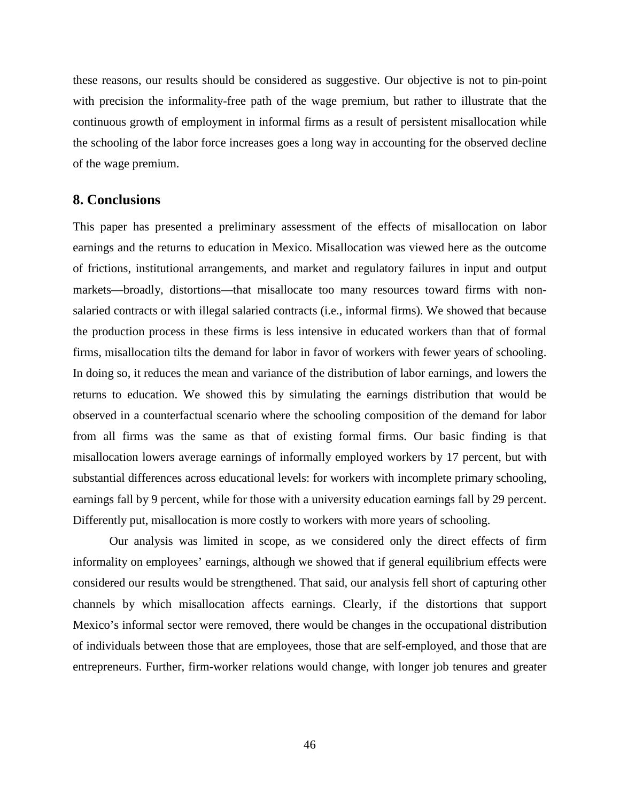these reasons, our results should be considered as suggestive. Our objective is not to pin-point with precision the informality-free path of the wage premium, but rather to illustrate that the continuous growth of employment in informal firms as a result of persistent misallocation while the schooling of the labor force increases goes a long way in accounting for the observed decline of the wage premium.

## **8. Conclusions**

This paper has presented a preliminary assessment of the effects of misallocation on labor earnings and the returns to education in Mexico. Misallocation was viewed here as the outcome of frictions, institutional arrangements, and market and regulatory failures in input and output markets—broadly, distortions—that misallocate too many resources toward firms with nonsalaried contracts or with illegal salaried contracts (i.e., informal firms). We showed that because the production process in these firms is less intensive in educated workers than that of formal firms, misallocation tilts the demand for labor in favor of workers with fewer years of schooling. In doing so, it reduces the mean and variance of the distribution of labor earnings, and lowers the returns to education. We showed this by simulating the earnings distribution that would be observed in a counterfactual scenario where the schooling composition of the demand for labor from all firms was the same as that of existing formal firms. Our basic finding is that misallocation lowers average earnings of informally employed workers by 17 percent, but with substantial differences across educational levels: for workers with incomplete primary schooling, earnings fall by 9 percent, while for those with a university education earnings fall by 29 percent. Differently put, misallocation is more costly to workers with more years of schooling.

Our analysis was limited in scope, as we considered only the direct effects of firm informality on employees' earnings, although we showed that if general equilibrium effects were considered our results would be strengthened. That said, our analysis fell short of capturing other channels by which misallocation affects earnings. Clearly, if the distortions that support Mexico's informal sector were removed, there would be changes in the occupational distribution of individuals between those that are employees, those that are self-employed, and those that are entrepreneurs. Further, firm-worker relations would change, with longer job tenures and greater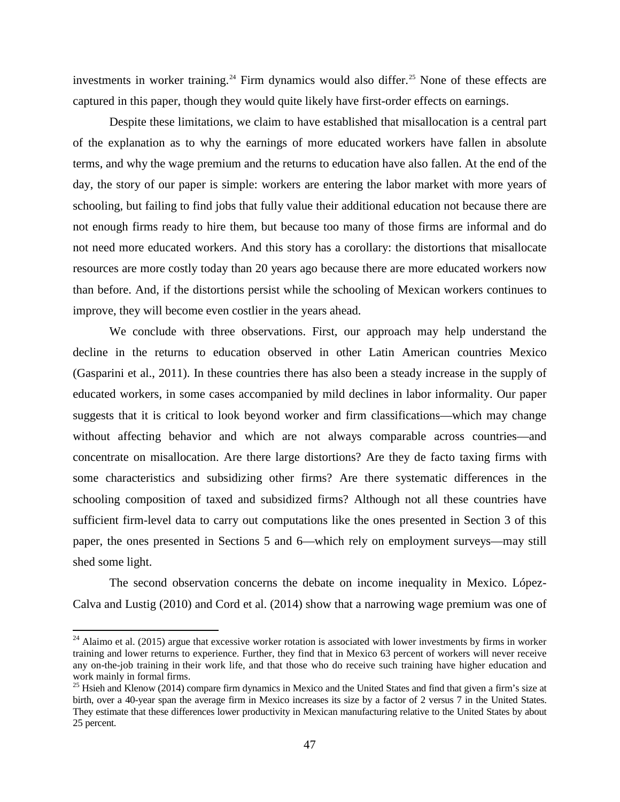investments in worker training. [24](#page-49-0) Firm dynamics would also differ. [25](#page-49-1) None of these effects are captured in this paper, though they would quite likely have first-order effects on earnings.

Despite these limitations, we claim to have established that misallocation is a central part of the explanation as to why the earnings of more educated workers have fallen in absolute terms, and why the wage premium and the returns to education have also fallen. At the end of the day, the story of our paper is simple: workers are entering the labor market with more years of schooling, but failing to find jobs that fully value their additional education not because there are not enough firms ready to hire them, but because too many of those firms are informal and do not need more educated workers. And this story has a corollary: the distortions that misallocate resources are more costly today than 20 years ago because there are more educated workers now than before. And, if the distortions persist while the schooling of Mexican workers continues to improve, they will become even costlier in the years ahead.

We conclude with three observations. First, our approach may help understand the decline in the returns to education observed in other Latin American countries Mexico (Gasparini et al., 2011). In these countries there has also been a steady increase in the supply of educated workers, in some cases accompanied by mild declines in labor informality. Our paper suggests that it is critical to look beyond worker and firm classifications—which may change without affecting behavior and which are not always comparable across countries—and concentrate on misallocation. Are there large distortions? Are they de facto taxing firms with some characteristics and subsidizing other firms? Are there systematic differences in the schooling composition of taxed and subsidized firms? Although not all these countries have sufficient firm-level data to carry out computations like the ones presented in Section 3 of this paper, the ones presented in Sections 5 and 6—which rely on employment surveys—may still shed some light.

The second observation concerns the debate on income inequality in Mexico. López-Calva and Lustig (2010) and Cord et al. (2014) show that a narrowing wage premium was one of

<span id="page-49-0"></span> $^{24}$  Alaimo et al. (2015) argue that excessive worker rotation is associated with lower investments by firms in worker training and lower returns to experience. Further, they find that in Mexico 63 percent of workers will never receive any on-the-job training in their work life, and that those who do receive such training have higher education and

<span id="page-49-1"></span> $25$  Hsieh and Klenow (2014) compare firm dynamics in Mexico and the United States and find that given a firm's size at birth, over a 40-year span the average firm in Mexico increases its size by a factor of 2 versus 7 in the United States. They estimate that these differences lower productivity in Mexican manufacturing relative to the United States by about 25 percent.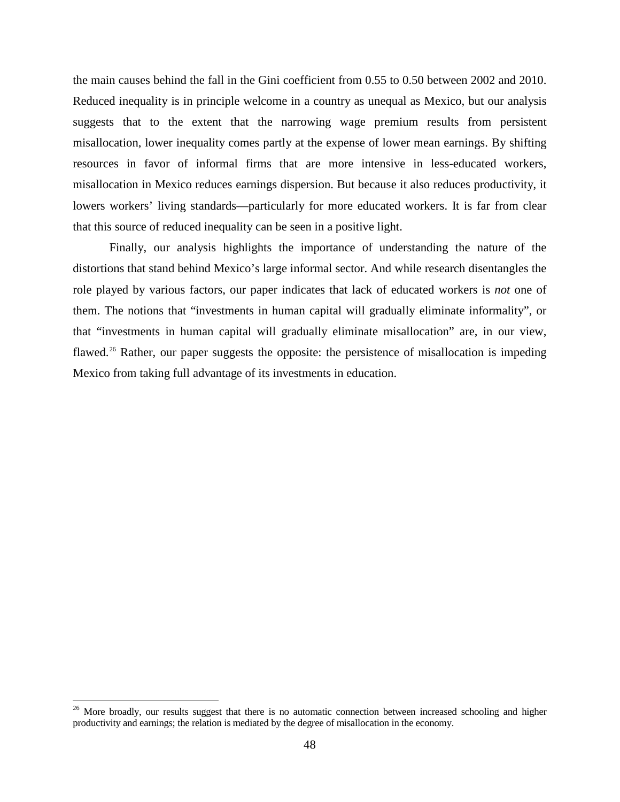the main causes behind the fall in the Gini coefficient from 0.55 to 0.50 between 2002 and 2010. Reduced inequality is in principle welcome in a country as unequal as Mexico, but our analysis suggests that to the extent that the narrowing wage premium results from persistent misallocation, lower inequality comes partly at the expense of lower mean earnings. By shifting resources in favor of informal firms that are more intensive in less-educated workers, misallocation in Mexico reduces earnings dispersion. But because it also reduces productivity, it lowers workers' living standards—particularly for more educated workers. It is far from clear that this source of reduced inequality can be seen in a positive light.

Finally, our analysis highlights the importance of understanding the nature of the distortions that stand behind Mexico's large informal sector. And while research disentangles the role played by various factors, our paper indicates that lack of educated workers is *not* one of them. The notions that "investments in human capital will gradually eliminate informality", or that "investments in human capital will gradually eliminate misallocation" are, in our view, flawed.<sup>[26](#page-50-0)</sup> Rather, our paper suggests the opposite: the persistence of misallocation is impeding Mexico from taking full advantage of its investments in education.

<span id="page-50-0"></span> $^{26}$  More broadly, our results suggest that there is no automatic connection between increased schooling and higher productivity and earnings; the relation is mediated by the degree of misallocation in the economy.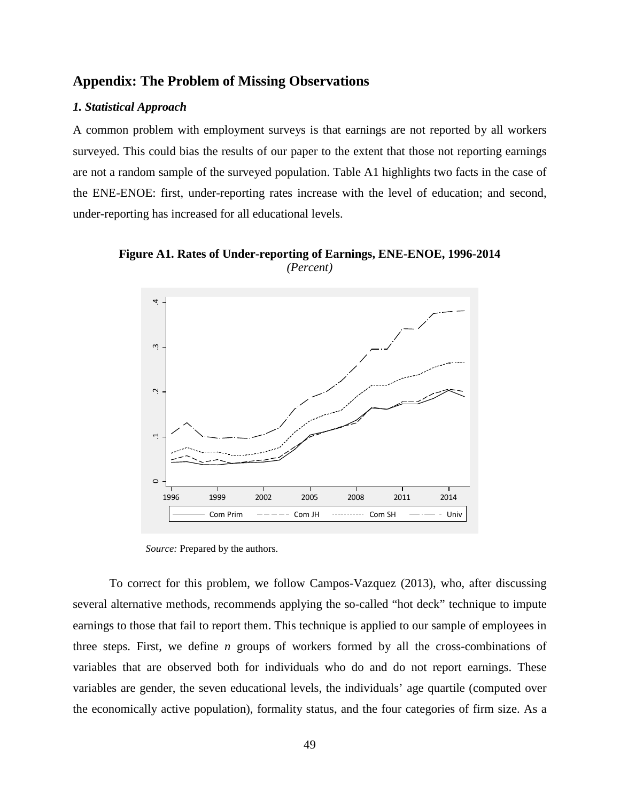#### **Appendix: The Problem of Missing Observations**

#### *1. Statistical Approach*

A common problem with employment surveys is that earnings are not reported by all workers surveyed. This could bias the results of our paper to the extent that those not reporting earnings are not a random sample of the surveyed population. Table A1 highlights two facts in the case of the ENE-ENOE: first, under-reporting rates increase with the level of education; and second, under-reporting has increased for all educational levels.





*Source:* Prepared by the authors.

To correct for this problem, we follow Campos-Vazquez (2013), who, after discussing several alternative methods, recommends applying the so-called "hot deck" technique to impute earnings to those that fail to report them. This technique is applied to our sample of employees in three steps. First, we define *n* groups of workers formed by all the cross-combinations of variables that are observed both for individuals who do and do not report earnings. These variables are gender, the seven educational levels, the individuals' age quartile (computed over the economically active population), formality status, and the four categories of firm size. As a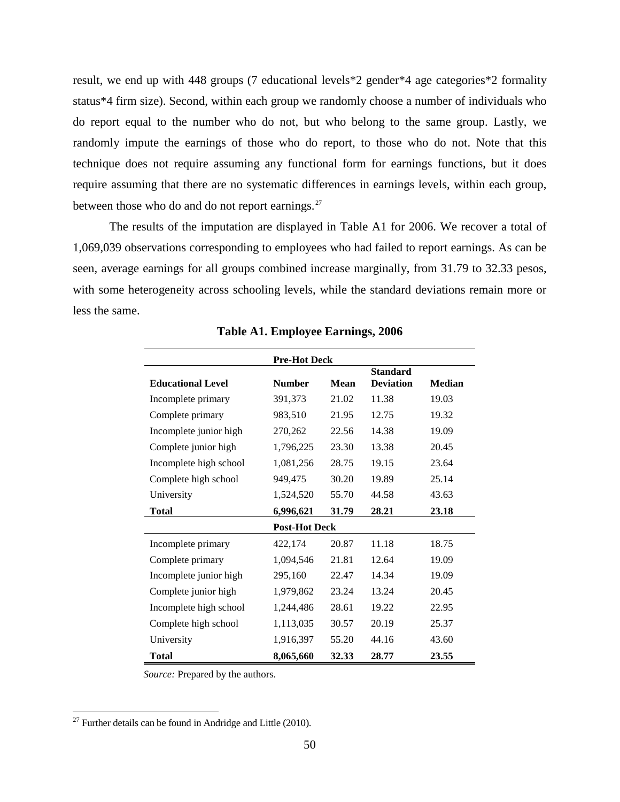result, we end up with 448 groups (7 educational levels\*2 gender\*4 age categories\*2 formality status\*4 firm size). Second, within each group we randomly choose a number of individuals who do report equal to the number who do not, but who belong to the same group. Lastly, we randomly impute the earnings of those who do report, to those who do not. Note that this technique does not require assuming any functional form for earnings functions, but it does require assuming that there are no systematic differences in earnings levels, within each group, between those who do and do not report earnings.<sup>[27](#page-52-0)</sup>

The results of the imputation are displayed in Table A1 for 2006. We recover a total of 1,069,039 observations corresponding to employees who had failed to report earnings. As can be seen, average earnings for all groups combined increase marginally, from 31.79 to 32.33 pesos, with some heterogeneity across schooling levels, while the standard deviations remain more or less the same.

|                          | <b>Pre-Hot Deck</b>  |             |                                     |               |  |  |
|--------------------------|----------------------|-------------|-------------------------------------|---------------|--|--|
| <b>Educational Level</b> | <b>Number</b>        | <b>Mean</b> | <b>Standard</b><br><b>Deviation</b> | <b>Median</b> |  |  |
| Incomplete primary       | 391,373              | 21.02       | 11.38                               | 19.03         |  |  |
| Complete primary         | 983,510              | 21.95       | 12.75                               | 19.32         |  |  |
| Incomplete junior high   | 270,262              | 22.56       | 14.38                               | 19.09         |  |  |
| Complete junior high     | 1,796,225            | 23.30       | 13.38                               | 20.45         |  |  |
| Incomplete high school   | 1,081,256            | 28.75       | 19.15                               | 23.64         |  |  |
| Complete high school     | 949,475              | 30.20       | 19.89                               | 25.14         |  |  |
| University               | 1,524,520            | 55.70       | 44.58                               | 43.63         |  |  |
| <b>Total</b>             | 6,996,621            | 31.79       | 28.21                               | 23.18         |  |  |
|                          | <b>Post-Hot Deck</b> |             |                                     |               |  |  |
| Incomplete primary       | 422,174              | 20.87       | 11.18                               | 18.75         |  |  |
| Complete primary         | 1,094,546            | 21.81       | 12.64                               | 19.09         |  |  |
| Incomplete junior high   | 295,160              | 22.47       | 14.34                               | 19.09         |  |  |
| Complete junior high     | 1,979,862            | 23.24       | 13.24                               | 20.45         |  |  |
| Incomplete high school   | 1,244,486            | 28.61       | 19.22                               | 22.95         |  |  |
| Complete high school     | 1,113,035            | 30.57       | 20.19                               | 25.37         |  |  |
| University               | 1,916,397            | 55.20       | 44.16                               | 43.60         |  |  |
| Total                    | 8,065,660            | 32.33       | 28.77                               | 23.55         |  |  |

**Table A1. Employee Earnings, 2006**

 *Source:* Prepared by the authors.

<span id="page-52-0"></span> $27$  Further details can be found in Andridge and Little (2010).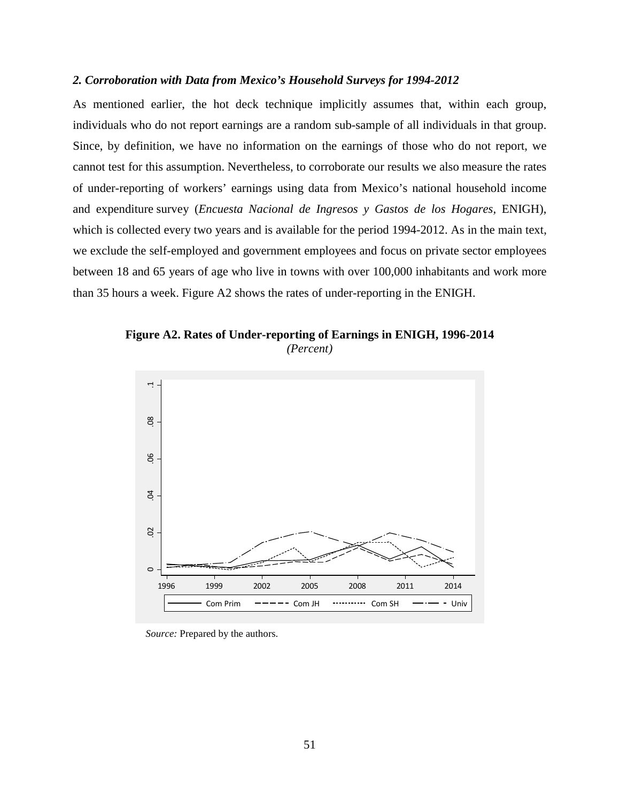#### *2. Corroboration with Data from Mexico's Household Surveys for 1994-2012*

As mentioned earlier, the hot deck technique implicitly assumes that, within each group, individuals who do not report earnings are a random sub-sample of all individuals in that group. Since, by definition, we have no information on the earnings of those who do not report, we cannot test for this assumption. Nevertheless, to corroborate our results we also measure the rates of under-reporting of workers' earnings using data from Mexico's national household income and expenditure survey (*Encuesta Nacional de Ingresos y Gastos de los Hogares,* ENIGH), which is collected every two years and is available for the period 1994-2012. As in the main text, we exclude the self-employed and government employees and focus on private sector employees between 18 and 65 years of age who live in towns with over 100,000 inhabitants and work more than 35 hours a week. Figure A2 shows the rates of under-reporting in the ENIGH.

**Figure A2. Rates of Under-reporting of Earnings in ENIGH, 1996-2014** *(Percent)*



*Source:* Prepared by the authors.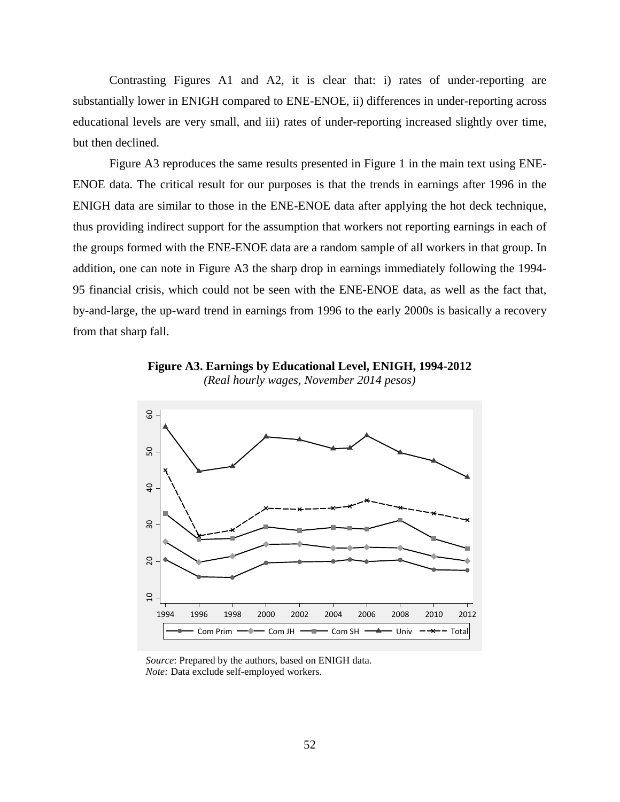Contrasting Figures A1 and A2, it is clear that: i) rates of under-reporting are substantially lower in ENIGH compared to ENE-ENOE, ii) differences in under-reporting across educational levels are very small, and iii) rates of under-reporting increased slightly over time, but then declined.

Figure A3 reproduces the same results presented in Figure 1 in the main text using ENE-ENOE data. The critical result for our purposes is that the trends in earnings after 1996 in the ENIGH data are similar to those in the ENE-ENOE data after applying the hot deck technique, thus providing indirect support for the assumption that workers not reporting earnings in each of the groups formed with the ENE-ENOE data are a random sample of all workers in that group. In addition, one can note in Figure A3 the sharp drop in earnings immediately following the 1994- 95 financial crisis, which could not be seen with the ENE-ENOE data, as well as the fact that, by-and-large, the up-ward trend in earnings from 1996 to the early 2000s is basically a recovery from that sharp fall.

**Figure A3. Earnings by Educational Level, ENIGH, 1994-2012** *(Real hourly wages, November 2014 pesos)*



*Source*: Prepared by the authors, based on ENIGH data.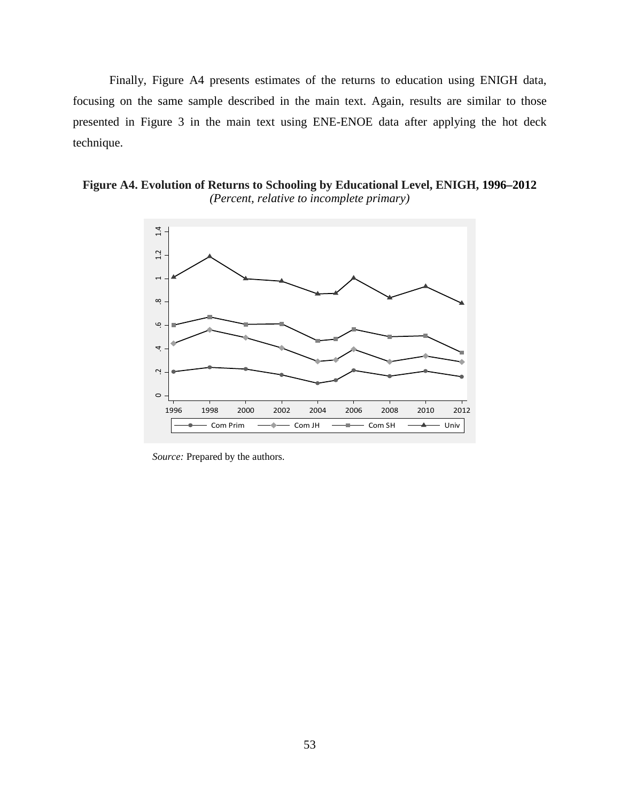Finally, Figure A4 presents estimates of the returns to education using ENIGH data, focusing on the same sample described in the main text. Again, results are similar to those presented in Figure 3 in the main text using ENE-ENOE data after applying the hot deck technique.

**Figure A4. Evolution of Returns to Schooling by Educational Level, ENIGH, 1996–2012** *(Percent, relative to incomplete primary)*



*Source:* Prepared by the authors.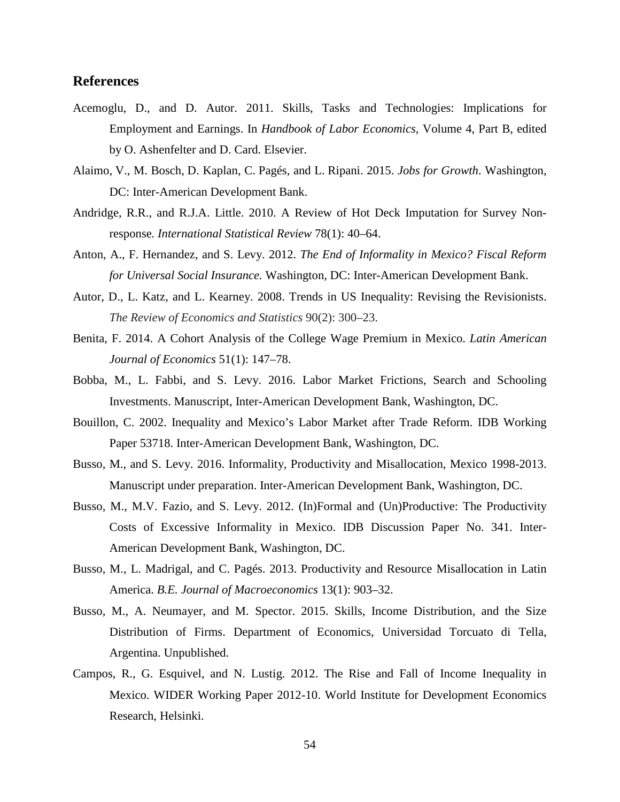#### **References**

- Acemoglu, D., and D. Autor. 2011. Skills, Tasks and Technologies: Implications for Employment and Earnings. In *Handbook of Labor Economics*, Volume 4, Part B, edited by O. Ashenfelter and D. Card. Elsevier.
- Alaimo, V., M. Bosch, D. Kaplan, C. Pagés, and L. Ripani. 2015. *Jobs for Growth*. Washington, DC: Inter-American Development Bank.
- Andridge, R.R., and R.J.A. Little. 2010. A Review of Hot Deck Imputation for Survey Nonresponse*. International Statistical Review* 78(1): 40–64.
- Anton, A., F. Hernandez, and S. Levy. 2012. *The End of Informality in Mexico? Fiscal Reform for Universal Social Insurance.* Washington, DC: Inter-American Development Bank.
- Autor, D., L. Katz, and L. Kearney. 2008. Trends in US Inequality: Revising the Revisionists. *The Review of Economics and Statistics* 90(2): 300–23.
- Benita, F. 2014. A Cohort Analysis of the College Wage Premium in Mexico. *Latin American Journal of Economics* 51(1): 147–78.
- Bobba, M., L. Fabbi, and S. Levy. 2016. Labor Market Frictions, Search and Schooling Investments. Manuscript, Inter-American Development Bank, Washington, DC.
- Bouillon, C. 2002. [Inequality and Mexico's Labor Market after Trade Reform.](https://ideas.repec.org/p/idb/brikps/53718.html) [IDB Working](https://ideas.repec.org/s/idb/brikps.html)  [Paper](https://ideas.repec.org/s/idb/brikps.html) 53718. Inter-American Development Bank, Washington, DC.
- Busso, M., and S. Levy. 2016. Informality, Productivity and Misallocation, Mexico 1998-2013. Manuscript under preparation. Inter-American Development Bank, Washington, DC.
- Busso, M., M.V. Fazio, and S. Levy. 2012. (In)Formal and (Un)Productive: The Productivity Costs of Excessive Informality in Mexico. IDB Discussion Paper No. 341. Inter-American Development Bank, Washington, DC.
- Busso, M., L. Madrigal, and C. Pagés. 2013. Productivity and Resource Misallocation in Latin America. *B.E. Journal of Macroeconomics* 13(1): 903–32.
- Busso, M., A. Neumayer, and M. Spector. 2015. Skills, Income Distribution, and the Size Distribution of Firms. Department of Economics, Universidad Torcuato di Tella, Argentina. Unpublished.
- Campos, R., G. Esquivel, and N. Lustig. 2012. The Rise and Fall of Income Inequality in Mexico. WIDER Working Paper 2012-10. World Institute for Development Economics Research, Helsinki.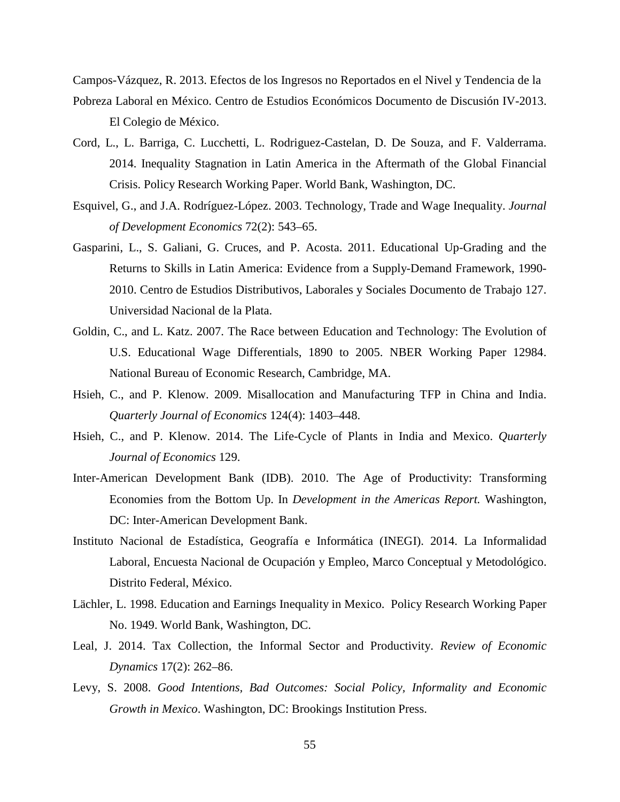Campos-Vázquez, R. 2013. Efectos de los Ingresos no Reportados en el Nivel y Tendencia de la

- Pobreza Laboral en México. Centro de Estudios Económicos Documento de Discusión IV-2013. El Colegio de México.
- Cord, L., L. Barriga, C. Lucchetti, L. Rodriguez-Castelan, D. De Souza, and F. Valderrama. 2014. Inequality Stagnation in Latin America in the Aftermath of the Global Financial Crisis. Policy Research Working Paper. World Bank, Washington, DC.
- Esquivel, G., and J.A. Rodríguez-López. 2003. Technology, Trade and Wage Inequality. *Journal of Development Economics* 72(2): 543–65.
- Gasparini, L., S. Galiani, G. Cruces, and P. Acosta. 2011. Educational Up-Grading and the Returns to Skills in Latin America: Evidence from a Supply-Demand Framework, 1990- 2010. Centro de Estudios Distributivos, Laborales y Sociales Documento de Trabajo 127. Universidad Nacional de la Plata.
- Goldin, C., and L. Katz. 2007. The Race between Education and Technology: The Evolution of U.S. Educational Wage Differentials, 1890 to 2005. NBER Working Paper 12984. National Bureau of Economic Research, Cambridge, MA.
- Hsieh, C., and P. Klenow. 2009. Misallocation and Manufacturing TFP in China and India. *Quarterly Journal of Economics* 124(4): 1403–448.
- Hsieh, C., and P. Klenow. 2014. The Life-Cycle of Plants in India and Mexico. *Quarterly Journal of Economics* 129.
- Inter-American Development Bank (IDB). 2010. The Age of Productivity: Transforming Economies from the Bottom Up. In *Development in the Americas Report.* Washington, DC: Inter-American Development Bank.
- Instituto Nacional de Estadística, Geografía e Informática (INEGI). 2014. La Informalidad Laboral, Encuesta Nacional de Ocupación y Empleo, Marco Conceptual y Metodológico. Distrito Federal, México.
- Lächler, L. 1998. Education and Earnings Inequality in Mexico. Policy Research Working Paper No. 1949. World Bank, Washington, DC.
- Leal, J. 2014. Tax Collection, the Informal Sector and Productivity. *Review of Economic Dynamics* 17(2): 262–86.
- Levy, S. 2008. *Good Intentions, Bad Outcomes: Social Policy, Informality and Economic Growth in Mexico*. Washington, DC: Brookings Institution Press.